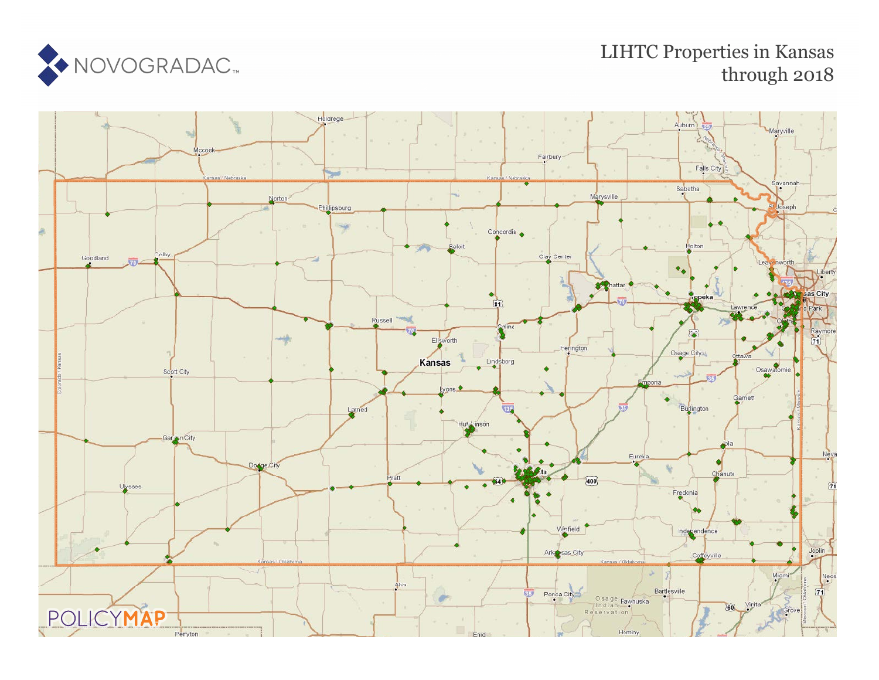

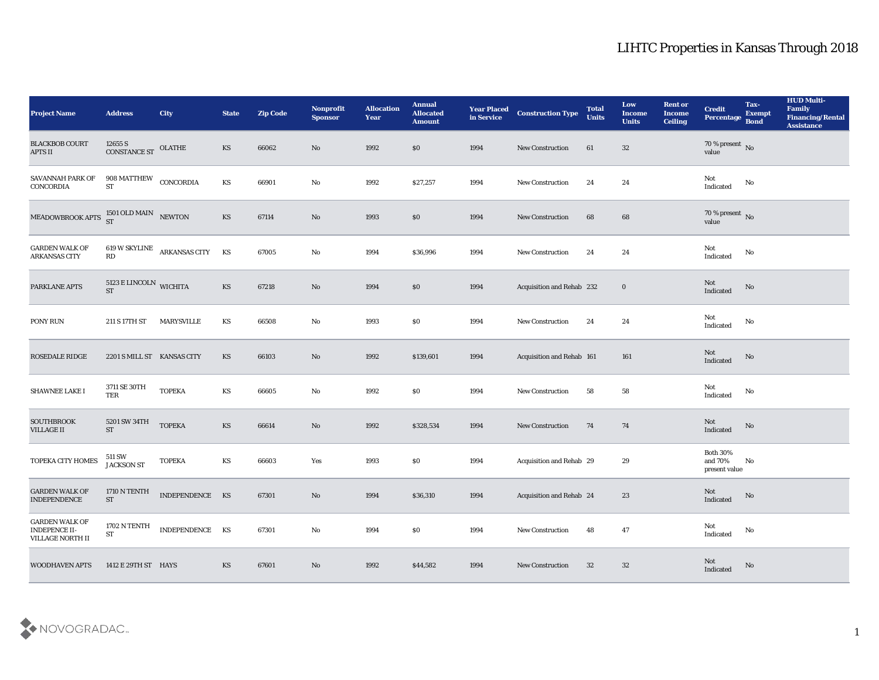| <b>Project Name</b>                                                      | <b>Address</b>                       | City                           | <b>State</b>           | <b>Zip Code</b> | Nonprofit<br><b>Sponsor</b> | <b>Allocation</b><br><b>Year</b> | <b>Annual</b><br><b>Allocated</b><br><b>Amount</b> | <b>Year Placed</b><br>in Service | <b>Construction Type</b>        | <b>Total</b><br><b>Units</b> | Low<br><b>Income</b><br><b>Units</b> | <b>Rent or</b><br><b>Income</b><br><b>Ceiling</b> | <b>Credit</b><br>Percentage                 | Tax-<br><b>Exempt</b><br><b>Bond</b> | <b>HUD Multi-</b><br>Family<br><b>Financing/Rental</b><br><b>Assistance</b> |
|--------------------------------------------------------------------------|--------------------------------------|--------------------------------|------------------------|-----------------|-----------------------------|----------------------------------|----------------------------------------------------|----------------------------------|---------------------------------|------------------------------|--------------------------------------|---------------------------------------------------|---------------------------------------------|--------------------------------------|-----------------------------------------------------------------------------|
| <b>BLACKBOB COURT</b><br><b>APTS II</b>                                  | $12655$ S<br>CONSTANCE ST OLATHE     |                                | KS                     | 66062           | No                          | 1992                             | \$0                                                | 1994                             | New Construction                | 61                           | 32                                   |                                                   | $70$ % present $\,$ No $\,$ value           |                                      |                                                                             |
| SAVANNAH PARK OF<br>CONCORDIA                                            | 908 MATTHEW CONCORDIA<br><b>ST</b>   |                                | $\mathbf{K}\mathbf{S}$ | 66901           | No                          | 1992                             | \$27,257                                           | 1994                             | <b>New Construction</b>         | 24                           | 24                                   |                                                   | Not<br>Indicated                            | No                                   |                                                                             |
| MEADOWBROOK APTS $^{1501}_{ST}$ OLD MAIN NEWTON                          |                                      |                                | KS                     | 67114           | $\rm\thinspace No$          | 1993                             | $\$0$                                              | 1994                             | <b>New Construction</b>         | 68                           | 68                                   |                                                   | 70 % present No<br>value                    |                                      |                                                                             |
| <b>GARDEN WALK OF</b><br><b>ARKANSAS CITY</b>                            | $\mathbf{R}\mathbf{D}$               | 619 W SKYLINE ARKANSAS CITY KS |                        | 67005           | $\rm\thinspace No$          | 1994                             | \$36,996                                           | 1994                             | New Construction                | 24                           | 24                                   |                                                   | Not<br>Indicated                            | No                                   |                                                                             |
| PARKLANE APTS                                                            | $5123 \to \text{LINCOLN}$ WICHITA ST |                                | $\mathbf{K}\mathbf{S}$ | 67218           | $\rm\thinspace No$          | 1994                             | \$0                                                | 1994                             | Acquisition and Rehab 232       |                              | $\bf{0}$                             |                                                   | Not<br>Indicated                            | No                                   |                                                                             |
| PONY RUN                                                                 | 211 S 17TH ST                        | MARYSVILLE                     | KS                     | 66508           | No                          | 1993                             | \$0                                                | 1994                             | <b>New Construction</b>         | 24                           | 24                                   |                                                   | Not<br>Indicated                            | No                                   |                                                                             |
| <b>ROSEDALE RIDGE</b>                                                    | 2201 S MILL ST KANSAS CITY           |                                | KS                     | 66103           | No                          | 1992                             | \$139,601                                          | 1994                             | Acquisition and Rehab 161       |                              | 161                                  |                                                   | Not<br>Indicated                            | $\mathbf{N}\mathbf{o}$               |                                                                             |
| <b>SHAWNEE LAKE I</b>                                                    | 3711 SE 30TH<br>TER                  | <b>TOPEKA</b>                  | KS                     | 66605           | No                          | 1992                             | \$0                                                | 1994                             | <b>New Construction</b>         | 58                           | 58                                   |                                                   | Not<br>Indicated                            | No                                   |                                                                             |
| <b>SOUTHBROOK</b><br><b>VILLAGE II</b>                                   | 5201 SW 34TH<br><b>ST</b>            | <b>TOPEKA</b>                  | KS                     | 66614           | $\rm\thinspace No$          | 1992                             | \$328,534                                          | 1994                             | New Construction                | 74                           | 74                                   |                                                   | Not<br>Indicated                            | $\mathbf{N}\mathbf{o}$               |                                                                             |
| TOPEKA CITY HOMES                                                        | 511 SW<br><b>JACKSON ST</b>          | <b>TOPEKA</b>                  | KS                     | 66603           | Yes                         | 1993                             | \$0                                                | 1994                             | Acquisition and Rehab 29        |                              | 29                                   |                                                   | <b>Both 30%</b><br>and 70%<br>present value | No                                   |                                                                             |
| <b>GARDEN WALK OF</b><br><b>INDEPENDENCE</b>                             | 1710 N TENTH<br><b>ST</b>            | INDEPENDENCE KS                |                        | 67301           | No                          | 1994                             | \$36,310                                           | 1994                             | <b>Acquisition and Rehab 24</b> |                              | 23                                   |                                                   | Not<br>Indicated                            | No                                   |                                                                             |
| <b>GARDEN WALK OF</b><br><b>INDEPENCE II-</b><br><b>VILLAGE NORTH II</b> | 1702 N TENTH<br>${\cal S}{\cal T}$   | INDEPENDENCE KS                |                        | 67301           | $\rm\thinspace No$          | 1994                             | $\$0$                                              | 1994                             | <b>New Construction</b>         | 48                           | 47                                   |                                                   | Not<br>$\operatorname{Indicated}$           | $\mathbf {No}$                       |                                                                             |
| <b>WOODHAVEN APTS</b>                                                    | 1412 E 29TH ST HAYS                  |                                | KS                     | 67601           | $\mathbf {No}$              | 1992                             | \$44,582                                           | 1994                             | <b>New Construction</b>         | 32                           | 32                                   |                                                   | Not<br>Indicated                            | $\rm No$                             |                                                                             |

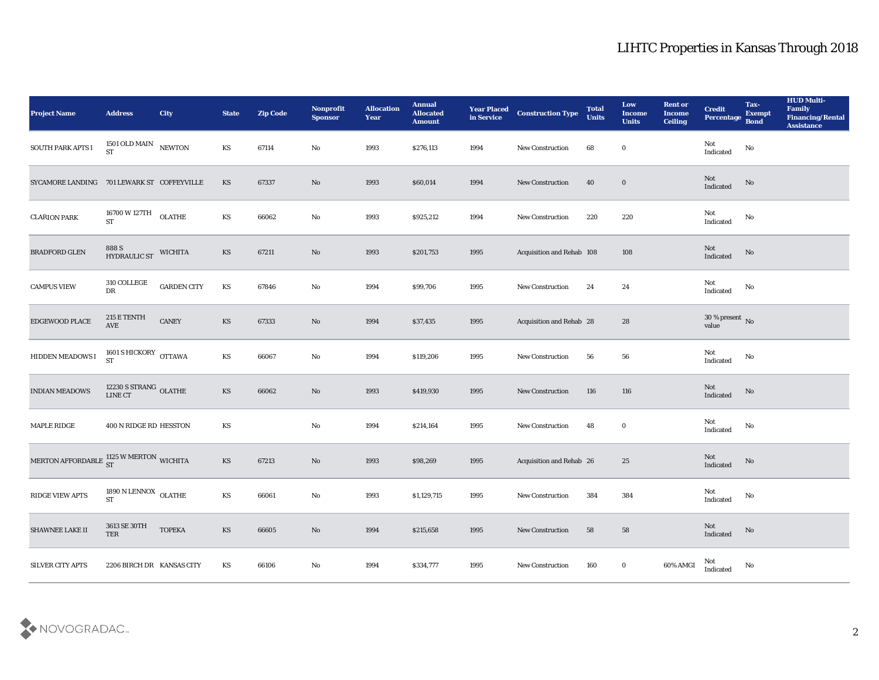| <b>Project Name</b>                                      | <b>Address</b>                        | <b>City</b>        | <b>State</b>           | <b>Zip Code</b> | Nonprofit<br><b>Sponsor</b> | <b>Allocation</b><br><b>Year</b> | <b>Annual</b><br><b>Allocated</b><br><b>Amount</b> | <b>Year Placed</b><br>in Service | <b>Construction Type</b>  | <b>Total</b><br><b>Units</b> | Low<br><b>Income</b><br><b>Units</b> | <b>Rent or</b><br><b>Income</b><br><b>Ceiling</b> | <b>Credit</b><br>Percentage Bond                  | Tax-<br><b>Exempt</b> | <b>HUD Multi-</b><br>Family<br><b>Financing/Rental</b><br><b>Assistance</b> |
|----------------------------------------------------------|---------------------------------------|--------------------|------------------------|-----------------|-----------------------------|----------------------------------|----------------------------------------------------|----------------------------------|---------------------------|------------------------------|--------------------------------------|---------------------------------------------------|---------------------------------------------------|-----------------------|-----------------------------------------------------------------------------|
| SOUTH PARK APTS I                                        | $1501$ OLD MAIN $$\,{\rm NEWTON}$$ ST |                    | KS                     | 67114           | No                          | 1993                             | \$276,113                                          | 1994                             | New Construction          | 68                           | $\bf{0}$                             |                                                   | Not<br>Indicated                                  | $\rm No$              |                                                                             |
| SYCAMORE LANDING 701 LEWARK ST COFFEYVILLE               |                                       |                    | KS                     | 67337           | No                          | 1993                             | \$60,014                                           | 1994                             | New Construction          | 40                           | $\bf{0}$                             |                                                   | Not<br>Indicated                                  | No                    |                                                                             |
| <b>CLARION PARK</b>                                      | 16700 W 127TH<br><b>ST</b>            | <b>OLATHE</b>      | KS                     | 66062           | No                          | 1993                             | \$925,212                                          | 1994                             | New Construction          | 220                          | 220                                  |                                                   | Not<br>Indicated                                  | No                    |                                                                             |
| <b>BRADFORD GLEN</b>                                     | 888 S<br>HYDRAULIC ST                 | <b>WICHITA</b>     | KS                     | 67211           | No                          | 1993                             | \$201,753                                          | 1995                             | Acquisition and Rehab 108 |                              | 108                                  |                                                   | Not<br>Indicated                                  | $\mathbf {No}$        |                                                                             |
| <b>CAMPUS VIEW</b>                                       | 310 COLLEGE<br>DR                     | <b>GARDEN CITY</b> | KS                     | 67846           | No                          | 1994                             | \$99,706                                           | 1995                             | <b>New Construction</b>   | 24                           | 24                                   |                                                   | Not<br>Indicated                                  | No                    |                                                                             |
| EDGEWOOD PLACE                                           | 215 E TENTH<br>$\operatorname{AVE}$   | <b>CANEY</b>       | KS                     | 67333           | No                          | 1994                             | \$37,435                                           | 1995                             | Acquisition and Rehab 28  |                              | 28                                   |                                                   | $30\,\%$ present $\,$ No value                    |                       |                                                                             |
| HIDDEN MEADOWS I                                         | 1601 S HICKORY OTTAWA ST              |                    | KS                     | 66067           | No                          | 1994                             | \$119,206                                          | 1995                             | <b>New Construction</b>   | 56                           | 56                                   |                                                   | Not<br>$\label{thm:indicated} \textbf{Indicated}$ | No                    |                                                                             |
| <b>INDIAN MEADOWS</b>                                    | 12230 S STRANG OLATHE<br>LINE CT      |                    | KS                     | 66062           | No                          | 1993                             | \$419,930                                          | 1995                             | <b>New Construction</b>   | 116                          | 116                                  |                                                   | Not<br>Indicated                                  | No                    |                                                                             |
| MAPLE RIDGE                                              | 400 N RIDGE RD HESSTON                |                    | KS                     |                 | No                          | 1994                             | \$214,164                                          | 1995                             | New Construction          | 48                           | $\bf{0}$                             |                                                   | Not<br>$\operatorname{Indicated}$                 | No                    |                                                                             |
| MERTON AFFORDABLE $\frac{1125}{\rm ST}$ W MERTON WICHITA |                                       |                    | KS                     | 67213           | $\mathbf{N}\mathbf{o}$      | 1993                             | \$98,269                                           | 1995                             | Acquisition and Rehab 26  |                              | 25                                   |                                                   | Not<br>Indicated                                  | $\mathbf {No}$        |                                                                             |
| <b>RIDGE VIEW APTS</b>                                   | 1890 N LENNOX OLATHE<br><b>ST</b>     |                    | KS                     | 66061           | No                          | 1993                             | \$1,129,715                                        | 1995                             | <b>New Construction</b>   | 384                          | 384                                  |                                                   | Not<br>$\operatorname{Indicated}$                 | No                    |                                                                             |
| <b>SHAWNEE LAKE II</b>                                   | 3613 SE 30TH<br>TER                   | <b>TOPEKA</b>      | $\mathbf{K}\mathbf{S}$ | 66605           | $\rm \bf No$                | 1994                             | \$215,658                                          | 1995                             | New Construction          | 58                           | ${\bf 58}$                           |                                                   | Not<br>$\operatorname{Indicated}$                 | $\mathbf {No}$        |                                                                             |
| SILVER CITY APTS                                         | 2206 BIRCH DR KANSAS CITY             |                    | KS                     | 66106           | $\rm\, No$                  | 1994                             | \$334,777                                          | 1995                             | <b>New Construction</b>   | 160                          | $\bf{0}$                             | 60% AMGI                                          | Not<br>Indicated                                  | $\mathbf {No}$        |                                                                             |

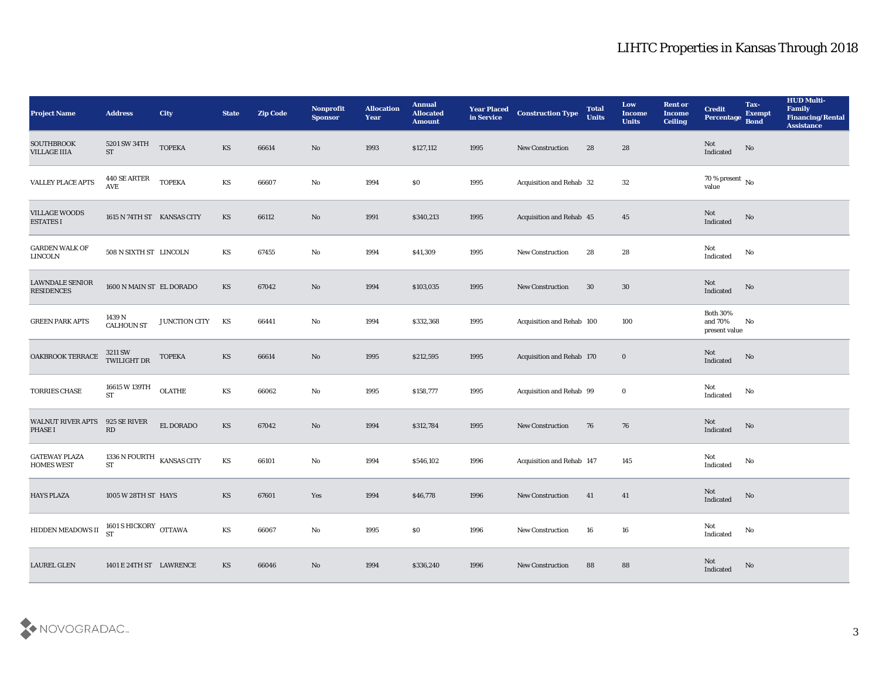| <b>Project Name</b>                               | <b>Address</b>                                | City               | <b>State</b>           | <b>Zip Code</b> | Nonprofit<br><b>Sponsor</b> | <b>Allocation</b><br><b>Year</b> | <b>Annual</b><br><b>Allocated</b><br><b>Amount</b> | <b>Year Placed</b><br>in Service | <b>Construction Type</b>  | <b>Total</b><br><b>Units</b> | Low<br><b>Income</b><br><b>Units</b> | <b>Rent or</b><br><b>Income</b><br><b>Ceiling</b> | <b>Credit</b><br>Percentage                 | Tax-<br><b>Exempt</b><br><b>Bond</b> | <b>HUD Multi-</b><br>Family<br><b>Financing/Rental</b><br><b>Assistance</b> |
|---------------------------------------------------|-----------------------------------------------|--------------------|------------------------|-----------------|-----------------------------|----------------------------------|----------------------------------------------------|----------------------------------|---------------------------|------------------------------|--------------------------------------|---------------------------------------------------|---------------------------------------------|--------------------------------------|-----------------------------------------------------------------------------|
| <b>SOUTHBROOK</b><br><b>VILLAGE IIIA</b>          | 5201 SW 34TH<br><b>ST</b>                     | <b>TOPEKA</b>      | <b>KS</b>              | 66614           | No                          | 1993                             | \$127,112                                          | 1995                             | <b>New Construction</b>   | 28                           | 28                                   |                                                   | Not<br>Indicated                            | No                                   |                                                                             |
| VALLEY PLACE APTS                                 | 440 SE ARTER<br>$\operatorname{\mathbf{AVE}}$ | <b>TOPEKA</b>      | KS                     | 66607           | No                          | 1994                             | $\$0$                                              | 1995                             | Acquisition and Rehab 32  |                              | 32                                   |                                                   | $70\,\%$ present $\,$ No value              |                                      |                                                                             |
| <b>VILLAGE WOODS</b><br><b>ESTATES I</b>          | 1615 N 74TH ST KANSAS CITY                    |                    | KS                     | 66112           | No                          | 1991                             | \$340,213                                          | 1995                             | Acquisition and Rehab 45  |                              | 45                                   |                                                   | Not<br>Indicated                            | $\mathbf{N}\mathbf{o}$               |                                                                             |
| <b>GARDEN WALK OF</b><br><b>LINCOLN</b>           | 508 N SIXTH ST LINCOLN                        |                    | KS                     | 67455           | No                          | 1994                             | \$41,309                                           | 1995                             | New Construction          | 28                           | 28                                   |                                                   | Not<br>Indicated                            | No                                   |                                                                             |
| <b>LAWNDALE SENIOR</b><br><b>RESIDENCES</b>       | 1600 N MAIN ST EL DORADO                      |                    | KS                     | 67042           | No                          | 1994                             | \$103,035                                          | 1995                             | <b>New Construction</b>   | 30                           | 30                                   |                                                   | Not<br>Indicated                            | $\mathbf{N}\mathbf{o}$               |                                                                             |
| <b>GREEN PARK APTS</b>                            | 1439 N<br><b>CALHOUN ST</b>                   | JUNCTION CITY      | KS                     | 66441           | No                          | 1994                             | \$332,368                                          | 1995                             | Acquisition and Rehab 100 |                              | 100                                  |                                                   | <b>Both 30%</b><br>and 70%<br>present value | No                                   |                                                                             |
| OAKBROOK TERRACE                                  | 3211 SW<br>TWILIGHT DR                        | <b>TOPEKA</b>      | KS                     | 66614           | No                          | 1995                             | \$212,595                                          | 1995                             | Acquisition and Rehab 170 |                              | $\bf{0}$                             |                                                   | Not<br>Indicated                            | $\mathbf{N}\mathbf{o}$               |                                                                             |
| <b>TORRIES CHASE</b>                              | 16615 W 139TH<br><b>ST</b>                    | $OLATHE$           | KS                     | 66062           | No                          | 1995                             | \$158,777                                          | 1995                             | Acquisition and Rehab 99  |                              | $\bf{0}$                             |                                                   | Not<br>Indicated                            | No                                   |                                                                             |
| <b>WALNUT RIVER APTS</b><br><b>PHASE I</b>        | 925 SE RIVER<br>RD                            | EL DORADO          | KS                     | 67042           | $\mathbf{N}\mathbf{o}$      | 1994                             | \$312,784                                          | 1995                             | New Construction          | 76                           | 76                                   |                                                   | Not<br>Indicated                            | $\mathbf{N}\mathbf{o}$               |                                                                             |
| <b>GATEWAY PLAZA</b><br><b>HOMES WEST</b>         | 1336 N FOURTH<br><b>ST</b>                    | <b>KANSAS CITY</b> | $\mathbf{K}\mathbf{S}$ | 66101           | No                          | 1994                             | \$546,102                                          | 1996                             | Acquisition and Rehab 147 |                              | 145                                  |                                                   | Not<br>$\operatorname{Indicated}$           | No                                   |                                                                             |
| <b>HAYS PLAZA</b>                                 | 1005 W 28TH ST HAYS                           |                    | KS                     | 67601           | Yes                         | 1994                             | \$46,778                                           | 1996                             | <b>New Construction</b>   | 41                           | 41                                   |                                                   | Not<br>Indicated                            | No                                   |                                                                             |
| HIDDEN MEADOWS II $_{ST}^{1601}$ S HICKORY OTTAWA |                                               |                    | $\mathbf{K}\mathbf{S}$ | 66067           | $\mathbf{N}\mathbf{o}$      | 1995                             | $\$0$                                              | 1996                             | <b>New Construction</b>   | 16                           | ${\bf 16}$                           |                                                   | Not<br>$\operatorname{Indicated}$           | $\mathbf {No}$                       |                                                                             |
| LAUREL GLEN                                       | 1401 E 24TH ST LAWRENCE                       |                    | KS                     | 66046           | $\rm\, No$                  | 1994                             | \$336,240                                          | 1996                             | <b>New Construction</b>   | 88                           | ${\bf 88}$                           |                                                   | Not<br>Indicated                            | $\mathbf{N}\mathbf{o}$               |                                                                             |

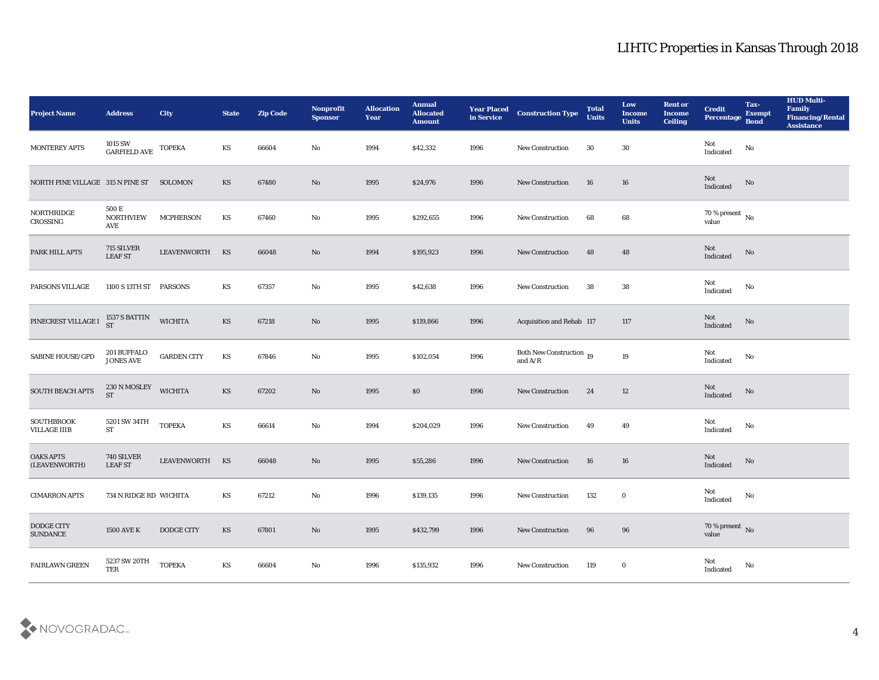| <b>Project Name</b>                      | <b>Address</b>                   | City               | <b>State</b>           | <b>Zip Code</b> | Nonprofit<br><b>Sponsor</b> | <b>Allocation</b><br><b>Year</b> | <b>Annual</b><br><b>Allocated</b><br><b>Amount</b> | <b>Year Placed<br/>in Service</b> | <b>Construction Type</b>                                                          | <b>Total</b><br><b>Units</b> | Low<br><b>Income</b><br><b>Units</b> | <b>Rent or</b><br><b>Income</b><br><b>Ceiling</b> | <b>Credit</b><br>Percentage        | Tax-<br><b>Exempt</b><br><b>Bond</b> | <b>HUD Multi-</b><br>Family<br><b>Financing/Rental</b><br><b>Assistance</b> |
|------------------------------------------|----------------------------------|--------------------|------------------------|-----------------|-----------------------------|----------------------------------|----------------------------------------------------|-----------------------------------|-----------------------------------------------------------------------------------|------------------------------|--------------------------------------|---------------------------------------------------|------------------------------------|--------------------------------------|-----------------------------------------------------------------------------|
| MONTEREY APTS                            | 1015 SW<br>GARFIELD AVE          | <b>TOPEKA</b>      | KS                     | 66604           | No                          | 1994                             | \$42,332                                           | 1996                              | New Construction                                                                  | 30                           | 30                                   |                                                   | Not<br>$\operatorname{Indicated}$  | No                                   |                                                                             |
| NORTH PINE VILLAGE 315 N PINE ST         |                                  | SOLOMON            | KS                     | 67480           | No                          | 1995                             | \$24,976                                           | 1996                              | <b>New Construction</b>                                                           | 16                           | 16                                   |                                                   | Not<br>Indicated                   | No                                   |                                                                             |
| NORTHRIDGE<br>CROSSING                   | 500 E<br><b>NORTHVIEW</b><br>AVE | <b>MCPHERSON</b>   | KS                     | 67460           | No                          | 1995                             | \$292,655                                          | 1996                              | New Construction                                                                  | 68                           | 68                                   |                                                   | 70 % present $\,$ No $\,$<br>value |                                      |                                                                             |
| PARK HILL APTS                           | 715 SILVER<br><b>LEAF ST</b>     | <b>LEAVENWORTH</b> | KS                     | 66048           | No                          | 1994                             | \$195,923                                          | 1996                              | New Construction                                                                  | 48                           | 48                                   |                                                   | Not<br>Indicated                   | $\rm \bf No$                         |                                                                             |
| PARSONS VILLAGE                          | 1100 S 13TH ST                   | <b>PARSONS</b>     | KS                     | 67357           | No                          | 1995                             | \$42,638                                           | 1996                              | <b>New Construction</b>                                                           | 38                           | 38                                   |                                                   | Not<br>Indicated                   | No                                   |                                                                             |
| PINECREST VILLAGE I                      | 1537 S BATTIN<br>ST              | <b>WICHITA</b>     | <b>KS</b>              | 67218           | $\rm \bf No$                | 1995                             | \$119,866                                          | 1996                              | <b>Acquisition and Rehab 117</b>                                                  |                              | 117                                  |                                                   | Not<br>Indicated                   | No                                   |                                                                             |
| <b>SABINE HOUSE/GPD</b>                  | 201 BUFFALO<br><b>JONES AVE</b>  | <b>GARDEN CITY</b> | $\mathbf{K}\mathbf{S}$ | 67846           | No                          | 1995                             | \$102,054                                          | 1996                              | Both New Construction 19<br>and $\ensuremath{\mathrm{A}}/\ensuremath{\mathrm{R}}$ |                              | $19\,$                               |                                                   | Not<br>$\operatorname{Indicated}$  | No                                   |                                                                             |
| SOUTH BEACH APTS                         | 230 N MOSLEY<br><b>ST</b>        | <b>WICHITA</b>     | <b>KS</b>              | 67202           | $\rm\thinspace No$          | 1995                             | \$0                                                | 1996                              | <b>New Construction</b>                                                           | 24                           | 12                                   |                                                   | Not<br>Indicated                   | No                                   |                                                                             |
| <b>SOUTHBROOK</b><br><b>VILLAGE IIIB</b> | 5201 SW 34TH<br><b>ST</b>        | <b>TOPEKA</b>      | $\mathbf{K}\mathbf{S}$ | 66614           | $\rm\thinspace No$          | 1994                             | \$204,029                                          | 1996                              | New Construction                                                                  | 49                           | 49                                   |                                                   | Not<br>Indicated                   | No                                   |                                                                             |
| <b>OAKS APTS</b><br>(LEAVENWORTH)        | 740 SILVER<br><b>LEAF ST</b>     | <b>LEAVENWORTH</b> | KS                     | 66048           | $\mathbf{N}\mathbf{o}$      | 1995                             | \$55,286                                           | 1996                              | <b>New Construction</b>                                                           | 16                           | 16                                   |                                                   | Not<br>Indicated                   | No                                   |                                                                             |
| <b>CIMARRON APTS</b>                     | 734 N RIDGE RD WICHITA           |                    | KS                     | 67212           | No                          | 1996                             | \$139,135                                          | 1996                              | <b>New Construction</b>                                                           | 132                          | $\bf{0}$                             |                                                   | Not<br>Indicated                   | No                                   |                                                                             |
| DODGE CITY<br><b>SUNDANCE</b>            | <b>1500 AVE K</b>                | DODGE CITY         | $\mathbf{K}\mathbf{S}$ | 67801           | $\rm\, No$                  | 1995                             | \$432,799                                          | 1996                              | <b>New Construction</b>                                                           | 96                           | 96                                   |                                                   | $70\,\%$ present $\,$ No value     |                                      |                                                                             |
| <b>FAIRLAWN GREEN</b>                    | 5237 SW 20TH<br>TER              | <b>TOPEKA</b>      | $\mathbf{K}\mathbf{S}$ | 66604           | $\rm\, No$                  | 1996                             | \$135,932                                          | 1996                              | <b>New Construction</b>                                                           | 119                          | $\bf{0}$                             |                                                   | Not<br>$\operatorname{Indicated}$  | No                                   |                                                                             |

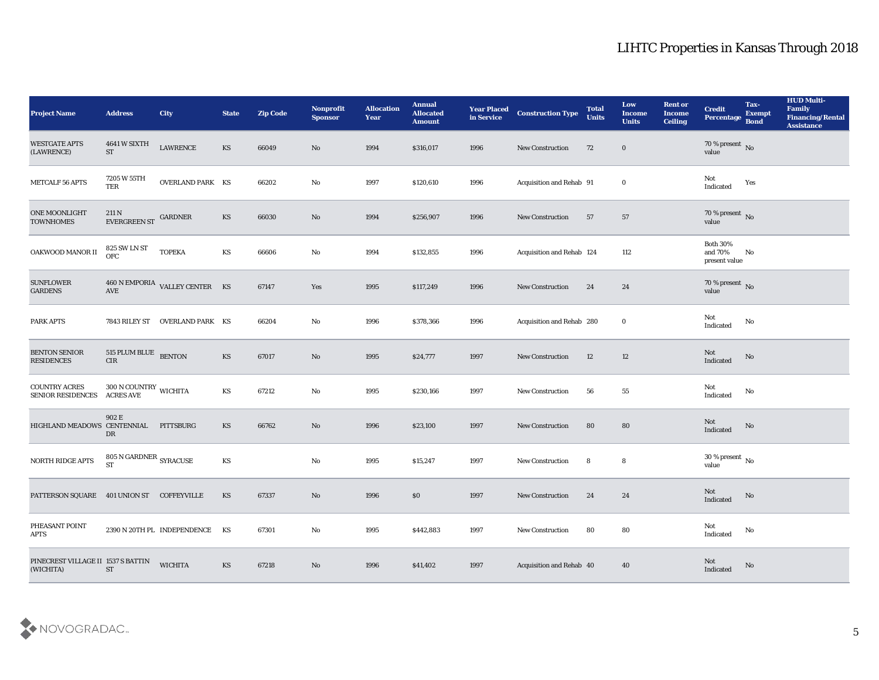| <b>Project Name</b>                              | <b>Address</b>                                         | <b>City</b>                                         | <b>State</b>           | <b>Zip Code</b> | Nonprofit<br><b>Sponsor</b> | <b>Allocation</b><br>Year | <b>Annual</b><br><b>Allocated</b><br><b>Amount</b> | <b>Year Placed<br/>in Service</b> | <b>Construction Type</b>  | <b>Total</b><br><b>Units</b> | Low<br><b>Income</b><br><b>Units</b> | <b>Rent or</b><br><b>Income</b><br><b>Ceiling</b> | <b>Credit</b><br>Percentage                    | Tax-<br><b>Exempt</b><br><b>Bond</b> | <b>HUD Multi-</b><br>Family<br><b>Financing/Rental</b><br><b>Assistance</b> |
|--------------------------------------------------|--------------------------------------------------------|-----------------------------------------------------|------------------------|-----------------|-----------------------------|---------------------------|----------------------------------------------------|-----------------------------------|---------------------------|------------------------------|--------------------------------------|---------------------------------------------------|------------------------------------------------|--------------------------------------|-----------------------------------------------------------------------------|
| <b>WESTGATE APTS</b><br>(LAWRENCE)               | 4641 W SIXTH<br><b>ST</b>                              | LAWRENCE                                            | KS                     | 66049           | $\rm\thinspace No$          | 1994                      | \$316,017                                          | 1996                              | <b>New Construction</b>   | 72                           | $\bf{0}$                             |                                                   | $70$ % present $\,$ No $\,$ value              |                                      |                                                                             |
| METCALF 56 APTS                                  | 7205 W 55TH<br>TER                                     | <b>OVERLAND PARK KS</b>                             |                        | 66202           | No                          | 1997                      | \$120,610                                          | 1996                              | Acquisition and Rehab 91  |                              | $\bf{0}$                             |                                                   | Not<br>Indicated                               | Yes                                  |                                                                             |
| <b>ONE MOONLIGHT</b><br><b>TOWNHOMES</b>         | $211$ N $$\,{\rm EVERGREEN}\,{\rm ST}$$                | GARDNER                                             | KS                     | 66030           | No                          | 1994                      | \$256,907                                          | 1996                              | <b>New Construction</b>   | 57                           | 57                                   |                                                   | $70\,\%$ present $\,$ No value                 |                                      |                                                                             |
| OAKWOOD MANOR II                                 | <b>825 SW LN ST</b><br>OFC                             | <b>TOPEKA</b>                                       | KS                     | 66606           | No                          | 1994                      | \$132,855                                          | 1996                              | Acquisition and Rehab 124 |                              | 112                                  |                                                   | <b>Both 30%</b><br>and $70\%$<br>present value | No                                   |                                                                             |
| <b>SUNFLOWER</b><br><b>GARDENS</b>               |                                                        | $460$ N EMPORIA $\,$ VALLEY CENTER $\,$ KS $\,$ AVE |                        | 67147           | Yes                         | 1995                      | \$117,249                                          | 1996                              | <b>New Construction</b>   | 24                           | 24                                   |                                                   | $70$ % present $\,$ No $\,$ value              |                                      |                                                                             |
| <b>PARK APTS</b>                                 |                                                        | 7843 RILEY ST OVERLAND PARK KS                      |                        | 66204           | No                          | 1996                      | \$378,366                                          | 1996                              | Acquisition and Rehab 280 |                              | $\bf{0}$                             |                                                   | Not<br>Indicated                               | No                                   |                                                                             |
| <b>BENTON SENIOR</b><br><b>RESIDENCES</b>        | 515 PLUM BLUE BENTON<br>${\rm CIR}$                    |                                                     | $\mathbf{K}\mathbf{S}$ | 67017           | $\rm\thinspace No$          | 1995                      | \$24,777                                           | 1997                              | New Construction          | 12                           | 12                                   |                                                   | Not<br>Indicated                               | $\rm \bf No$                         |                                                                             |
| <b>COUNTRY ACRES</b><br><b>SENIOR RESIDENCES</b> | $300$ N COUNTRY $\,$ WICHITA ACRES AVE                 |                                                     | KS                     | 67212           | $\mathbf{No}$               | 1995                      | \$230,166                                          | 1997                              | <b>New Construction</b>   | 56                           | 55                                   |                                                   | Not<br>Indicated                               | No                                   |                                                                             |
| HIGHLAND MEADOWS CENTENNIAL                      | 902 E<br>DR                                            | PITTSBURG                                           | KS                     | 66762           | $\mathbf{N}\mathbf{o}$      | 1996                      | \$23,100                                           | 1997                              | New Construction          | 80                           | 80                                   |                                                   | Not<br>Indicated                               | No                                   |                                                                             |
| NORTH RIDGE APTS                                 | 805 N GARDNER $_{\rm SYRACUSE}$<br>$\operatorname{ST}$ |                                                     | $\mathbf{K}\mathbf{S}$ |                 | $\mathbf {No}$              | 1995                      | \$15,247                                           | 1997                              | New Construction          | 8                            | 8                                    |                                                   | $30\,\%$ present $\,$ No value                 |                                      |                                                                             |
| PATTERSON SQUARE 401 UNION ST COFFEYVILLE        |                                                        |                                                     | KS                     | 67337           | No                          | 1996                      | S <sub>0</sub>                                     | 1997                              | <b>New Construction</b>   | 24                           | 24                                   |                                                   | Not<br>Indicated                               | No                                   |                                                                             |
| PHEASANT POINT<br><b>APTS</b>                    |                                                        | 2390 N 20TH PL INDEPENDENCE KS                      |                        | 67301           | $\mathbf{N}\mathbf{o}$      | 1995                      | \$442,883                                          | 1997                              | <b>New Construction</b>   | 80                           | 80                                   |                                                   | Not<br>Indicated                               | No                                   |                                                                             |
| PINECREST VILLAGE II 1537 S BATTIN<br>(WICHITA)  | ${\rm ST}$                                             | <b>WICHITA</b>                                      | KS                     | 67218           | $\rm\, No$                  | 1996                      | \$41,402                                           | 1997                              | Acquisition and Rehab 40  |                              | 40                                   |                                                   | Not<br>Indicated                               | $\mathbf{N}\mathbf{o}$               |                                                                             |

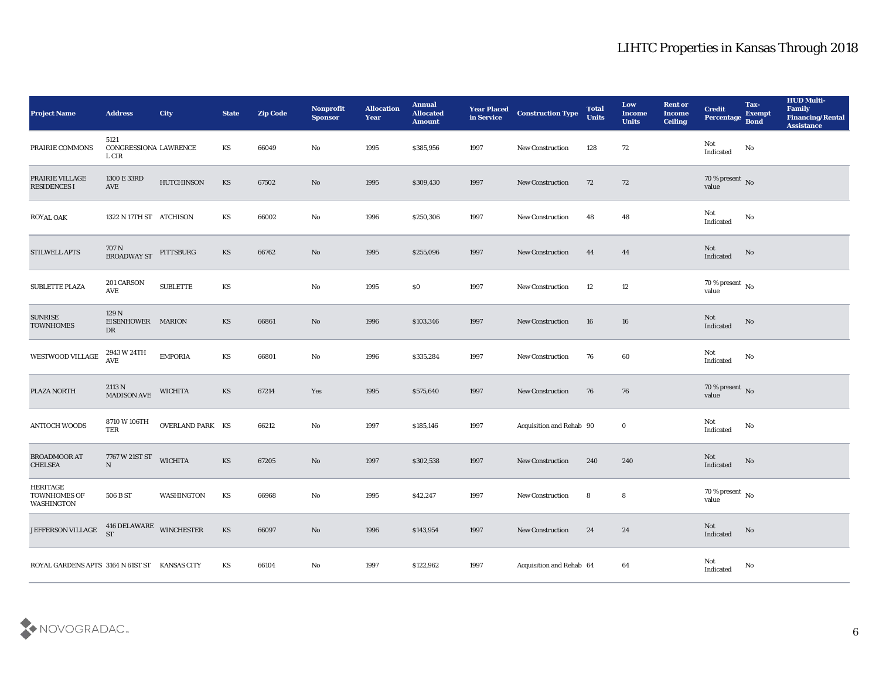| <b>Project Name</b>                                  | <b>Address</b>                         | <b>City</b>       | <b>State</b> | <b>Zip Code</b> | Nonprofit<br><b>Sponsor</b> | <b>Allocation</b><br><b>Year</b> | <b>Annual</b><br><b>Allocated</b><br><b>Amount</b> | <b>Year Placed<br/>in Service</b> | <b>Construction Type</b> | <b>Total</b><br><b>Units</b> | Low<br><b>Income</b><br><b>Units</b> | <b>Rent or</b><br><b>Income</b><br><b>Ceiling</b> | <b>Credit</b><br>Percentage           | Tax-<br><b>Exempt</b><br><b>Bond</b> | <b>HUD Multi-</b><br>Family<br><b>Financing/Rental</b><br><b>Assistance</b> |
|------------------------------------------------------|----------------------------------------|-------------------|--------------|-----------------|-----------------------------|----------------------------------|----------------------------------------------------|-----------------------------------|--------------------------|------------------------------|--------------------------------------|---------------------------------------------------|---------------------------------------|--------------------------------------|-----------------------------------------------------------------------------|
| PRAIRIE COMMONS                                      | 5121<br>CONGRESSIONA LAWRENCE<br>L CIR |                   | KS           | 66049           | No                          | 1995                             | \$385,956                                          | 1997                              | New Construction         | 128                          | 72                                   |                                                   | Not<br>$\operatorname{Indicated}$     | No                                   |                                                                             |
| PRAIRIE VILLAGE<br>RESIDENCES I                      | 1300 E 33RD<br>AVE                     | <b>HUTCHINSON</b> | KS           | 67502           | No                          | 1995                             | \$309,430                                          | 1997                              | <b>New Construction</b>  | 72                           | 72                                   |                                                   | $70\,\%$ present $\,$ No value        |                                      |                                                                             |
| <b>ROYAL OAK</b>                                     | 1322 N 17TH ST ATCHISON                |                   | KS           | 66002           | No                          | 1996                             | \$250,306                                          | 1997                              | New Construction         | 48                           | 48                                   |                                                   | Not<br>Indicated                      | No                                   |                                                                             |
| STILWELL APTS                                        | 707 N<br>BROADWAY ST                   | PITTSBURG         | KS           | 66762           | No                          | 1995                             | \$255,096                                          | 1997                              | New Construction         | 44                           | 44                                   |                                                   | Not<br>Indicated                      | $\rm\thinspace No$                   |                                                                             |
| <b>SUBLETTE PLAZA</b>                                | 201 CARSON<br>AVE                      | <b>SUBLETTE</b>   | KS           |                 | No                          | 1995                             | \$0                                                | 1997                              | <b>New Construction</b>  | 12                           | 12                                   |                                                   | $70\,\%$ present $\,$ No value        |                                      |                                                                             |
| <b>SUNRISE</b><br><b>TOWNHOMES</b>                   | 129 N<br>EISENHOWER MARION<br>DR       |                   | KS           | 66861           | $\rm\thinspace No$          | 1996                             | \$103,346                                          | 1997                              | New Construction         | 16                           | 16                                   |                                                   | $\rm Not$ Indicated                   | No                                   |                                                                             |
| WESTWOOD VILLAGE                                     | 2943 W 24TH<br>AVE                     | <b>EMPORIA</b>    | KS           | 66801           | No                          | 1996                             | \$335,284                                          | 1997                              | <b>New Construction</b>  | 76                           | 60                                   |                                                   | Not<br>$\operatorname{Indicated}$     | No                                   |                                                                             |
| PLAZA NORTH                                          | 2113 N<br>MADISON AVE                  | <b>WICHITA</b>    | KS           | 67214           | Yes                         | 1995                             | \$575,640                                          | 1997                              | <b>New Construction</b>  | 76                           | 76                                   |                                                   | $70\,\%$ present $\,$ No value        |                                      |                                                                             |
| <b>ANTIOCH WOODS</b>                                 | 8710 W 106TH<br>TER                    | OVERLAND PARK KS  |              | 66212           | $\mathbf{N}\mathbf{o}$      | 1997                             | \$185,146                                          | 1997                              | Acquisition and Rehab 90 |                              | $\bf{0}$                             |                                                   | Not<br>Indicated                      | No                                   |                                                                             |
| <b>BROADMOOR AT</b><br><b>CHELSEA</b>                | 7767 W 21ST ST<br>${\bf N}$            | <b>WICHITA</b>    | KS           | 67205           | $\mathbf{N}\mathbf{o}$      | 1997                             | \$302,538                                          | 1997                              | <b>New Construction</b>  | 240                          | 240                                  |                                                   | ${\rm Not}$ Indicated                 | No                                   |                                                                             |
| <b>HERITAGE</b><br><b>TOWNHOMES OF</b><br>WASHINGTON | 506 B ST                               | WASHINGTON        | KS           | 66968           | No                          | 1995                             | \$42,247                                           | 1997                              | <b>New Construction</b>  | 8                            | 8                                    |                                                   | $70\,\%$ present $\,$ No value        |                                      |                                                                             |
| JEFFERSON VILLAGE                                    | 416 DELAWARE WINCHESTER                |                   | KS           | 66097           | $\rm\, No$                  | 1996                             | \$143,954                                          | 1997                              | New Construction         | 24                           | 24                                   |                                                   | $\operatorname{\bf Not}$<br>Indicated | $\rm \bf No$                         |                                                                             |
| ROYAL GARDENS APTS 3164 N 61ST ST KANSAS CITY        |                                        |                   | KS           | 66104           | $\rm\, No$                  | 1997                             | \$122,962                                          | 1997                              | Acquisition and Rehab 64 |                              | 64                                   |                                                   | ${\rm Not}$ Indicated                 | No                                   |                                                                             |

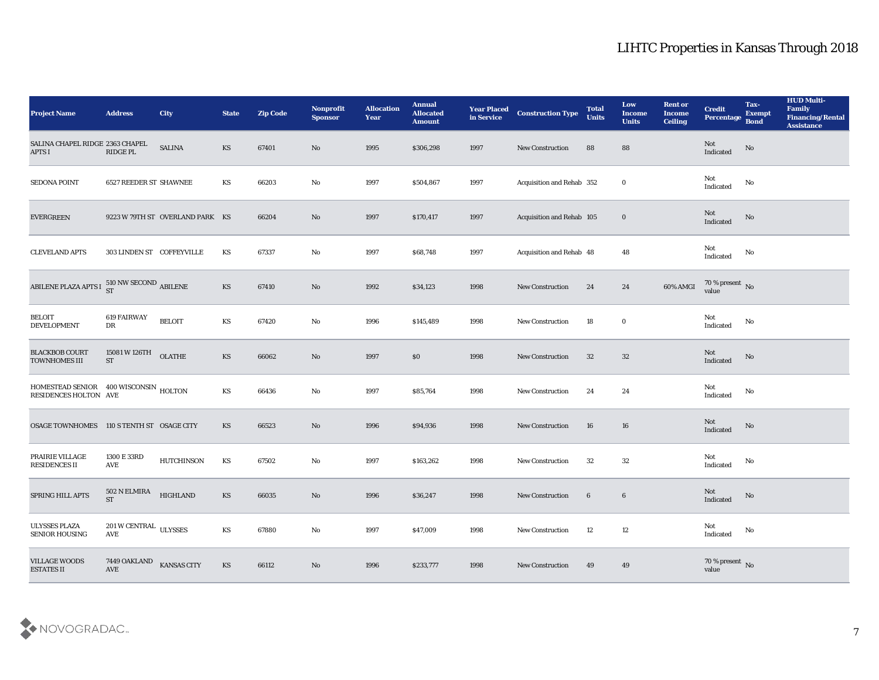| <b>Project Name</b>                                            | <b>Address</b>                                                                   | <b>City</b>                     | <b>State</b>           | <b>Zip Code</b> | Nonprofit<br><b>Sponsor</b> | <b>Allocation</b><br><b>Year</b> | <b>Annual</b><br><b>Allocated</b><br><b>Amount</b> | <b>Year Placed</b><br>in Service | <b>Construction Type</b>  | <b>Total</b><br><b>Units</b> | Low<br><b>Income</b><br><b>Units</b> | <b>Rent or</b><br><b>Income</b><br><b>Ceiling</b> | <b>Credit</b><br>Percentage       | Tax-<br><b>Exempt</b><br><b>Bond</b> | <b>HUD Multi-</b><br>Family<br><b>Financing/Rental</b><br><b>Assistance</b> |
|----------------------------------------------------------------|----------------------------------------------------------------------------------|---------------------------------|------------------------|-----------------|-----------------------------|----------------------------------|----------------------------------------------------|----------------------------------|---------------------------|------------------------------|--------------------------------------|---------------------------------------------------|-----------------------------------|--------------------------------------|-----------------------------------------------------------------------------|
| SALINA CHAPEL RIDGE 2363 CHAPEL<br><b>APTS I</b>               | RIDGE PL                                                                         | <b>SALINA</b>                   | KS                     | 67401           | No                          | 1995                             | \$306,298                                          | 1997                             | <b>New Construction</b>   | 88                           | 88                                   |                                                   | Not<br>Indicated                  | No                                   |                                                                             |
| <b>SEDONA POINT</b>                                            | <b>6527 REEDER ST SHAWNEE</b>                                                    |                                 | KS                     | 66203           | No                          | 1997                             | \$504,867                                          | 1997                             | Acquisition and Rehab 352 |                              | $\bf{0}$                             |                                                   | Not<br>Indicated                  | No                                   |                                                                             |
| <b>EVERGREEN</b>                                               |                                                                                  | 9223 W 79TH ST OVERLAND PARK KS |                        | 66204           | No                          | 1997                             | \$170,417                                          | 1997                             | Acquisition and Rehab 105 |                              | $\bf{0}$                             |                                                   | Not<br>Indicated                  | No                                   |                                                                             |
| <b>CLEVELAND APTS</b>                                          | 303 LINDEN ST COFFEYVILLE                                                        |                                 | KS                     | 67337           | No                          | 1997                             | \$68,748                                           | 1997                             | Acquisition and Rehab 48  |                              | 48                                   |                                                   | Not<br>$\operatorname{Indicated}$ | No                                   |                                                                             |
| ABILENE PLAZA APTS I $^{510}_{\rm ST}$ NW SECOND ABILENE       |                                                                                  |                                 | KS                     | 67410           | No                          | 1992                             | \$34,123                                           | 1998                             | <b>New Construction</b>   | 24                           | 24                                   | 60% AMGI                                          | $70\,\%$ present $\,$ No value    |                                      |                                                                             |
| <b>BELOIT</b><br><b>DEVELOPMENT</b>                            | 619 FAIRWAY<br>DR                                                                | <b>BELOIT</b>                   | KS                     | 67420           | No                          | 1996                             | \$145,489                                          | 1998                             | <b>New Construction</b>   | 18                           | $\bf{0}$                             |                                                   | Not<br>Indicated                  | No                                   |                                                                             |
| <b>BLACKBOB COURT</b><br><b>TOWNHOMES III</b>                  | 15081 W 126TH<br><b>ST</b>                                                       | <b>OLATHE</b>                   | KS                     | 66062           | No                          | 1997                             | \$0                                                | 1998                             | <b>New Construction</b>   | 32                           | 32                                   |                                                   | Not<br>Indicated                  | No                                   |                                                                             |
| HOMESTEAD SENIOR 400 WISCONSIN HOLTON<br>RESIDENCES HOLTON AVE |                                                                                  |                                 | KS                     | 66436           | No                          | 1997                             | \$85,764                                           | 1998                             | <b>New Construction</b>   | 24                           | 24                                   |                                                   | Not<br>Indicated                  | No                                   |                                                                             |
| OSAGE TOWNHOMES 110 S TENTH ST OSAGE CITY                      |                                                                                  |                                 | KS                     | 66523           | $\rm\thinspace No$          | 1996                             | \$94,936                                           | 1998                             | <b>New Construction</b>   | 16                           | 16                                   |                                                   | Not<br>Indicated                  | No                                   |                                                                             |
| PRAIRIE VILLAGE<br><b>RESIDENCES II</b>                        | 1300 E 33RD<br>AVE                                                               | <b>HUTCHINSON</b>               | KS                     | 67502           | No                          | 1997                             | \$163,262                                          | 1998                             | <b>New Construction</b>   | 32                           | 32                                   |                                                   | Not<br>Indicated                  | No                                   |                                                                             |
| SPRING HILL APTS                                               | 502 N ELMIRA<br>${\cal S}{\cal T}$                                               | <b>HIGHLAND</b>                 | KS                     | 66035           | No                          | 1996                             | \$36,247                                           | 1998                             | <b>New Construction</b>   | 6                            | $\boldsymbol{6}$                     |                                                   | Not<br>Indicated                  | No                                   |                                                                             |
| <b>ULYSSES PLAZA</b><br><b>SENIOR HOUSING</b>                  | $201\,\rm{W}\,\rm{C}\,\rm{ENT}\,\rm{R}\,\rm{AL}$ ULYSSES<br>$\operatorname{AVE}$ |                                 | $\mathbf{K}\mathbf{S}$ | 67880           | $\rm\, No$                  | 1997                             | \$47,009                                           | 1998                             | <b>New Construction</b>   | 12                           | 12                                   |                                                   | Not<br>Indicated                  | $\rm No$                             |                                                                             |
| <b>VILLAGE WOODS</b><br><b>ESTATES II</b>                      | 7449 OAKLAND<br>$\operatorname{AVE}$                                             | <b>KANSAS CITY</b>              | $\mathbf{K}\mathbf{S}$ | 66112           | $\rm \bf No$                | 1996                             | \$233,777                                          | 1998                             | <b>New Construction</b>   | 49                           | 49                                   |                                                   | $70\,\%$ present $\,$ No value    |                                      |                                                                             |

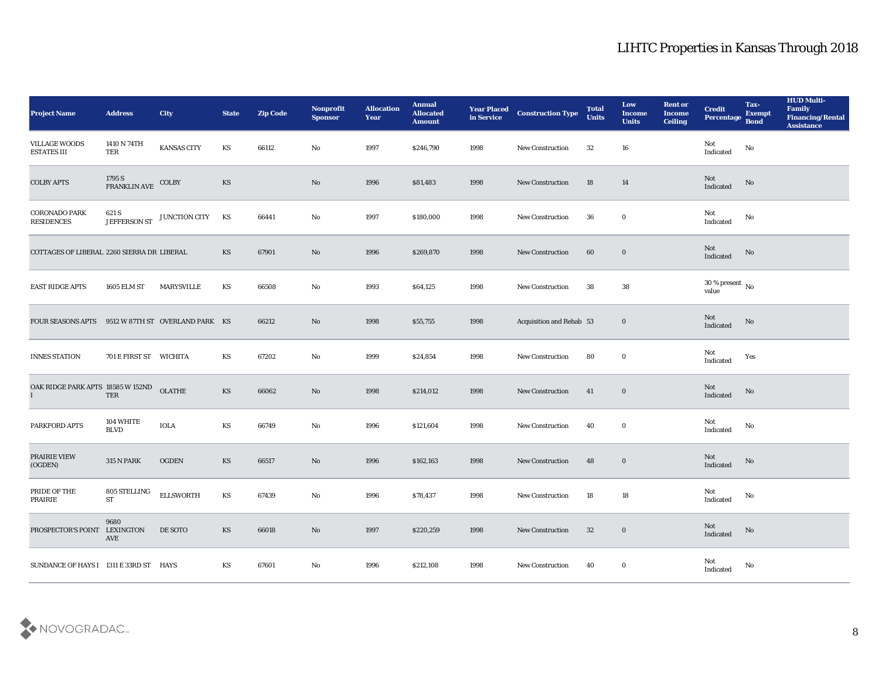| <b>Project Name</b>                               | <b>Address</b>                      | City              | <b>State</b> | <b>Zip Code</b> | Nonprofit<br><b>Sponsor</b> | <b>Allocation</b><br><b>Year</b> | <b>Annual</b><br><b>Allocated</b><br><b>Amount</b> | <b>Year Placed</b><br>in Service | <b>Construction Type</b> | <b>Total</b><br><b>Units</b> | Low<br><b>Income</b><br><b>Units</b> | <b>Rent or</b><br><b>Income</b><br><b>Ceiling</b> | <b>Credit</b><br>Percentage       | Tax-<br><b>Exempt</b><br><b>Bond</b> | <b>HUD Multi-</b><br>Family<br><b>Financing/Rental</b><br><b>Assistance</b> |
|---------------------------------------------------|-------------------------------------|-------------------|--------------|-----------------|-----------------------------|----------------------------------|----------------------------------------------------|----------------------------------|--------------------------|------------------------------|--------------------------------------|---------------------------------------------------|-----------------------------------|--------------------------------------|-----------------------------------------------------------------------------|
| <b>VILLAGE WOODS</b><br><b>ESTATES III</b>        | 1410 N 74TH<br>TER                  | KANSAS CITY       | KS           | 66112           | No                          | 1997                             | \$246,790                                          | 1998                             | New Construction         | 32                           | 16                                   |                                                   | Not<br>Indicated                  | No                                   |                                                                             |
| <b>COLBY APTS</b>                                 | 1795 S<br>FRANKLIN AVE              | COLBY             | KS           |                 | No                          | 1996                             | \$81,483                                           | 1998                             | <b>New Construction</b>  | 18                           | 14                                   |                                                   | Not<br>Indicated                  | No                                   |                                                                             |
| <b>CORONADO PARK</b><br><b>RESIDENCES</b>         | 621 S<br>JEFFERSON ST               | JUNCTION CITY     | KS           | 66441           | No                          | 1997                             | \$180,000                                          | 1998                             | <b>New Construction</b>  | 36                           | $\bf{0}$                             |                                                   | Not<br>Indicated                  | No                                   |                                                                             |
| COTTAGES OF LIBERAL 2260 SIERRA DR LIBERAL        |                                     |                   | KS           | 67901           | No                          | 1996                             | \$269,870                                          | 1998                             | <b>New Construction</b>  | 60                           | $\bf{0}$                             |                                                   | Not<br>Indicated                  | No                                   |                                                                             |
| <b>EAST RIDGE APTS</b>                            | <b>1605 ELM ST</b>                  | <b>MARYSVILLE</b> | KS           | 66508           | No                          | 1993                             | \$64,125                                           | 1998                             | <b>New Construction</b>  | 38                           | 38                                   |                                                   | $30\,\%$ present $\,$ No value    |                                      |                                                                             |
| FOUR SEASONS APTS 9512 W 87TH ST OVERLAND PARK KS |                                     |                   |              | 66212           | No                          | 1998                             | \$55,755                                           | 1998                             | Acquisition and Rehab 53 |                              | $\bf{0}$                             |                                                   | Not<br>Indicated                  | No                                   |                                                                             |
| <b>INNES STATION</b>                              | 701 E FIRST ST WICHITA              |                   | KS           | 67202           | $\mathbf{N}\mathbf{o}$      | 1999                             | \$24,854                                           | 1998                             | <b>New Construction</b>  | 80                           | $\bf{0}$                             |                                                   | Not<br>Indicated                  | Yes                                  |                                                                             |
| OAK RIDGE PARK APTS 18585 W 152ND                 | TER                                 | <b>OLATHE</b>     | KS           | 66062           | $\rm No$                    | 1998                             | \$214,012                                          | 1998                             | <b>New Construction</b>  | 41                           | $\bf{0}$                             |                                                   | Not<br>Indicated                  | No                                   |                                                                             |
| PARKFORD APTS                                     | 104 WHITE<br><b>BLVD</b>            | <b>IOLA</b>       | KS           | 66749           | No                          | 1996                             | \$121,604                                          | 1998                             | <b>New Construction</b>  | 40                           | $\bf{0}$                             |                                                   | Not<br>$\operatorname{Indicated}$ | No                                   |                                                                             |
| PRAIRIE VIEW<br>(OGDEN)                           | $315$ N PARK                        | <b>OGDEN</b>      | KS           | 66517           | No                          | 1996                             | \$162,163                                          | 1998                             | <b>New Construction</b>  | 48                           | $\bf{0}$                             |                                                   | Not<br>Indicated                  | No                                   |                                                                             |
| PRIDE OF THE<br><b>PRAIRIE</b>                    | 805 STELLING<br>$\operatorname{ST}$ | <b>ELLSWORTH</b>  | KS           | 67439           | No                          | 1996                             | \$78,437                                           | 1998                             | <b>New Construction</b>  | 18                           | 18                                   |                                                   | Not<br>Indicated                  | No                                   |                                                                             |
| PROSPECTOR'S POINT LEXINGTON                      | 9680<br>AVE                         | DE SOTO           | KS           | 66018           | $\mathbf{No}$               | 1997                             | \$220,259                                          | 1998                             | <b>New Construction</b>  | 32                           | $\bf{0}$                             |                                                   | Not<br>Indicated                  | No                                   |                                                                             |
| SUNDANCE OF HAYS I 1311 E 33RD ST HAYS            |                                     |                   | KS           | 67601           | $\rm\thinspace No$          | 1996                             | \$212,108                                          | 1998                             | <b>New Construction</b>  | 40                           | $\bf{0}$                             |                                                   | Not<br>Indicated                  | No                                   |                                                                             |

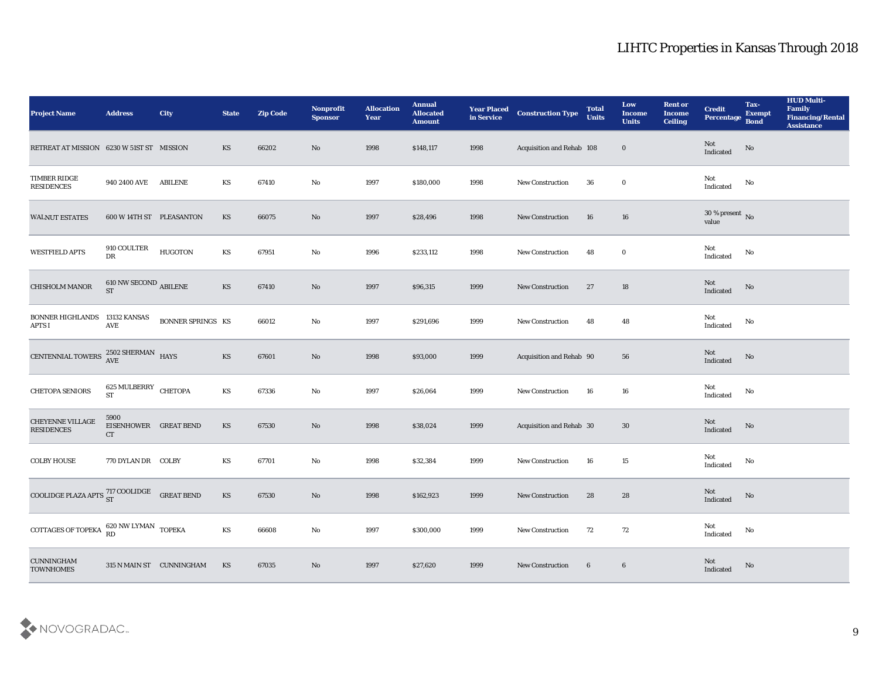| <b>Project Name</b>                                   | <b>Address</b>                               | <b>City</b>              | <b>State</b>           | <b>Zip Code</b> | Nonprofit<br><b>Sponsor</b> | <b>Allocation</b><br><b>Year</b> | <b>Annual</b><br><b>Allocated</b><br><b>Amount</b> | <b>Year Placed</b><br>in Service | <b>Construction Type</b>  | <b>Total</b><br><b>Units</b> | Low<br><b>Income</b><br><b>Units</b> | <b>Rent or</b><br><b>Income</b><br><b>Ceiling</b> | <b>Credit</b><br>Percentage            | Tax-<br><b>Exempt</b><br><b>Bond</b> | <b>HUD Multi-</b><br>Family<br><b>Financing/Rental</b><br><b>Assistance</b> |
|-------------------------------------------------------|----------------------------------------------|--------------------------|------------------------|-----------------|-----------------------------|----------------------------------|----------------------------------------------------|----------------------------------|---------------------------|------------------------------|--------------------------------------|---------------------------------------------------|----------------------------------------|--------------------------------------|-----------------------------------------------------------------------------|
| RETREAT AT MISSION 6230 W 51ST ST MISSION             |                                              |                          | <b>KS</b>              | 66202           | No                          | 1998                             | \$148,117                                          | 1998                             | Acquisition and Rehab 108 |                              | $\bf{0}$                             |                                                   | Not<br>Indicated                       | No                                   |                                                                             |
| TIMBER RIDGE<br><b>RESIDENCES</b>                     | 940 2400 AVE                                 | <b>ABILENE</b>           | KS                     | 67410           | No                          | 1997                             | \$180,000                                          | 1998                             | <b>New Construction</b>   | 36                           | $\bf{0}$                             |                                                   | Not<br>Indicated                       | No                                   |                                                                             |
| <b>WALNUT ESTATES</b>                                 | 600 W 14TH ST PLEASANTON                     |                          | KS                     | 66075           | No                          | 1997                             | \$28,496                                           | 1998                             | New Construction          | 16                           | 16                                   |                                                   | $30\,\%$ present $\,$ No $\,$<br>value |                                      |                                                                             |
| <b>WESTFIELD APTS</b>                                 | 910 COULTER<br>DR                            | <b>HUGOTON</b>           | $\mathbf{K}\mathbf{S}$ | 67951           | $\rm No$                    | 1996                             | \$233,112                                          | 1998                             | New Construction          | 48                           | $\bf{0}$                             |                                                   | Not<br>$\operatorname{Indicated}$      | $\rm\, No$                           |                                                                             |
| <b>CHISHOLM MANOR</b>                                 | $610$ NW SECOND $_{\rm ABLENE}$<br><b>ST</b> |                          | KS                     | 67410           | No                          | 1997                             | \$96,315                                           | 1999                             | <b>New Construction</b>   | 27                           | 18                                   |                                                   | Not<br>Indicated                       | No                                   |                                                                             |
| <b>BONNER HIGHLANDS</b><br><b>APTS I</b>              | 13132 KANSAS<br>AVE                          | <b>BONNER SPRINGS KS</b> |                        | 66012           | $\rm No$                    | 1997                             | \$291,696                                          | 1999                             | New Construction          | 48                           | 48                                   |                                                   | Not<br>Indicated                       | No                                   |                                                                             |
| CENTENNIAL TOWERS <sup>2502</sup> SHERMAN HAYS        |                                              |                          | KS                     | 67601           | No                          | 1998                             | \$93,000                                           | 1999                             | Acquisition and Rehab 90  |                              | 56                                   |                                                   | Not<br>Indicated                       | $\rm \bf No$                         |                                                                             |
| CHETOPA SENIORS                                       | 625 MULBERRY CHETOPA<br><b>ST</b>            |                          | KS                     | 67336           | $\rm\, No$                  | 1997                             | \$26,064                                           | 1999                             | <b>New Construction</b>   | 16                           | 16                                   |                                                   | Not<br>Indicated                       | No                                   |                                                                             |
| <b>CHEYENNE VILLAGE</b><br><b>RESIDENCES</b>          | 5900<br>EISENHOWER GREAT BEND<br>CT          |                          | KS                     | 67530           | No                          | 1998                             | \$38,024                                           | 1999                             | Acquisition and Rehab 30  |                              | 30                                   |                                                   | Not<br>Indicated                       | No                                   |                                                                             |
| <b>COLBY HOUSE</b>                                    | 770 DYLAN DR COLBY                           |                          | KS                     | 67701           | $\rm No$                    | 1998                             | \$32,384                                           | 1999                             | New Construction          | 16                           | 15                                   |                                                   | Not<br>Indicated                       | No                                   |                                                                             |
| COOLIDGE PLAZA APTS $^{717}_{ST}$ COOLIDGE GREAT BEND |                                              |                          | <b>KS</b>              | 67530           | No                          | 1998                             | \$162,923                                          | 1999                             | <b>New Construction</b>   | 28                           | 28                                   |                                                   | Not<br>Indicated                       | No                                   |                                                                             |
| <b>COTTAGES OF TOPEKA</b>                             | $620$ NW LYMAN $\,$ TOPEKA RD                |                          | $\mathbf{K}\mathbf{S}$ | 66608           | No                          | 1997                             | \$300,000                                          | 1999                             | <b>New Construction</b>   | 72                           | 72                                   |                                                   | Not<br>$\operatorname{Indicated}$      | $\rm\, No$                           |                                                                             |
| <b>CUNNINGHAM</b><br><b>TOWNHOMES</b>                 |                                              | 315 N MAIN ST CUNNINGHAM | KS                     | 67035           | $\rm\, No$                  | 1997                             | \$27,620                                           | 1999                             | <b>New Construction</b>   | 6                            | $\boldsymbol{6}$                     |                                                   | Not<br>Indicated                       | $\mathbf{N}\mathbf{o}$               |                                                                             |

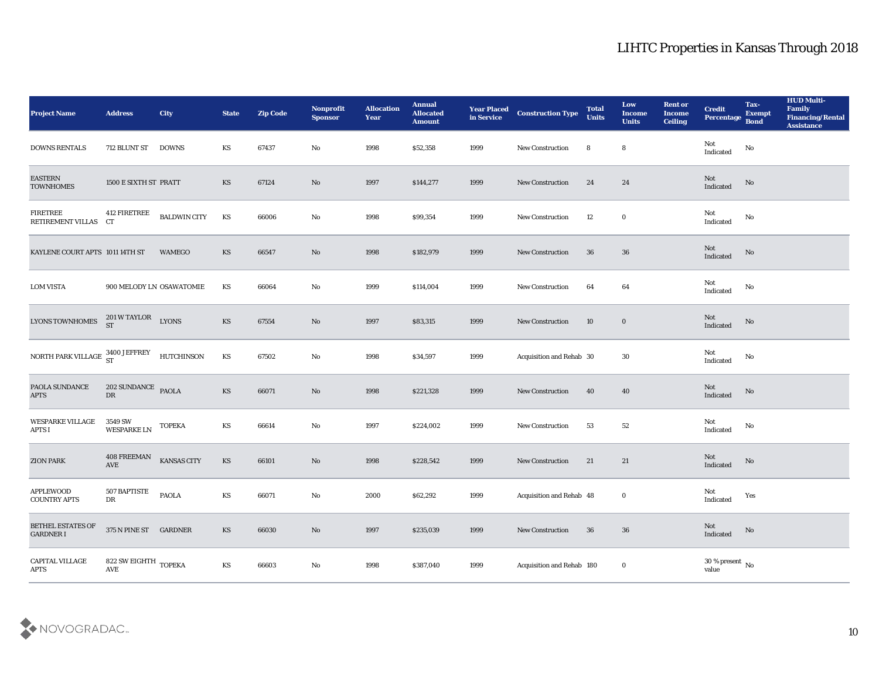| <b>Project Name</b>                                          | <b>Address</b>                          | <b>City</b>              | <b>State</b>           | <b>Zip Code</b> | Nonprofit<br><b>Sponsor</b> | <b>Allocation</b><br><b>Year</b> | <b>Annual</b><br><b>Allocated</b><br><b>Amount</b> | <b>Year Placed</b><br>in Service | <b>Construction Type</b>  | <b>Total</b><br><b>Units</b> | Low<br><b>Income</b><br><b>Units</b> | <b>Rent or</b><br><b>Income</b><br><b>Ceiling</b> | <b>Credit</b><br>Percentage Bond  | Tax-<br><b>Exempt</b> | <b>HUD Multi-</b><br>Family<br><b>Financing/Rental</b><br><b>Assistance</b> |
|--------------------------------------------------------------|-----------------------------------------|--------------------------|------------------------|-----------------|-----------------------------|----------------------------------|----------------------------------------------------|----------------------------------|---------------------------|------------------------------|--------------------------------------|---------------------------------------------------|-----------------------------------|-----------------------|-----------------------------------------------------------------------------|
| <b>DOWNS RENTALS</b>                                         | 712 BLUNT ST DOWNS                      |                          | KS                     | 67437           | No                          | 1998                             | \$52,358                                           | 1999                             | <b>New Construction</b>   | 8                            | 8                                    |                                                   | Not<br>Indicated                  | No                    |                                                                             |
| <b>EASTERN</b><br><b>TOWNHOMES</b>                           | 1500 E SIXTH ST PRATT                   |                          | KS                     | 67124           | No                          | 1997                             | \$144,277                                          | 1999                             | <b>New Construction</b>   | 24                           | 24                                   |                                                   | Not<br>Indicated                  | No                    |                                                                             |
| <b>FIRETREE</b><br>RETIREMENT VILLAS                         | 412 FIRETREE<br>CT                      | <b>BALDWIN CITY</b>      | KS                     | 66006           | No                          | 1998                             | \$99,354                                           | 1999                             | New Construction          | 12                           | $\bf{0}$                             |                                                   | Not<br>Indicated                  | No                    |                                                                             |
| KAYLENE COURT APTS 1011 14TH ST                              |                                         | <b>WAMEGO</b>            | KS                     | 66547           | No                          | 1998                             | \$182,979                                          | 1999                             | <b>New Construction</b>   | 36                           | 36                                   |                                                   | Not<br>Indicated                  | $\mathbf {No}$        |                                                                             |
| <b>LOM VISTA</b>                                             |                                         | 900 MELODY LN OSAWATOMIE | KS                     | 66064           | No                          | 1999                             | \$114,004                                          | 1999                             | <b>New Construction</b>   | 64                           | 64                                   |                                                   | Not<br>Indicated                  | No                    |                                                                             |
| <b>LYONS TOWNHOMES</b>                                       | $201\,\mathrm{W\,TAYLOR}$ $$\tt LYONS$$ |                          | KS                     | 67554           | No                          | 1997                             | \$83,315                                           | 1999                             | <b>New Construction</b>   | 10                           | $\bf{0}$                             |                                                   | Not<br>Indicated                  | No                    |                                                                             |
| NORTH PARK VILLAGE $^{3400 \text{ JEFFREY}}_{ST}$ HUTCHINSON |                                         |                          | KS                     | 67502           | No                          | 1998                             | \$34,597                                           | 1999                             | Acquisition and Rehab 30  |                              | 30                                   |                                                   | Not<br>$\operatorname{Indicated}$ | No                    |                                                                             |
| PAOLA SUNDANCE<br><b>APTS</b>                                | 202 SUNDANCE PAOLA<br>DR                |                          | <b>KS</b>              | 66071           | No                          | 1998                             | \$221,328                                          | 1999                             | <b>New Construction</b>   | 40                           | 40                                   |                                                   | Not<br>Indicated                  | No                    |                                                                             |
| WESPARKE VILLAGE<br><b>APTS I</b>                            | 3549 SW<br><b>WESPARKE LN</b>           | <b>TOPEKA</b>            | KS                     | 66614           | No                          | 1997                             | \$224,002                                          | 1999                             | <b>New Construction</b>   | 53                           | 52                                   |                                                   | Not<br>Indicated                  | No                    |                                                                             |
| <b>ZION PARK</b>                                             | 408 FREEMAN<br>$\operatorname{AVE}$     | <b>KANSAS CITY</b>       | KS                     | 66101           | No                          | 1998                             | \$228,542                                          | 1999                             | <b>New Construction</b>   | 21                           | 21                                   |                                                   | Not<br>Indicated                  | No                    |                                                                             |
| <b>APPLEWOOD</b><br><b>COUNTRY APTS</b>                      | 507 BAPTISTE<br>DR                      | <b>PAOLA</b>             | KS                     | 66071           | No                          | 2000                             | \$62,292                                           | 1999                             | Acquisition and Rehab 48  |                              | $\bf{0}$                             |                                                   | Not<br>$\operatorname{Indicated}$ | Yes                   |                                                                             |
| BETHEL ESTATES OF<br><b>GARDNER I</b>                        | 375 N PINE ST GARDNER                   |                          | $\mathbf{K}\mathbf{S}$ | 66030           | $\rm\thinspace No$          | 1997                             | \$235,039                                          | 1999                             | New Construction          | 36                           | $36\,$                               |                                                   | Not<br>$\operatorname{Indicated}$ | No                    |                                                                             |
| CAPITAL VILLAGE<br>APTS                                      | 822 SW EIGHTH $_{\rm TOPEKA}$<br>AVE    |                          | $\mathbf{K}\mathbf{S}$ | 66603           | $\rm\thinspace No$          | 1998                             | \$387,040                                          | 1999                             | Acquisition and Rehab 180 |                              | $\bf{0}$                             |                                                   | $30\,\%$ present $\,$ No value    |                       |                                                                             |

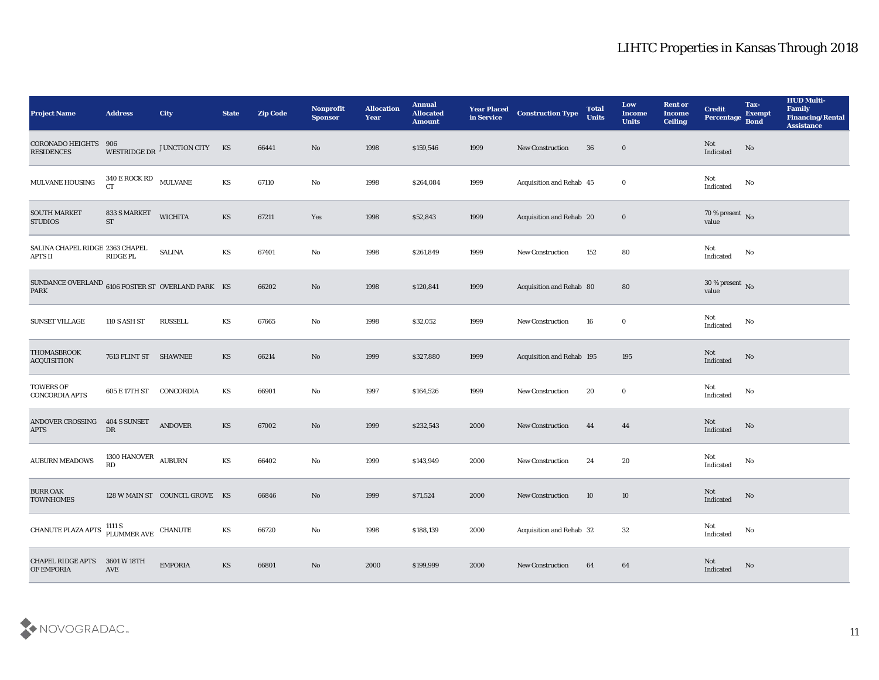| <b>Project Name</b>                                                                  | <b>Address</b>                                     | City                           | <b>State</b>           | <b>Zip Code</b> | Nonprofit<br><b>Sponsor</b> | <b>Allocation</b><br>Year | <b>Annual</b><br><b>Allocated</b><br><b>Amount</b> | <b>Year Placed<br/>in Service</b> | <b>Construction Type</b>  | <b>Total</b><br><b>Units</b> | Low<br><b>Income</b><br><b>Units</b> | <b>Rent or</b><br><b>Income</b><br><b>Ceiling</b> | <b>Credit</b><br><b>Percentage</b> | Tax-<br><b>Exempt</b><br><b>Bond</b> | <b>HUD Multi-</b><br>Family<br><b>Financing/Rental</b><br><b>Assistance</b> |
|--------------------------------------------------------------------------------------|----------------------------------------------------|--------------------------------|------------------------|-----------------|-----------------------------|---------------------------|----------------------------------------------------|-----------------------------------|---------------------------|------------------------------|--------------------------------------|---------------------------------------------------|------------------------------------|--------------------------------------|-----------------------------------------------------------------------------|
| <b>CORONADO HEIGHTS</b><br><b>RESIDENCES</b>                                         | 906                                                | WESTRIDGE DR JUNCTION CITY KS  |                        | 66441           | No                          | 1998                      | \$159,546                                          | 1999                              | <b>New Construction</b>   | 36                           | $\bf{0}$                             |                                                   | Not<br>Indicated                   | No                                   |                                                                             |
| $\operatorname{MULTVANE}$ HOUSING                                                    | 340 E ROCK RD<br>MULVANE<br><b>CT</b>              |                                | $\mathbf{K}\mathbf{S}$ | 67110           | No                          | 1998                      | \$264,084                                          | 1999                              | Acquisition and Rehab 45  |                              | $\bf{0}$                             |                                                   | Not<br>Indicated                   | No                                   |                                                                             |
| <b>SOUTH MARKET</b><br><b>STUDIOS</b>                                                | 833 S MARKET<br>${\rm ST}$                         | <b>WICHITA</b>                 | KS                     | 67211           | Yes                         | 1998                      | \$52,843                                           | 1999                              | Acquisition and Rehab 20  |                              | $\bf{0}$                             |                                                   | $70\,\%$ present $\,$ No value     |                                      |                                                                             |
| SALINA CHAPEL RIDGE 2363 CHAPEL<br><b>APTS II</b>                                    | <b>RIDGE PL</b>                                    | <b>SALINA</b>                  | KS                     | 67401           | No                          | 1998                      | \$261,849                                          | 1999                              | New Construction          | 152                          | 80                                   |                                                   | Not<br>Indicated                   | No                                   |                                                                             |
| SUNDANCE OVERLAND $_{6106}$ FOSTER ST $\,$ OVERLAND PARK $\,$ KS $\,$<br><b>PARK</b> |                                                    |                                |                        | 66202           | $\rm\thinspace No$          | 1998                      | \$120,841                                          | 1999                              | Acquisition and Rehab 80  |                              | 80                                   |                                                   | $30\,\%$ present $\,$ No value     |                                      |                                                                             |
| <b>SUNSET VILLAGE</b>                                                                | 110 S ASH ST                                       | RUSSELL                        | KS                     | 67665           | No                          | 1998                      | \$32,052                                           | 1999                              | New Construction          | 16                           | $\bf{0}$                             |                                                   | Not<br>Indicated                   | No                                   |                                                                             |
| THOMASBROOK<br><b>ACQUISITION</b>                                                    | 7613 FLINT ST SHAWNEE                              |                                | KS                     | 66214           | No                          | 1999                      | \$327,880                                          | 1999                              | Acquisition and Rehab 195 |                              | 195                                  |                                                   | Not<br>Indicated                   | $\rm \bf No$                         |                                                                             |
| <b>TOWERS OF</b><br><b>CONCORDIA APTS</b>                                            | 605 E 17TH ST                                      | CONCORDIA                      | KS                     | 66901           | $\mathbf{No}$               | 1997                      | \$164,526                                          | 1999                              | <b>New Construction</b>   | 20                           | $\bf{0}$                             |                                                   | Not<br>Indicated                   | No                                   |                                                                             |
| ANDOVER CROSSING<br><b>APTS</b>                                                      | 404 S SUNSET<br>${\rm D}{\rm R}$                   | <b>ANDOVER</b>                 | KS                     | 67002           | No                          | 1999                      | \$232,543                                          | 2000                              | New Construction          | 44                           | 44                                   |                                                   | Not<br>Indicated                   | No                                   |                                                                             |
| <b>AUBURN MEADOWS</b>                                                                | 1300 HANOVER<br>RD                                 | <b>AUBURN</b>                  | $\mathbf{K}\mathbf{S}$ | 66402           | No                          | 1999                      | \$143,949                                          | 2000                              | New Construction          | 24                           | 20                                   |                                                   | Not<br>Indicated                   | No                                   |                                                                             |
| <b>BURR OAK</b><br><b>TOWNHOMES</b>                                                  |                                                    | 128 W MAIN ST COUNCIL GROVE KS |                        | 66846           | No                          | 1999                      | \$71,524                                           | 2000                              | <b>New Construction</b>   | 10                           | 10                                   |                                                   | Not<br>Indicated                   | No                                   |                                                                             |
| <b>CHANUTE PLAZA APTS</b>                                                            | $1111$ S $$\rm \,ELUMMER\, AVE$$ $$\rm \,CHANUTE$$ |                                | KS                     | 66720           | $\rm\thinspace No$          | 1998                      | \$188,139                                          | 2000                              | Acquisition and Rehab 32  |                              | $32\,$                               |                                                   | Not<br>Indicated                   | No                                   |                                                                             |
| <b>CHAPEL RIDGE APTS</b><br>OF EMPORIA                                               | 3601 W 18TH<br>AVE                                 | <b>EMPORIA</b>                 | $\mathbf{K}\mathbf{S}$ | 66801           | $\rm\, No$                  | 2000                      | \$199,999                                          | 2000                              | <b>New Construction</b>   | 64                           | 64                                   |                                                   | Not<br>Indicated                   | $\mathbf{N}\mathbf{o}$               |                                                                             |

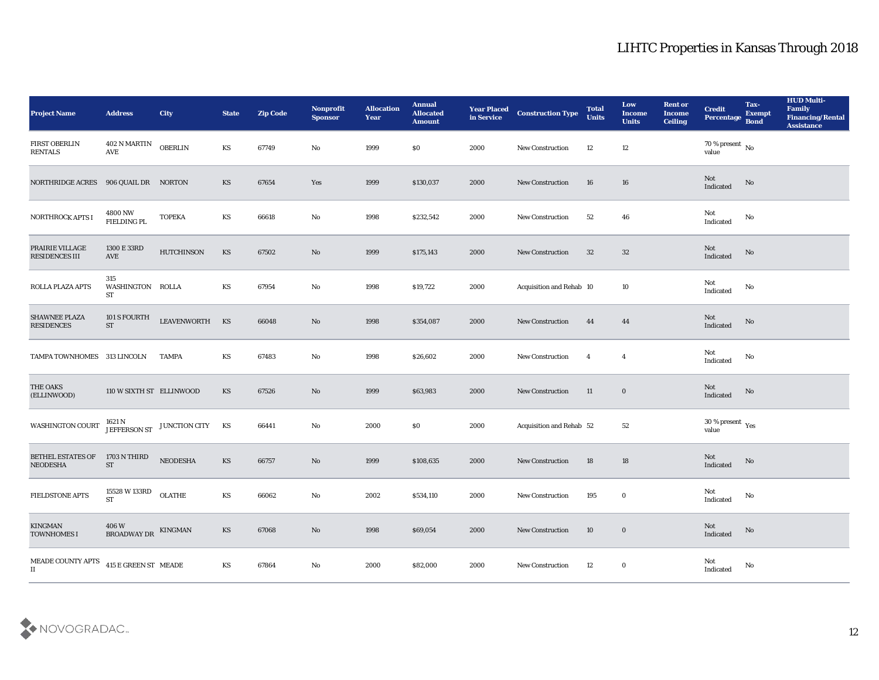| <b>Project Name</b>                       | <b>Address</b>                              | City              | <b>State</b>           | <b>Zip Code</b> | Nonprofit<br><b>Sponsor</b> | <b>Allocation</b><br><b>Year</b> | <b>Annual</b><br><b>Allocated</b><br><b>Amount</b> | <b>Year Placed</b><br>in Service | <b>Construction Type</b> | <b>Total</b><br><b>Units</b> | Low<br><b>Income</b><br><b>Units</b> | <b>Rent or</b><br><b>Income</b><br><b>Ceiling</b> | <b>Credit</b><br>Percentage     | Tax-<br><b>Exempt</b><br><b>Bond</b> | <b>HUD Multi-</b><br>Family<br><b>Financing/Rental</b><br><b>Assistance</b> |
|-------------------------------------------|---------------------------------------------|-------------------|------------------------|-----------------|-----------------------------|----------------------------------|----------------------------------------------------|----------------------------------|--------------------------|------------------------------|--------------------------------------|---------------------------------------------------|---------------------------------|--------------------------------------|-----------------------------------------------------------------------------|
| <b>FIRST OBERLIN</b><br><b>RENTALS</b>    | 402 N MARTIN<br>AVE                         | <b>OBERLIN</b>    | KS                     | 67749           | No                          | 1999                             | \$0                                                | 2000                             | New Construction         | 12                           | 12                                   |                                                   | $70$ % present $\,$ No value    |                                      |                                                                             |
| <b>NORTHRIDGE ACRES</b>                   | 906 QUAIL DR NORTON                         |                   | KS                     | 67654           | Yes                         | 1999                             | \$130,037                                          | 2000                             | <b>New Construction</b>  | 16                           | 16                                   |                                                   | Not<br>Indicated                | No                                   |                                                                             |
| <b>NORTHROCK APTS I</b>                   | 4800 NW<br><b>FIELDING PL</b>               | <b>TOPEKA</b>     | KS                     | 66618           | No                          | 1998                             | \$232,542                                          | 2000                             | <b>New Construction</b>  | 52                           | 46                                   |                                                   | Not<br>Indicated                | No                                   |                                                                             |
| PRAIRIE VILLAGE<br><b>RESIDENCES III</b>  | 1300 E 33RD<br>AVE                          | <b>HUTCHINSON</b> | KS                     | 67502           | No                          | 1999                             | \$175,143                                          | 2000                             | New Construction         | 32                           | 32                                   |                                                   | Not<br>Indicated                | $\mathbf {No}$                       |                                                                             |
| ROLLA PLAZA APTS                          | 315<br>WASHINGTON ROLLA<br>ST               |                   | KS                     | 67954           | No                          | 1998                             | \$19,722                                           | 2000                             | Acquisition and Rehab 10 |                              | 10                                   |                                                   | Not<br>Indicated                | No                                   |                                                                             |
| <b>SHAWNEE PLAZA</b><br><b>RESIDENCES</b> | 101 S FOURTH<br><b>ST</b>                   | LEAVENWORTH KS    |                        | 66048           | No                          | 1998                             | \$354,087                                          | 2000                             | <b>New Construction</b>  | 44                           | 44                                   |                                                   | Not<br>Indicated                | No                                   |                                                                             |
| TAMPA TOWNHOMES 313 LINCOLN               |                                             | <b>TAMPA</b>      | KS                     | 67483           | No                          | 1998                             | \$26,602                                           | 2000                             | <b>New Construction</b>  | $\overline{4}$               | $\overline{\mathbf{4}}$              |                                                   | Not<br>Indicated                | No                                   |                                                                             |
| THE OAKS<br>(ELLINWOOD)                   | 110 W SIXTH ST ELLINWOOD                    |                   | KS                     | 67526           | No                          | 1999                             | \$63,983                                           | 2000                             | <b>New Construction</b>  | 11                           | $\bf{0}$                             |                                                   | Not<br>Indicated                | No                                   |                                                                             |
| <b>WASHINGTON COURT</b>                   | 1621 N<br>JEFFERSON ST                      | JUNCTION CITY KS  |                        | 66441           | No                          | 2000                             | \$0                                                | 2000                             | Acquisition and Rehab 52 |                              | 52                                   |                                                   | $30\,\%$ present $\,$ Yes value |                                      |                                                                             |
| BETHEL ESTATES OF<br><b>NEODESHA</b>      | 1703 N THIRD<br><b>ST</b>                   | NEODESHA          | KS                     | 66757           | No                          | 1999                             | \$108,635                                          | 2000                             | <b>New Construction</b>  | 18                           | 18                                   |                                                   | Not<br>Indicated                | $\mathbf {No}$                       |                                                                             |
| <b>FIELDSTONE APTS</b>                    | 15528 W 133RD<br>ST                         | <b>OLATHE</b>     | KS                     | 66062           | No                          | 2002                             | \$534,110                                          | 2000                             | <b>New Construction</b>  | 195                          | $\bf{0}$                             |                                                   | Not<br>Indicated                | No                                   |                                                                             |
| <b>KINGMAN</b><br>TOWNHOMES I             | $406\,\mathrm{W}$ BROADWAY DR $$\,$ KINGMAN |                   | $\mathbf{K}\mathbf{S}$ | 67068           | $\rm\, No$                  | 1998                             | \$69,054                                           | 2000                             | New Construction         | 10                           | $\bf{0}$                             |                                                   | Not<br>Indicated                | No                                   |                                                                             |
| MEADE COUNTY APTS<br>$\scriptstyle\rm II$ | 415 E GREEN ST MEADE                        |                   | $\mathbf{K}\mathbf{S}$ | 67864           | $\rm\thinspace No$          | 2000                             | \$82,000                                           | 2000                             | <b>New Construction</b>  | 12                           | $\bf{0}$                             |                                                   | Not<br>Indicated                | $\mathbf {No}$                       |                                                                             |

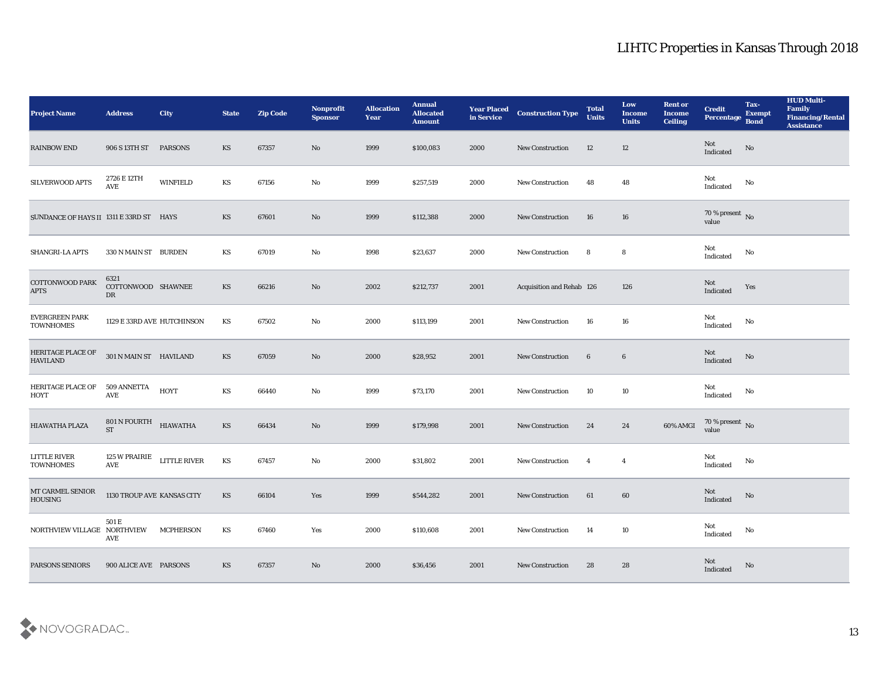| <b>Project Name</b>                     | <b>Address</b>                   | City             | <b>State</b>           | <b>Zip Code</b> | Nonprofit<br><b>Sponsor</b> | <b>Allocation</b><br><b>Year</b> | <b>Annual</b><br><b>Allocated</b><br><b>Amount</b> | <b>Year Placed</b><br>in Service | <b>Construction Type</b>  | <b>Total</b><br><b>Units</b> | Low<br><b>Income</b><br><b>Units</b> | <b>Rent or</b><br><b>Income</b><br>Ceiling | <b>Credit</b><br><b>Percentage</b>     | Tax-<br><b>Exempt</b><br><b>Bond</b> | <b>HUD Multi-</b><br>Family<br><b>Financing/Rental</b><br><b>Assistance</b> |
|-----------------------------------------|----------------------------------|------------------|------------------------|-----------------|-----------------------------|----------------------------------|----------------------------------------------------|----------------------------------|---------------------------|------------------------------|--------------------------------------|--------------------------------------------|----------------------------------------|--------------------------------------|-----------------------------------------------------------------------------|
| <b>RAINBOW END</b>                      | 906 S 13TH ST PARSONS            |                  | KS                     | 67357           | No                          | 1999                             | \$100,083                                          | 2000                             | <b>New Construction</b>   | 12                           | 12                                   |                                            | Not<br>Indicated                       | No                                   |                                                                             |
| SILVERWOOD APTS                         | 2726 E 12TH<br>AVE               | <b>WINFIELD</b>  | KS                     | 67156           | No                          | 1999                             | \$257,519                                          | 2000                             | <b>New Construction</b>   | 48                           | 48                                   |                                            | Not<br>Indicated                       | No                                   |                                                                             |
| SUNDANCE OF HAYS II 1311 E 33RD ST HAYS |                                  |                  | KS                     | 67601           | No                          | 1999                             | \$112,388                                          | 2000                             | <b>New Construction</b>   | 16                           | 16                                   |                                            | $70\,\%$ present $\,$ No $\,$<br>value |                                      |                                                                             |
| SHANGRI-LA APTS                         | 330 N MAIN ST BURDEN             |                  | KS                     | 67019           | No                          | 1998                             | \$23,637                                           | 2000                             | <b>New Construction</b>   | 8                            | 8                                    |                                            | Not<br>Indicated                       | No                                   |                                                                             |
| <b>COTTONWOOD PARK</b><br>$\rm APTS$    | 6321<br>COTTONWOOD SHAWNEE<br>DR |                  | <b>KS</b>              | 66216           | No                          | 2002                             | \$212,737                                          | 2001                             | Acquisition and Rehab 126 |                              | 126                                  |                                            | Not<br>Indicated                       | Yes                                  |                                                                             |
| EVERGREEN PARK<br><b>TOWNHOMES</b>      | 1129 E 33RD AVE HUTCHINSON       |                  | KS                     | 67502           | No                          | 2000                             | \$113,199                                          | 2001                             | <b>New Construction</b>   | 16                           | 16                                   |                                            | Not<br>Indicated                       | No                                   |                                                                             |
| HERITAGE PLACE OF<br><b>HAVILAND</b>    | 301 N MAIN ST HAVILAND           |                  | KS                     | 67059           | No                          | 2000                             | \$28,952                                           | 2001                             | <b>New Construction</b>   | $6\phantom{.}6$              | $\boldsymbol{6}$                     |                                            | Not<br>Indicated                       | $\mathbf{N}\mathbf{o}$               |                                                                             |
| HERITAGE PLACE OF<br><b>HOYT</b>        | 509 ANNETTA<br>AVE               | HOYT             | KS                     | 66440           | No                          | 1999                             | \$73,170                                           | 2001                             | <b>New Construction</b>   | 10                           | 10                                   |                                            | Not<br>Indicated                       | No                                   |                                                                             |
| HIAWATHA PLAZA                          | 801 N FOURTH<br><b>ST</b>        | <b>HIAWATHA</b>  | KS                     | 66434           | $\mathbf{N}\mathbf{o}$      | 1999                             | \$179,998                                          | 2001                             | <b>New Construction</b>   | 24                           | 24                                   | 60% AMGI                                   | 70 % present $\sqrt{\ }$ No<br>value   |                                      |                                                                             |
| <b>LITTLE RIVER</b><br><b>TOWNHOMES</b> | 125 W PRAIRIE<br>AVE             | LITTLE RIVER     | $\mathbf{K}\mathbf{S}$ | 67457           | No                          | 2000                             | \$31,802                                           | 2001                             | <b>New Construction</b>   | $\overline{4}$               | $\overline{4}$                       |                                            | Not<br>Indicated                       | No                                   |                                                                             |
| MT CARMEL SENIOR<br><b>HOUSING</b>      | 1130 TROUP AVE KANSAS CITY       |                  | KS                     | 66104           | Yes                         | 1999                             | \$544,282                                          | 2001                             | <b>New Construction</b>   | 61                           | 60                                   |                                            | Not<br>Indicated                       | No                                   |                                                                             |
| NORTHVIEW VILLAGE NORTHVIEW             | $501\,\mathrm{E}$<br>AVE         | <b>MCPHERSON</b> | KS                     | 67460           | Yes                         | 2000                             | \$110,608                                          | 2001                             | <b>New Construction</b>   | 14                           | $10\,$                               |                                            | Not<br>Indicated                       | $\rm\, No$                           |                                                                             |
| PARSONS SENIORS                         | 900 ALICE AVE PARSONS            |                  | KS                     | 67357           | $\mathbf{N}\mathbf{o}$      | 2000                             | \$36,456                                           | 2001                             | <b>New Construction</b>   | 28                           | ${\bf 28}$                           |                                            | Not<br>Indicated                       | $\mathbf{N}\mathbf{o}$               |                                                                             |

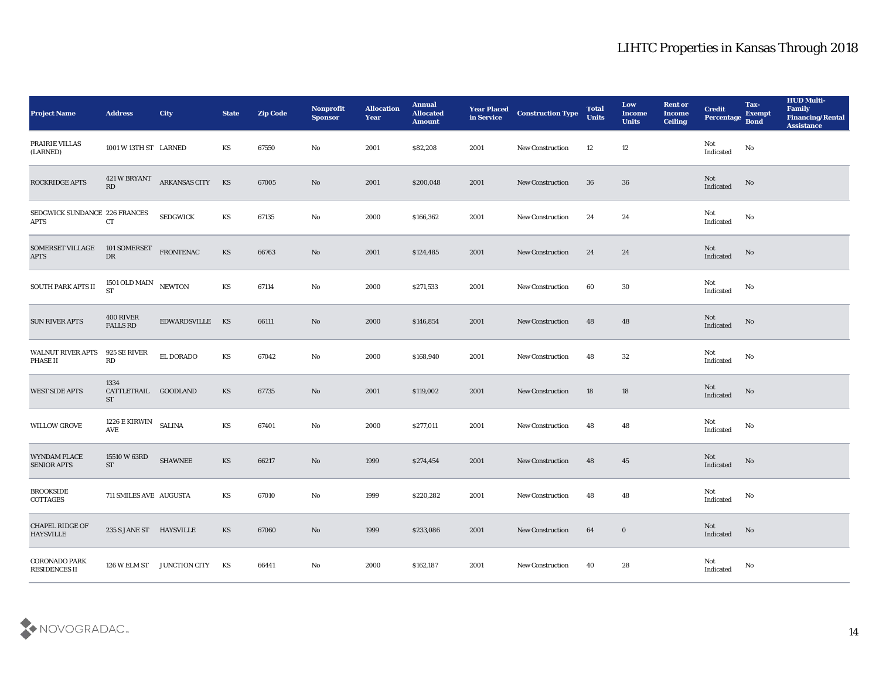| <b>Project Name</b>                        | <b>Address</b>                            | <b>City</b>                | <b>State</b>           | <b>Zip Code</b> | Nonprofit<br><b>Sponsor</b> | <b>Allocation</b><br><b>Year</b> | <b>Annual</b><br><b>Allocated</b><br><b>Amount</b> | <b>Year Placed</b><br>in Service | <b>Construction Type</b> | <b>Total</b><br><b>Units</b> | Low<br><b>Income</b><br><b>Units</b> | <b>Rent or</b><br><b>Income</b><br><b>Ceiling</b> | <b>Credit</b><br>Percentage | Tax-<br><b>Exempt</b><br><b>Bond</b> | <b>HUD Multi-</b><br>Family<br><b>Financing/Rental</b><br><b>Assistance</b> |
|--------------------------------------------|-------------------------------------------|----------------------------|------------------------|-----------------|-----------------------------|----------------------------------|----------------------------------------------------|----------------------------------|--------------------------|------------------------------|--------------------------------------|---------------------------------------------------|-----------------------------|--------------------------------------|-----------------------------------------------------------------------------|
| PRAIRIE VILLAS<br>(LARNED)                 | 1001 W 13TH ST LARNED                     |                            | KS                     | 67550           | No                          | 2001                             | \$82,208                                           | 2001                             | <b>New Construction</b>  | 12                           | 12                                   |                                                   | Not<br>Indicated            | No                                   |                                                                             |
| ROCKRIDGE APTS                             | 421 W BRYANT<br>RD                        | ARKANSAS CITY              | KS                     | 67005           | No                          | 2001                             | \$200,048                                          | 2001                             | <b>New Construction</b>  | 36                           | 36                                   |                                                   | Not<br>Indicated            | $\mathbf{N}\mathbf{o}$               |                                                                             |
| SEDGWICK SUNDANCE 226 FRANCES<br>APTS      | CT                                        | <b>SEDGWICK</b>            | KS                     | 67135           | No                          | 2000                             | \$166,362                                          | 2001                             | <b>New Construction</b>  | 24                           | 24                                   |                                                   | Not<br>Indicated            | No                                   |                                                                             |
| SOMERSET VILLAGE<br><b>APTS</b>            | 101 SOMERSET<br>${\rm DR}$                | <b>FRONTENAC</b>           | KS                     | 66763           | No                          | 2001                             | \$124,485                                          | 2001                             | New Construction         | 24                           | 24                                   |                                                   | Not<br>Indicated            | $\mathbf {No}$                       |                                                                             |
| SOUTH PARK APTS II                         | 1501 OLD MAIN NEWTON<br><b>ST</b>         |                            | KS                     | 67114           | No                          | 2000                             | \$271,533                                          | 2001                             | <b>New Construction</b>  | 60                           | 30                                   |                                                   | Not<br>Indicated            | No                                   |                                                                             |
| <b>SUN RIVER APTS</b>                      | 400 RIVER<br>${\tt FALLS}$ ${\tt RD}$     | EDWARDSVILLE KS            |                        | 66111           | No                          | 2000                             | \$146,854                                          | 2001                             | New Construction         | 48                           | 48                                   |                                                   | Not<br>Indicated            | No                                   |                                                                             |
| WALNUT RIVER APTS<br>PHASE II              | 925 SE RIVER<br>RD                        | EL DORADO                  | KS                     | 67042           | No                          | 2000                             | \$168,940                                          | 2001                             | <b>New Construction</b>  | 48                           | 32                                   |                                                   | Not<br>Indicated            | No                                   |                                                                             |
| <b>WEST SIDE APTS</b>                      | 1334<br>CATTLETRAIL GOODLAND<br><b>ST</b> |                            | KS                     | 67735           | No                          | 2001                             | \$119,002                                          | 2001                             | <b>New Construction</b>  | 18                           | 18                                   |                                                   | Not<br>Indicated            | No                                   |                                                                             |
| <b>WILLOW GROVE</b>                        | 1226 E KIRWIN<br>AVE                      | <b>SALINA</b>              | KS                     | 67401           | No                          | 2000                             | \$277,011                                          | 2001                             | New Construction         | 48                           | 48                                   |                                                   | Not<br>Indicated            | No                                   |                                                                             |
| WYNDAM PLACE<br>SENIOR APTS                | 15510 W 63RD<br><b>ST</b>                 | <b>SHAWNEE</b>             | KS                     | 66217           | No                          | 1999                             | \$274,454                                          | 2001                             | <b>New Construction</b>  | 48                           | 45                                   |                                                   | Not<br>Indicated            | $\mathbf {No}$                       |                                                                             |
| <b>BROOKSIDE</b><br>COTTAGES               | 711 SMILES AVE AUGUSTA                    |                            | KS                     | 67010           | No                          | 1999                             | \$220,282                                          | 2001                             | <b>New Construction</b>  | 48                           | 48                                   |                                                   | Not<br>Indicated            | No                                   |                                                                             |
| <b>CHAPEL RIDGE OF</b><br><b>HAYSVILLE</b> | 235 S JANE ST HAYSVILLE                   |                            | $\mathbf{K}\mathbf{S}$ | 67060           | No                          | 1999                             | \$233,086                                          | 2001                             | <b>New Construction</b>  | 64                           | $\bf{0}$                             |                                                   | Not<br>Indicated            | $\mathbf {No}$                       |                                                                             |
| <b>CORONADO PARK</b><br>RESIDENCES II      |                                           | 126 W ELM ST JUNCTION CITY | KS                     | 66441           | $\rm\thinspace No$          | 2000                             | \$162,187                                          | 2001                             | <b>New Construction</b>  | 40                           | 28                                   |                                                   | Not<br>Indicated            | $\mathbf{No}$                        |                                                                             |

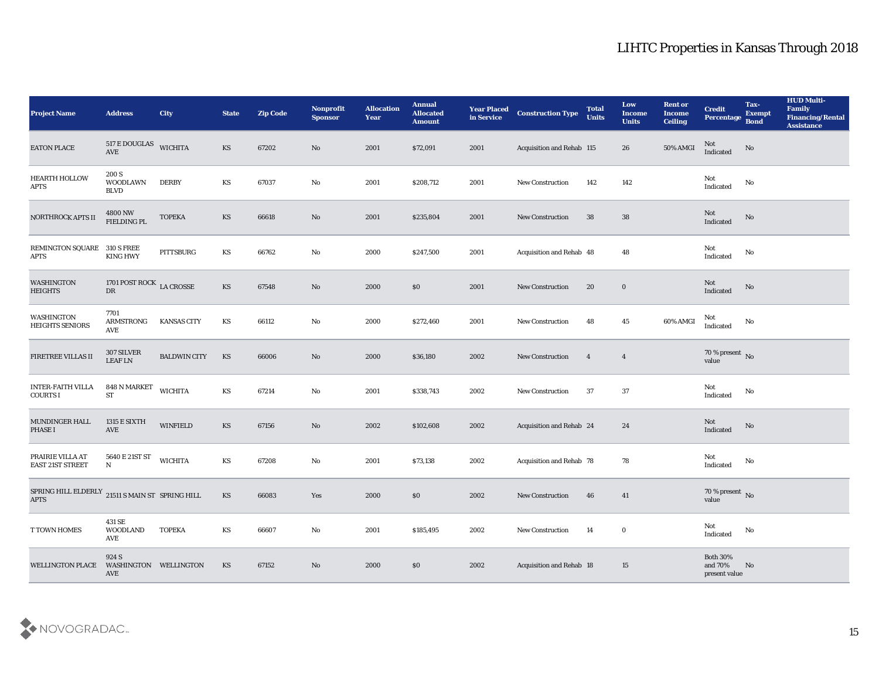| <b>Project Name</b>                                                           | <b>Address</b>                          | City                | <b>State</b>           | <b>Zip Code</b> | Nonprofit<br><b>Sponsor</b> | <b>Allocation</b><br><b>Year</b> | <b>Annual</b><br><b>Allocated</b><br><b>Amount</b> | <b>Year Placed</b><br>in Service | <b>Construction Type</b>         | <b>Total</b><br><b>Units</b> | Low<br><b>Income</b><br><b>Units</b> | <b>Rent or</b><br><b>Income</b><br><b>Ceiling</b> | <b>Credit</b><br>Percentage                       | Tax-<br><b>Exempt</b><br><b>Bond</b> | <b>HUD Multi-</b><br>Family<br><b>Financing/Rental</b><br><b>Assistance</b> |
|-------------------------------------------------------------------------------|-----------------------------------------|---------------------|------------------------|-----------------|-----------------------------|----------------------------------|----------------------------------------------------|----------------------------------|----------------------------------|------------------------------|--------------------------------------|---------------------------------------------------|---------------------------------------------------|--------------------------------------|-----------------------------------------------------------------------------|
| <b>EATON PLACE</b>                                                            | 517 E DOUGLAS<br>$\operatorname{AVE}$   | <b>WICHITA</b>      | KS                     | 67202           | No                          | 2001                             | \$72,091                                           | 2001                             | <b>Acquisition and Rehab 115</b> |                              | 26                                   | 50% AMGI                                          | Not<br>Indicated                                  | No                                   |                                                                             |
| HEARTH HOLLOW<br>APTS                                                         | 200 S<br><b>WOODLAWN</b><br><b>BLVD</b> | <b>DERBY</b>        | KS                     | 67037           | No                          | 2001                             | \$208,712                                          | 2001                             | <b>New Construction</b>          | 142                          | 142                                  |                                                   | Not<br>$\label{lem:indicated} \textbf{Indicated}$ | No                                   |                                                                             |
| NORTHROCK APTS II                                                             | 4800 NW<br>FIELDING PL                  | <b>TOPEKA</b>       | $\mathbf{K}\mathbf{S}$ | 66618           | No                          | 2001                             | \$235,804                                          | 2001                             | <b>New Construction</b>          | 38                           | 38                                   |                                                   | Not<br>Indicated                                  | No                                   |                                                                             |
| REMINGTON SQUARE<br><b>APTS</b>                                               | <b>310 S FREE</b><br><b>KING HWY</b>    | PITTSBURG           | KS                     | 66762           | $\mathbf{N}\mathbf{o}$      | 2000                             | \$247,500                                          | 2001                             | Acquisition and Rehab 48         |                              | 48                                   |                                                   | Not<br>Indicated                                  | No                                   |                                                                             |
| WASHINGTON<br><b>HEIGHTS</b>                                                  | 1701 POST ROCK LA CROSSE<br>DR          |                     | $\mathbf{K}\mathbf{S}$ | 67548           | $\mathbf{N}\mathbf{o}$      | 2000                             | \$0                                                | 2001                             | <b>New Construction</b>          | 20                           | $\bf{0}$                             |                                                   | Not<br>Indicated                                  | No                                   |                                                                             |
| WASHINGTON<br><b>HEIGHTS SENIORS</b>                                          | 7701<br>ARMSTRONG<br>AVE                | <b>KANSAS CITY</b>  | KS                     | 66112           | $\mathbf{N}\mathbf{o}$      | 2000                             | \$272,460                                          | 2001                             | New Construction                 | 48                           | 45                                   | 60% AMGI                                          | Not<br>Indicated                                  | No                                   |                                                                             |
| FIRETREE VILLAS II                                                            | 307 SILVER<br><b>LEAF LN</b>            | <b>BALDWIN CITY</b> | KS                     | 66006           | No                          | 2000                             | \$36,180                                           | 2002                             | <b>New Construction</b>          | $\overline{\mathbf{4}}$      | $\overline{4}$                       |                                                   | $70$ % present $\,$ No value                      |                                      |                                                                             |
| <b>INTER-FAITH VILLA</b><br><b>COURTS I</b>                                   | 848 N MARKET<br>$\operatorname{ST}$     | <b>WICHITA</b>      | KS                     | 67214           | No                          | 2001                             | \$338,743                                          | 2002                             | <b>New Construction</b>          | 37                           | 37                                   |                                                   | Not<br>Indicated                                  | No                                   |                                                                             |
| MUNDINGER HALL<br>PHASE I                                                     | <b>1315 E SIXTH</b><br>AVE              | <b>WINFIELD</b>     | KS                     | 67156           | $\mathbf{N}\mathbf{o}$      | 2002                             | \$102,608                                          | 2002                             | Acquisition and Rehab 24         |                              | 24                                   |                                                   | Not<br>Indicated                                  | No                                   |                                                                             |
| PRAIRIE VILLA AT<br><b>EAST 21ST STREET</b>                                   | 5640 E 21ST ST<br>${\bf N}$             | <b>WICHITA</b>      | KS                     | 67208           | No                          | 2001                             | \$73,138                                           | 2002                             | Acquisition and Rehab 78         |                              | 78                                   |                                                   | Not<br>Indicated                                  | No                                   |                                                                             |
| SPRING HILL ELDERLY $\,$ 21511 S MAIN ST $\,$ SPRING HILL $\,$<br><b>APTS</b> |                                         |                     | <b>KS</b>              | 66083           | Yes                         | 2000                             | \$0                                                | 2002                             | <b>New Construction</b>          | 46                           | 41                                   |                                                   | 70 % present No<br>value                          |                                      |                                                                             |
| T TOWN HOMES                                                                  | 431 SE<br><b>WOODLAND</b><br>AVE        | <b>TOPEKA</b>       | KS                     | 66607           | $\mathbf{No}$               | 2001                             | \$185,495                                          | 2002                             | <b>New Construction</b>          | 14                           | $\bf{0}$                             |                                                   | Not<br>Indicated                                  | $\mathbf{N}\mathbf{o}$               |                                                                             |
| WELLINGTON PLACE                                                              | 924 S<br>WASHINGTON WELLINGTON<br>AVE   |                     | KS                     | 67152           | $\mathbf{N}\mathbf{o}$      | 2000                             | $\$0$                                              | 2002                             | Acquisition and Rehab 18         |                              | 15                                   |                                                   | Both $30\%$<br>and $70\%$<br>present value        | No                                   |                                                                             |

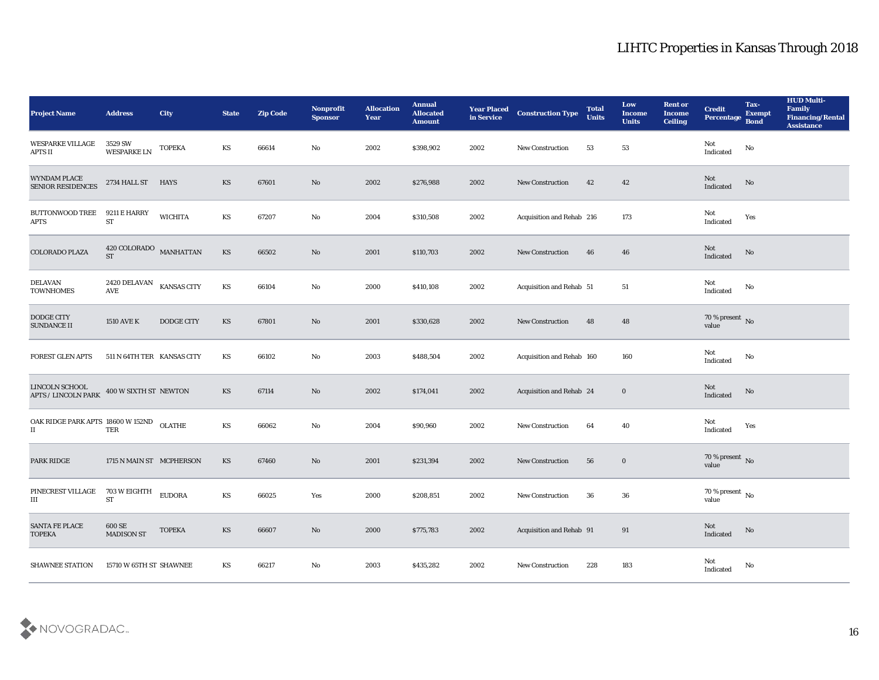| <b>Project Name</b>                          | <b>Address</b>                       | <b>City</b>        | <b>State</b>           | <b>Zip Code</b> | Nonprofit<br><b>Sponsor</b> | <b>Allocation</b><br>Year | <b>Annual</b><br><b>Allocated</b><br><b>Amount</b> | <b>Year Placed<br/>in Service</b> | <b>Construction Type</b>  | <b>Total</b><br><b>Units</b> | Low<br><b>Income</b><br><b>Units</b> | <b>Rent or</b><br><b>Income</b><br><b>Ceiling</b> | <b>Credit</b><br>Percentage       | Tax-<br><b>Exempt</b><br><b>Bond</b> | <b>HUD Multi-</b><br>Family<br><b>Financing/Rental</b><br><b>Assistance</b> |
|----------------------------------------------|--------------------------------------|--------------------|------------------------|-----------------|-----------------------------|---------------------------|----------------------------------------------------|-----------------------------------|---------------------------|------------------------------|--------------------------------------|---------------------------------------------------|-----------------------------------|--------------------------------------|-----------------------------------------------------------------------------|
| <b>WESPARKE VILLAGE</b><br>APTS II           | 3529 SW<br><b>WESPARKE LN</b>        | <b>TOPEKA</b>      | KS                     | 66614           | No                          | 2002                      | \$398,902                                          | 2002                              | New Construction          | 53                           | 53                                   |                                                   | Not<br>$\operatorname{Indicated}$ | No                                   |                                                                             |
| WYNDAM PLACE<br><b>SENIOR RESIDENCES</b>     | 2734 HALL ST HAYS                    |                    | KS                     | 67601           | No                          | 2002                      | \$276,988                                          | 2002                              | <b>New Construction</b>   | 42                           | 42                                   |                                                   | Not<br>Indicated                  | No                                   |                                                                             |
| <b>BUTTONWOOD TREE</b><br><b>APTS</b>        | 9211 E HARRY<br><b>ST</b>            | <b>WICHITA</b>     | KS                     | 67207           | No                          | 2004                      | \$310,508                                          | 2002                              | Acquisition and Rehab 216 |                              | 173                                  |                                                   | Not<br>Indicated                  | Yes                                  |                                                                             |
| COLORADO PLAZA                               | 420 COLORADO MANHATTAN<br><b>ST</b>  |                    | $\mathbf{K}\mathbf{S}$ | 66502           | No                          | 2001                      | \$110,703                                          | 2002                              | New Construction          | 46                           | 46                                   |                                                   | Not<br>Indicated                  | No                                   |                                                                             |
| <b>DELAVAN</b><br><b>TOWNHOMES</b>           | 2420 DELAVAN<br>$\operatorname{AVE}$ | <b>KANSAS CITY</b> | KS                     | 66104           | No                          | 2000                      | \$410,108                                          | 2002                              | Acquisition and Rehab 51  |                              | 51                                   |                                                   | Not<br>Indicated                  | No                                   |                                                                             |
| DODGE CITY<br>SUNDANCE II                    | <b>1510 AVE K</b>                    | DODGE CITY         | KS                     | 67801           | No                          | 2001                      | \$330,628                                          | 2002                              | New Construction          | 48                           | 48                                   |                                                   | $70\,\%$ present $\,$ No value    |                                      |                                                                             |
| <b>FOREST GLEN APTS</b>                      | 511 N 64TH TER KANSAS CITY           |                    | KS                     | 66102           | No                          | 2003                      | \$488,504                                          | 2002                              | Acquisition and Rehab 160 |                              | 160                                  |                                                   | Not<br>$\operatorname{Indicated}$ | No                                   |                                                                             |
| LINCOLN SCHOOL<br><b>APTS / LINCOLN PARK</b> | 400 W SIXTH ST NEWTON                |                    | KS                     | 67114           | No                          | 2002                      | \$174,041                                          | 2002                              | Acquisition and Rehab 24  |                              | $\bf{0}$                             |                                                   | Not<br>Indicated                  | No                                   |                                                                             |
| OAK RIDGE PARK APTS 18600 W 152ND<br>П       | <b>TER</b>                           | <b>OLATHE</b>      | KS                     | 66062           | $\rm\thinspace No$          | 2004                      | \$90,960                                           | 2002                              | New Construction          | 64                           | 40                                   |                                                   | Not<br>Indicated                  | Yes                                  |                                                                             |
| PARK RIDGE                                   | 1715 N MAIN ST MCPHERSON             |                    | <b>KS</b>              | 67460           | $\mathbf{N}\mathbf{o}$      | 2001                      | \$231,394                                          | 2002                              | <b>New Construction</b>   | 56                           | $\bf{0}$                             |                                                   | $70\,\%$ present $\,$ No value    |                                      |                                                                             |
| PINECREST VILLAGE<br>Ш                       | 703 W EIGHTH<br>$\operatorname{ST}$  | <b>EUDORA</b>      | KS                     | 66025           | Yes                         | 2000                      | \$208,851                                          | 2002                              | <b>New Construction</b>   | 36                           | 36                                   |                                                   | $70\,\%$ present $\,$ No value    |                                      |                                                                             |
| SANTA FE PLACE<br><b>TOPEKA</b>              | $600\,\mathrm{SE}$<br>MADISON ST     | <b>TOPEKA</b>      | $\mathbf{K}\mathbf{S}$ | 66607           | $\rm\, No$                  | 2000                      | \$775,783                                          | 2002                              | Acquisition and Rehab 91  |                              | 91                                   |                                                   | Not<br>Indicated                  | $\rm \bf No$                         |                                                                             |
| <b>SHAWNEE STATION</b>                       | 15710 W 65TH ST SHAWNEE              |                    | KS                     | 66217           | $\rm\, No$                  | 2003                      | \$435,282                                          | 2002                              | <b>New Construction</b>   | 228                          | 183                                  |                                                   | Not<br>Indicated                  | No                                   |                                                                             |

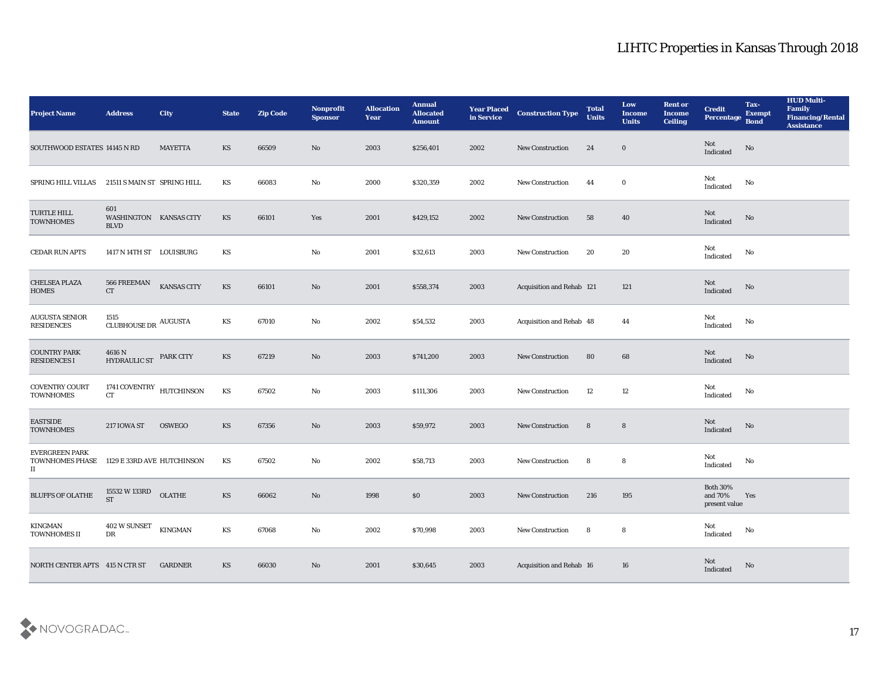| <b>Project Name</b>                                                     | <b>Address</b>                               | <b>City</b>    | <b>State</b>           | <b>Zip Code</b> | Nonprofit<br><b>Sponsor</b> | <b>Allocation</b><br><b>Year</b> | <b>Annual</b><br><b>Allocated</b><br><b>Amount</b> | <b>Year Placed</b><br>in Service | <b>Construction Type</b>    | <b>Total</b><br><b>Units</b> | Low<br><b>Income</b><br><b>Units</b> | <b>Rent or</b><br><b>Income</b><br><b>Ceiling</b> | <b>Credit</b><br><b>Percentage</b>          | Tax-<br><b>Exempt</b><br><b>Bond</b> | <b>HUD Multi-</b><br>Family<br><b>Financing/Rental</b><br><b>Assistance</b> |
|-------------------------------------------------------------------------|----------------------------------------------|----------------|------------------------|-----------------|-----------------------------|----------------------------------|----------------------------------------------------|----------------------------------|-----------------------------|------------------------------|--------------------------------------|---------------------------------------------------|---------------------------------------------|--------------------------------------|-----------------------------------------------------------------------------|
| SOUTHWOOD ESTATES 14145 N RD                                            |                                              | MAYETTA        | KS                     | 66509           | No                          | 2003                             | \$256,401                                          | 2002                             | <b>New Construction</b>     | 24                           | $\bf{0}$                             |                                                   | Not<br>Indicated                            | No                                   |                                                                             |
| SPRING HILL VILLAS                                                      | 21511 S MAIN ST SPRING HILL                  |                | KS                     | 66083           | No                          | 2000                             | \$320,359                                          | 2002                             | <b>New Construction</b>     | 44                           | $\bf{0}$                             |                                                   | Not<br>$\operatorname{Indicated}$           | No                                   |                                                                             |
| TURTLE HILL<br><b>TOWNHOMES</b>                                         | 601<br>WASHINGTON KANSAS CITY<br><b>BLVD</b> |                | KS                     | 66101           | Yes                         | 2001                             | \$429,152                                          | 2002                             | <b>New Construction</b>     | 58                           | 40                                   |                                                   | Not<br>Indicated                            | No                                   |                                                                             |
| CEDAR RUN APTS                                                          | 1417 N 14TH ST LOUISBURG                     |                | KS                     |                 | No                          | 2001                             | \$32,613                                           | 2003                             | New Construction            | 20                           | 20                                   |                                                   | Not<br>$\operatorname{Indicated}$           | No                                   |                                                                             |
| <b>CHELSEA PLAZA</b><br><b>HOMES</b>                                    | 566 FREEMAN<br>CT                            | KANSAS CITY    | KS                     | 66101           | No                          | 2001                             | \$558,374                                          | 2003                             | Acquisition and Rehab 121   |                              | 121                                  |                                                   | Not<br>Indicated                            | No                                   |                                                                             |
| <b>AUGUSTA SENIOR</b><br><b>RESIDENCES</b>                              | 1515<br>CLUBHOUSE DR $\,$ AUGUSTA            |                | KS                     | 67010           | No                          | 2002                             | \$54,532                                           | 2003                             | Acquisition and Rehab 48    |                              | 44                                   |                                                   | Not<br>Indicated                            | No                                   |                                                                             |
| <b>COUNTRY PARK</b><br>RESIDENCES I                                     | $4616$ N $$\,$ HYDRAULIC ST                  | PARK CITY      | KS                     | 67219           | No                          | 2003                             | \$741,200                                          | 2003                             | <b>New Construction</b>     | 80                           | 68                                   |                                                   | Not<br>Indicated                            | No                                   |                                                                             |
| <b>COVENTRY COURT</b><br><b>TOWNHOMES</b>                               | 1741 COVENTRY HUTCHINSON<br><b>CT</b>        |                | KS                     | 67502           | No                          | 2003                             | \$111,306                                          | 2003                             | <b>New Construction</b>     | 12                           | 12                                   |                                                   | Not<br>Indicated                            | No                                   |                                                                             |
| <b>EASTSIDE</b><br><b>TOWNHOMES</b>                                     | 217 IOWA ST                                  | OSWEGO         | KS                     | 67356           | No                          | 2003                             | \$59,972                                           | 2003                             | <b>New Construction</b>     | 8                            | 8                                    |                                                   | Not<br>Indicated                            | No                                   |                                                                             |
| <b>EVERGREEN PARK</b><br><b>TOWNHOMES PHASE</b><br>$\scriptstyle\rm II$ | 1129 E 33RD AVE HUTCHINSON                   |                | KS                     | 67502           | No                          | 2002                             | \$58,713                                           | 2003                             | <b>New Construction</b>     | 8                            | 8                                    |                                                   | Not<br>Indicated                            | No                                   |                                                                             |
| <b>BLUFFS OF OLATHE</b>                                                 | 15532 W 133RD<br><b>ST</b>                   | $OLATHE$       | KS                     | 66062           | No                          | 1998                             | \$0                                                | 2003                             | <b>New Construction</b>     | 216                          | 195                                  |                                                   | <b>Both 30%</b><br>and 70%<br>present value | Yes                                  |                                                                             |
| KINGMAN<br>TOWNHOMES II                                                 | 402 W SUNSET<br>DR                           | <b>KINGMAN</b> | $\mathbf{K}\mathbf{S}$ | 67068           | $\mathbf {No}$              | 2002                             | \$70,998                                           | 2003                             | ${\hbox{New Construction}}$ | 8                            | 8                                    |                                                   | Not<br>Indicated                            | $\mathbf{N}\mathbf{o}$               |                                                                             |
| NORTH CENTER APTS 415 N CTR ST                                          |                                              | <b>GARDNER</b> | KS                     | 66030           | $\rm \bf No$                | 2001                             | \$30,645                                           | 2003                             | Acquisition and Rehab 16    |                              | ${\bf 16}$                           |                                                   | Not<br>Indicated                            | $\rm\thinspace No$                   |                                                                             |

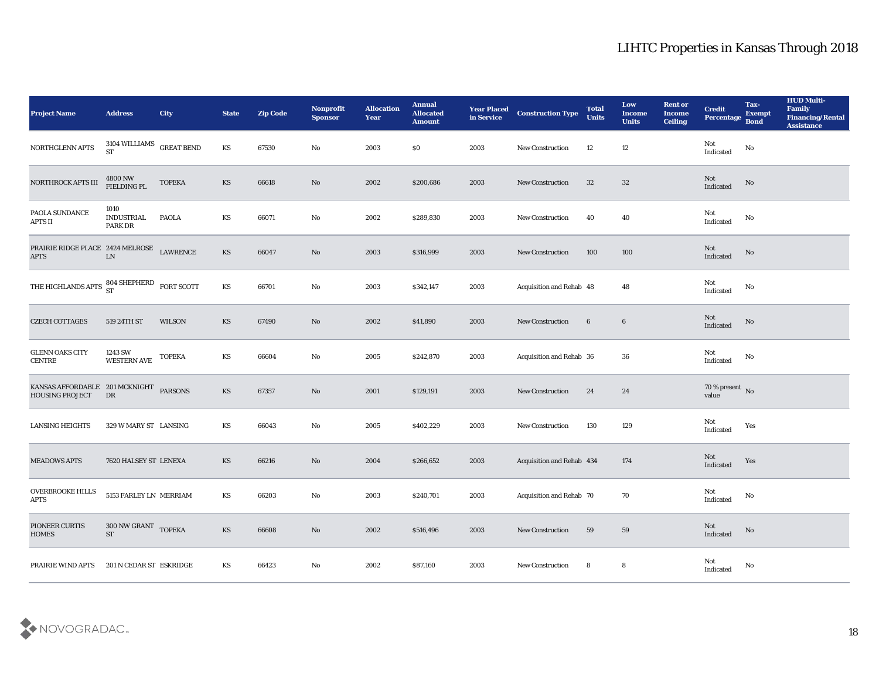| <b>Project Name</b>                                      | <b>Address</b>                   | City              | <b>State</b> | <b>Zip Code</b> | Nonprofit<br><b>Sponsor</b> | <b>Allocation</b><br><b>Year</b> | <b>Annual</b><br><b>Allocated</b><br><b>Amount</b> | <b>Year Placed</b><br>in Service | <b>Construction Type</b>  | <b>Total</b><br><b>Units</b> | Low<br><b>Income</b><br><b>Units</b> | <b>Rent or</b><br><b>Income</b><br><b>Ceiling</b> | <b>Credit</b><br>Percentage       | Tax-<br><b>Exempt</b><br><b>Bond</b> | <b>HUD Multi-</b><br>Family<br><b>Financing/Rental</b><br><b>Assistance</b> |
|----------------------------------------------------------|----------------------------------|-------------------|--------------|-----------------|-----------------------------|----------------------------------|----------------------------------------------------|----------------------------------|---------------------------|------------------------------|--------------------------------------|---------------------------------------------------|-----------------------------------|--------------------------------------|-----------------------------------------------------------------------------|
| NORTHGLENN APTS                                          | 3104 WILLIAMS<br><b>ST</b>       | <b>GREAT BEND</b> | KS           | 67530           | No                          | 2003                             | \$0                                                | 2003                             | New Construction          | 12                           | 12                                   |                                                   | Not<br>Indicated                  | No                                   |                                                                             |
| NORTHROCK APTS III                                       | $4800\,\mathrm{NW}$ FIELDING PL  | <b>TOPEKA</b>     | <b>KS</b>    | 66618           | No                          | 2002                             | \$200,686                                          | 2003                             | <b>New Construction</b>   | 32                           | 32                                   |                                                   | Not<br>Indicated                  | No                                   |                                                                             |
| PAOLA SUNDANCE<br>APTS II                                | 1010<br>INDUSTRIAL<br>PARK DR    | <b>PAOLA</b>      | KS           | 66071           | No                          | 2002                             | \$289,830                                          | 2003                             | New Construction          | 40                           | 40                                   |                                                   | Not<br>Indicated                  | No                                   |                                                                             |
| PRAIRIE RIDGE PLACE 2424 MELROSE<br>$\rm APTS$           | ${\rm LN}$                       | <b>LAWRENCE</b>   | KS           | 66047           | $\rm\thinspace No$          | 2003                             | \$316,999                                          | 2003                             | New Construction          | 100                          | 100                                  |                                                   | Not<br>Indicated                  | $\rm No$                             |                                                                             |
| THE HIGHLANDS APTS $^{804}_{ST}$ SHEPHERD FORT SCOTT     |                                  |                   | KS           | 66701           | $\mathbf{No}$               | 2003                             | \$342,147                                          | 2003                             | Acquisition and Rehab 48  |                              | 48                                   |                                                   | Not<br>Indicated                  | No                                   |                                                                             |
| <b>CZECH COTTAGES</b>                                    | 519 24TH ST                      | WILSON            | KS           | 67490           | No                          | 2002                             | \$41,890                                           | 2003                             | New Construction          | $6\phantom{.}6$              | $6\phantom{.}6$                      |                                                   | Not<br>Indicated                  | No                                   |                                                                             |
| <b>GLENN OAKS CITY</b><br><b>CENTRE</b>                  | 1243 SW<br><b>WESTERN AVE</b>    | <b>TOPEKA</b>     | KS           | 66604           | No                          | 2005                             | \$242,870                                          | 2003                             | Acquisition and Rehab 36  |                              | 36                                   |                                                   | Not<br>$\operatorname{Indicated}$ | $\mathbf{No}$                        |                                                                             |
| KANSAS AFFORDABLE 201 MCKNIGHT<br><b>HOUSING PROJECT</b> | DR                               | <b>PARSONS</b>    | <b>KS</b>    | 67357           | $\rm \bf No$                | 2001                             | \$129,191                                          | 2003                             | <b>New Construction</b>   | 24                           | 24                                   |                                                   | $70\,\%$ present $\,$ No value    |                                      |                                                                             |
| <b>LANSING HEIGHTS</b>                                   | 329 W MARY ST LANSING            |                   | KS           | 66043           | $\rm\thinspace No$          | 2005                             | \$402,229                                          | 2003                             | <b>New Construction</b>   | 130                          | 129                                  |                                                   | Not<br>Indicated                  | Yes                                  |                                                                             |
| <b>MEADOWS APTS</b>                                      | 7620 HALSEY ST LENEXA            |                   | KS           | 66216           | $\rm\thinspace No$          | 2004                             | \$266,652                                          | 2003                             | Acquisition and Rehab 434 |                              | 174                                  |                                                   | Not<br>Indicated                  | Yes                                  |                                                                             |
| <b>OVERBROOKE HILLS</b><br><b>APTS</b>                   | 5153 FARLEY LN MERRIAM           |                   | KS           | 66203           | No                          | 2003                             | \$240,701                                          | 2003                             | Acquisition and Rehab 70  |                              | 70                                   |                                                   | Not<br>Indicated                  | No                                   |                                                                             |
| PIONEER CURTIS<br><b>HOMES</b>                           | 300 NW GRANT TOPEKA<br><b>ST</b> |                   | KS           | 66608           | $\rm\, No$                  | 2002                             | \$516,496                                          | 2003                             | <b>New Construction</b>   | 59                           | ${\bf 59}$                           |                                                   | Not<br>Indicated                  | $\mathbf{N}\mathbf{o}$               |                                                                             |
| PRAIRIE WIND APTS                                        | 201 N CEDAR ST ESKRIDGE          |                   | KS           | 66423           | $\mathbf {No}$              | 2002                             | \$87,160                                           | 2003                             | <b>New Construction</b>   | 8                            | 8                                    |                                                   | <b>Not</b><br>Indicated           | No                                   |                                                                             |

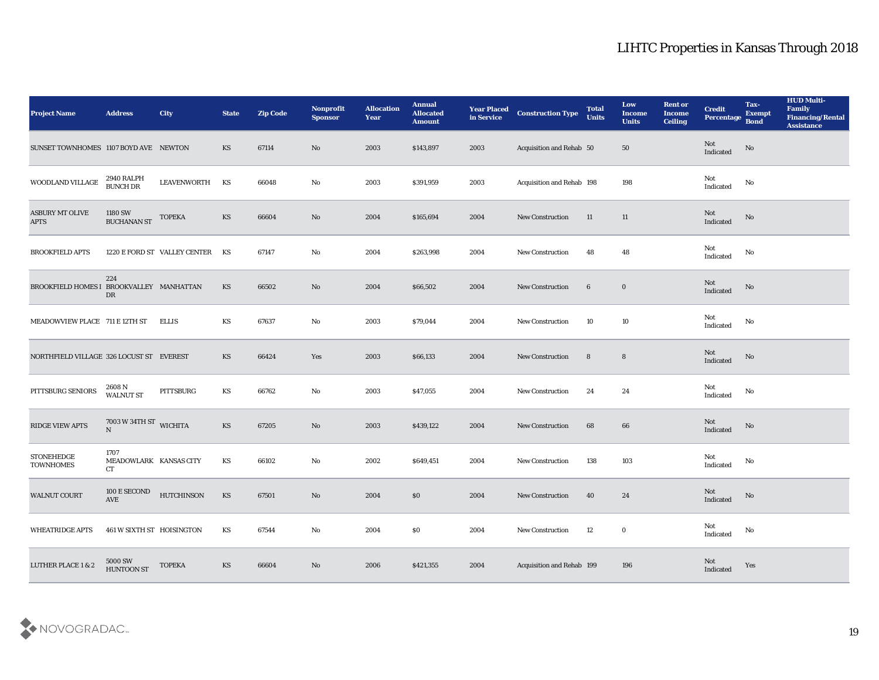| <b>Project Name</b>                      | <b>Address</b>                              | City                            | <b>State</b> | <b>Zip Code</b> | Nonprofit<br><b>Sponsor</b> | <b>Allocation</b><br><b>Year</b> | <b>Annual</b><br><b>Allocated</b><br><b>Amount</b> | <b>Year Placed</b><br>in Service | <b>Construction Type</b>  | <b>Total</b><br><b>Units</b> | Low<br><b>Income</b><br><b>Units</b> | <b>Rent or</b><br>Income<br><b>Ceiling</b> | <b>Credit</b><br>Percentage | Tax-<br><b>Exempt</b><br><b>Bond</b> | <b>HUD Multi-</b><br>Family<br><b>Financing/Rental</b><br><b>Assistance</b> |
|------------------------------------------|---------------------------------------------|---------------------------------|--------------|-----------------|-----------------------------|----------------------------------|----------------------------------------------------|----------------------------------|---------------------------|------------------------------|--------------------------------------|--------------------------------------------|-----------------------------|--------------------------------------|-----------------------------------------------------------------------------|
| SUNSET TOWNHOMES 1107 BOYD AVE NEWTON    |                                             |                                 | KS           | 67114           | No                          | 2003                             | \$143,897                                          | 2003                             | Acquisition and Rehab 50  |                              | 50                                   |                                            | Not<br>Indicated            | No                                   |                                                                             |
| WOODLAND VILLAGE                         | 2940 RALPH<br>BUNCH DR                      | LEAVENWORTH                     | KS           | 66048           | No                          | 2003                             | \$391,959                                          | 2003                             | Acquisition and Rehab 198 |                              | 198                                  |                                            | Not<br>Indicated            | No                                   |                                                                             |
| <b>ASBURY MT OLIVE</b><br><b>APTS</b>    | 1180 SW<br><b>BUCHANAN ST</b>               | <b>TOPEKA</b>                   | KS           | 66604           | No                          | 2004                             | \$165,694                                          | 2004                             | <b>New Construction</b>   | 11                           | 11                                   |                                            | Not<br>Indicated            | No                                   |                                                                             |
| <b>BROOKFIELD APTS</b>                   |                                             | 1220 E FORD ST VALLEY CENTER KS |              | 67147           | No                          | 2004                             | \$263,998                                          | 2004                             | New Construction          | 48                           | 48                                   |                                            | Not<br>Indicated            | No                                   |                                                                             |
| BROOKFIELD HOMES I BROOKVALLEY MANHATTAN | 224<br>DR                                   |                                 | KS           | 66502           | No                          | 2004                             | \$66,502                                           | 2004                             | <b>New Construction</b>   | 6                            | $\bf{0}$                             |                                            | Not<br>Indicated            | No                                   |                                                                             |
| MEADOWVIEW PLACE 711 E 12TH ST           |                                             | <b>ELLIS</b>                    | KS           | 67637           | No                          | 2003                             | \$79,044                                           | 2004                             | <b>New Construction</b>   | 10                           | 10                                   |                                            | Not<br>Indicated            | No                                   |                                                                             |
| NORTHFIELD VILLAGE 326 LOCUST ST EVEREST |                                             |                                 | KS           | 66424           | Yes                         | 2003                             | \$66,133                                           | 2004                             | <b>New Construction</b>   | 8                            | 8                                    |                                            | Not<br>Indicated            | No                                   |                                                                             |
| PITTSBURG SENIORS                        | 2608 N<br><b>WALNUT ST</b>                  | PITTSBURG                       | KS           | 66762           | No                          | 2003                             | \$47,055                                           | 2004                             | <b>New Construction</b>   | 24                           | 24                                   |                                            | Not<br>Indicated            | No                                   |                                                                             |
| RIDGE VIEW APTS                          | $7003$ W 34TH ST $\,$ WICHITA<br>N          |                                 | KS           | 67205           | No                          | 2003                             | \$439,122                                          | 2004                             | <b>New Construction</b>   | 68                           | 66                                   |                                            | Not<br>Indicated            | No                                   |                                                                             |
| <b>STONEHEDGE</b><br><b>TOWNHOMES</b>    | 1707<br>MEADOWLARK KANSAS CITY<br><b>CT</b> |                                 | KS           | 66102           | No                          | 2002                             | \$649,451                                          | 2004                             | <b>New Construction</b>   | 138                          | 103                                  |                                            | Not<br>Indicated            | No                                   |                                                                             |
| <b>WALNUT COURT</b>                      | 100 E SECOND<br>AVE                         | <b>HUTCHINSON</b>               | KS           | 67501           | No                          | 2004                             | $\$0$                                              | 2004                             | <b>New Construction</b>   | 40                           | 24                                   |                                            | Not<br>Indicated            | No                                   |                                                                             |
| <b>WHEATRIDGE APTS</b>                   | 461 W SIXTH ST HOISINGTON                   |                                 | KS           | 67544           | $\rm\thinspace No$          | 2004                             | $\$0$                                              | 2004                             | New Construction          | 12                           | $\mathbf 0$                          |                                            | Not<br>Indicated            | $\mathbf {No}$                       |                                                                             |
| <b>LUTHER PLACE 1 &amp; 2</b>            | $5000\,\mathrm{SW}$<br><b>HUNTOON ST</b>    | <b>TOPEKA</b>                   | KS           | 66604           | $\mathbf{N}\mathbf{o}$      | 2006                             | \$421,355                                          | 2004                             | Acquisition and Rehab 199 |                              | 196                                  |                                            | Not<br>Indicated            | Yes                                  |                                                                             |

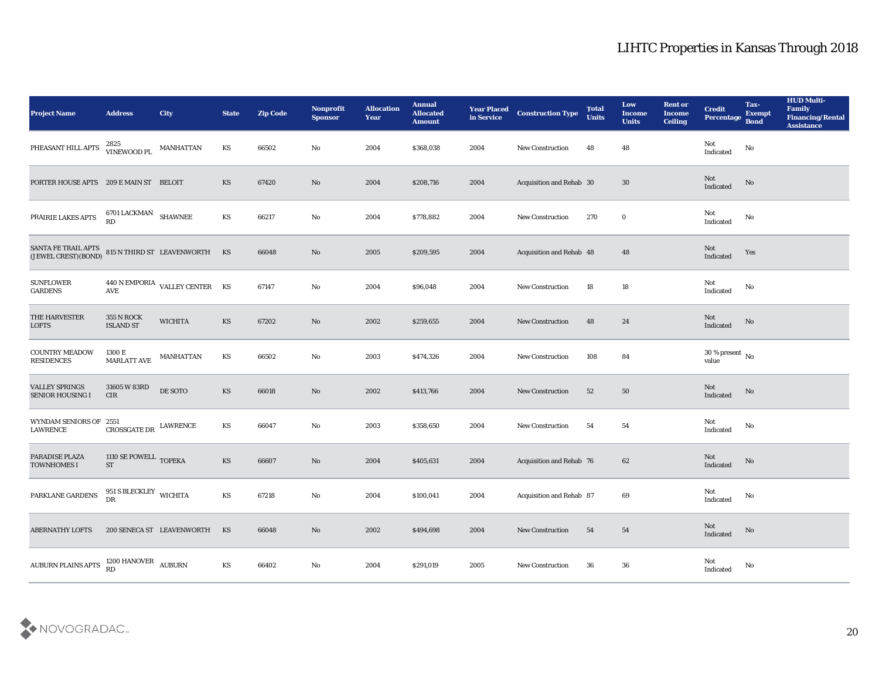| <b>Project Name</b>                                                                                                                                                                            | <b>Address</b>                        | City                           | <b>State</b>           | <b>Zip Code</b> | Nonprofit<br><b>Sponsor</b> | <b>Allocation</b><br><b>Year</b> | <b>Annual</b><br><b>Allocated</b><br><b>Amount</b> | <b>Year Placed</b><br>in Service | <b>Construction Type</b>        | <b>Total</b><br><b>Units</b> | Low<br><b>Income</b><br><b>Units</b> | <b>Rent or</b><br>Income<br><b>Ceiling</b> | <b>Credit</b><br>Percentage                       | Tax-<br><b>Exempt</b><br><b>Bond</b> | <b>HUD Multi-</b><br>Family<br><b>Financing/Rental</b><br><b>Assistance</b> |
|------------------------------------------------------------------------------------------------------------------------------------------------------------------------------------------------|---------------------------------------|--------------------------------|------------------------|-----------------|-----------------------------|----------------------------------|----------------------------------------------------|----------------------------------|---------------------------------|------------------------------|--------------------------------------|--------------------------------------------|---------------------------------------------------|--------------------------------------|-----------------------------------------------------------------------------|
| PHEASANT HILL APTS                                                                                                                                                                             | 2825<br>VINEWOOD PL<br>MANHATTAN      |                                | KS                     | 66502           | No                          | 2004                             | \$368,038                                          | 2004                             | <b>New Construction</b>         | 48                           | 48                                   |                                            | Not<br>$\operatorname{Indicated}$                 | No                                   |                                                                             |
| PORTER HOUSE APTS 209 E MAIN ST BELOIT                                                                                                                                                         |                                       |                                | KS                     | 67420           | No                          | 2004                             | \$208,716                                          | 2004                             | Acquisition and Rehab 30        |                              | 30                                   |                                            | Not<br>$\label{thm:indicated} \textbf{Indicated}$ | $\mathbf {No}$                       |                                                                             |
| PRAIRIE LAKES APTS                                                                                                                                                                             | 6701 LACKMAN SHAWNEE<br>RD            |                                | KS                     | 66217           | No                          | 2004                             | \$778,882                                          | 2004                             | <b>New Construction</b>         | 270                          | $\bf{0}$                             |                                            | Not<br>Indicated                                  | No                                   |                                                                             |
| $\begin{tabular}{lllllll} \textbf{SANTA FE TRAIL APTS} & & \\ \textbf{(JEWEL CREST) (BOND)} & & \\ \textbf{815 N THIRD ST} & & \textbf{LEAVENWORTH} & & \\ \textbf{KS} & & & \\ \end{tabular}$ |                                       |                                |                        | 66048           | No                          | 2005                             | \$209,595                                          | 2004                             | Acquisition and Rehab 48        |                              | 48                                   |                                            | Not<br>Indicated                                  | Yes                                  |                                                                             |
| <b>SUNFLOWER</b><br><b>GARDENS</b>                                                                                                                                                             | $\operatorname{\mathbf{AVE}}$         | 440 N EMPORIA VALLEY CENTER KS |                        | 67147           | $\mathbf{N}\mathbf{o}$      | 2004                             | \$96,048                                           | 2004                             | <b>New Construction</b>         | 18                           | 18                                   |                                            | Not<br>Indicated                                  | No                                   |                                                                             |
| THE HARVESTER<br><b>LOFTS</b>                                                                                                                                                                  | <b>355 N ROCK</b><br><b>ISLAND ST</b> | <b>WICHITA</b>                 | KS                     | 67202           | No                          | 2002                             | \$259,655                                          | 2004                             | <b>New Construction</b>         | 48                           | 24                                   |                                            | Not<br>Indicated                                  | No                                   |                                                                             |
| <b>COUNTRY MEADOW</b><br><b>RESIDENCES</b>                                                                                                                                                     | 1300 E<br><b>MARLATT AVE</b>          | <b>MANHATTAN</b>               | KS                     | 66502           | No                          | 2003                             | \$474,326                                          | 2004                             | <b>New Construction</b>         | 108                          | 84                                   |                                            | 30 % present $\,$ No $\,$<br>value                |                                      |                                                                             |
| <b>VALLEY SPRINGS</b><br><b>SENIOR HOUSING I</b>                                                                                                                                               | 31605 W 83RD<br>CIR                   | DE SOTO                        | KS                     | 66018           | No                          | 2002                             | \$413,766                                          | 2004                             | <b>New Construction</b>         | 52                           | 50                                   |                                            | Not<br>Indicated                                  | No                                   |                                                                             |
| WYNDAM SENIORS OF 2551<br>LAWRENCE                                                                                                                                                             | CROSSGATE DR                          | LAWRENCE                       | KS                     | 66047           | $\mathbf{N}\mathbf{o}$      | 2003                             | \$358,650                                          | 2004                             | <b>New Construction</b>         | 54                           | 54                                   |                                            | Not<br>Indicated                                  | No                                   |                                                                             |
| PARADISE PLAZA<br><b>TOWNHOMES I</b>                                                                                                                                                           | 1110 SE POWELL TOPEKA<br><b>ST</b>    |                                | KS                     | 66607           | No                          | 2004                             | \$405,631                                          | 2004                             | Acquisition and Rehab 76        |                              | 62                                   |                                            | Not<br>Indicated                                  | $\mathbf {No}$                       |                                                                             |
| PARKLANE GARDENS                                                                                                                                                                               | 951 S BLECKLEY WICHITA<br>DR          |                                | KS                     | 67218           | No                          | 2004                             | \$100,041                                          | 2004                             | <b>Acquisition and Rehab 87</b> |                              | 69                                   |                                            | Not<br>$\operatorname{Indicated}$                 | No                                   |                                                                             |
| <b>ABERNATHY LOFTS</b>                                                                                                                                                                         |                                       | 200 SENECA ST LEAVENWORTH KS   |                        | 66048           | $\rm\thinspace No$          | 2002                             | \$494,698                                          | 2004                             | <b>New Construction</b>         | 54                           | 54                                   |                                            | Not<br>Indicated                                  | No                                   |                                                                             |
| AUBURN PLAINS APTS 1200 HANOVER AUBURN                                                                                                                                                         |                                       |                                | $\mathbf{K}\mathbf{S}$ | 66402           | $\rm\thinspace No$          | 2004                             | \$291,019                                          | 2005                             | <b>New Construction</b>         | 36                           | ${\bf 36}$                           |                                            | Not<br>Indicated                                  | $\mathbf {No}$                       |                                                                             |

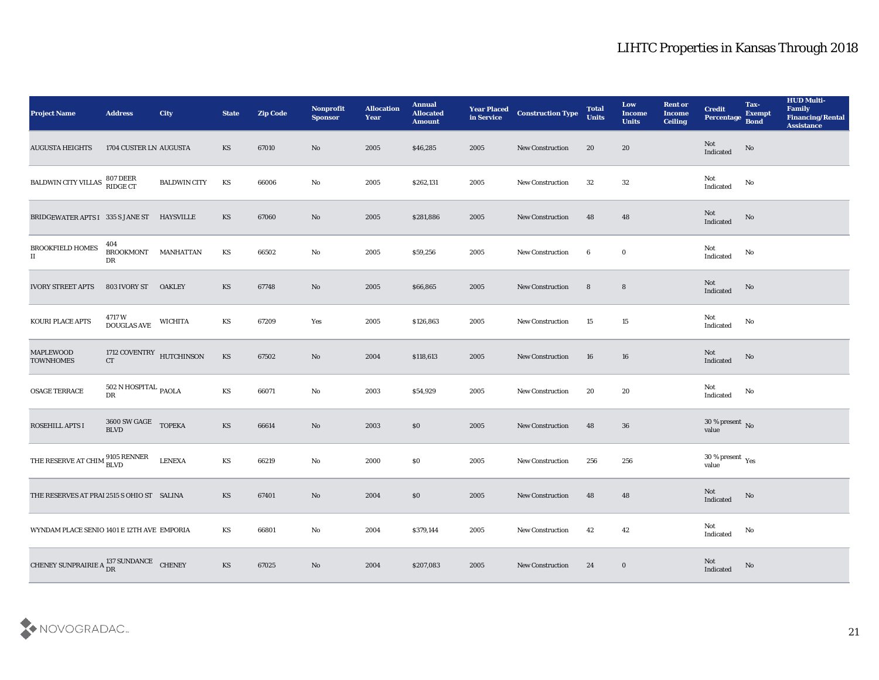| <b>Project Name</b>                                      | <b>Address</b>                               | <b>City</b>         | <b>State</b>           | <b>Zip Code</b> | Nonprofit<br><b>Sponsor</b> | <b>Allocation</b><br><b>Year</b> | <b>Annual</b><br><b>Allocated</b><br><b>Amount</b> | <b>Year Placed</b><br>in Service | <b>Construction Type</b> | <b>Total</b><br><b>Units</b> | Low<br><b>Income</b><br><b>Units</b> | <b>Rent or</b><br><b>Income</b><br>Ceiling | <b>Credit</b><br><b>Percentage</b> | Tax-<br><b>Exempt</b><br><b>Bond</b> | <b>HUD Multi-</b><br>Family<br><b>Financing/Rental</b><br><b>Assistance</b> |
|----------------------------------------------------------|----------------------------------------------|---------------------|------------------------|-----------------|-----------------------------|----------------------------------|----------------------------------------------------|----------------------------------|--------------------------|------------------------------|--------------------------------------|--------------------------------------------|------------------------------------|--------------------------------------|-----------------------------------------------------------------------------|
| <b>AUGUSTA HEIGHTS</b>                                   | 1704 CUSTER LN AUGUSTA                       |                     | KS                     | 67010           | No                          | 2005                             | \$46,285                                           | 2005                             | <b>New Construction</b>  | 20                           | 20                                   |                                            | Not<br>Indicated                   | No                                   |                                                                             |
| BALDWIN CITY VILLAS                                      | 807 DEER<br>RIDGE CT                         | <b>BALDWIN CITY</b> | KS                     | 66006           | No                          | 2005                             | \$262,131                                          | 2005                             | <b>New Construction</b>  | 32                           | 32                                   |                                            | Not<br>Indicated                   | No                                   |                                                                             |
| BRIDGEWATER APTS I 335 S JANE ST                         |                                              | <b>HAYSVILLE</b>    | KS                     | 67060           | No                          | 2005                             | \$281,886                                          | 2005                             | <b>New Construction</b>  | 48                           | 48                                   |                                            | Not<br>Indicated                   | $\mathbf{N}\mathbf{o}$               |                                                                             |
| BROOKFIELD HOMES<br>$\mathbf{I}$                         | 404<br>BROOKMONT MANHATTAN<br>DR             |                     | KS                     | 66502           | $\rm No$                    | 2005                             | \$59,256                                           | 2005                             | New Construction         | 6                            | $\bf{0}$                             |                                            | Not<br>$\operatorname{Indicated}$  | No                                   |                                                                             |
| <b>IVORY STREET APTS</b>                                 | 803 IVORY ST                                 | <b>OAKLEY</b>       | KS                     | 67748           | No                          | 2005                             | \$66,865                                           | 2005                             | <b>New Construction</b>  | 8                            | $8\phantom{1}$                       |                                            | Not<br>Indicated                   | $\mathbf{N}\mathbf{o}$               |                                                                             |
| KOURI PLACE APTS                                         | 4717 W<br>DOUGLAS AVE                        | <b>WICHITA</b>      | KS                     | 67209           | Yes                         | 2005                             | \$126,863                                          | 2005                             | <b>New Construction</b>  | 15                           | 15                                   |                                            | Not<br>Indicated                   | No                                   |                                                                             |
| <b>MAPLEWOOD</b><br><b>TOWNHOMES</b>                     | 1712 COVENTRY HUTCHINSON<br><b>CT</b>        |                     | $\mathbf{K}\mathbf{S}$ | 67502           | $\mathbf{N}\mathbf{o}$      | 2004                             | \$118,613                                          | 2005                             | <b>New Construction</b>  | 16                           | 16                                   |                                            | Not<br>Indicated                   | $\mathbf{N}\mathbf{o}$               |                                                                             |
| <b>OSAGE TERRACE</b>                                     | $502$ N HOSPITAL $_{\rm PAOLA}$<br>DR        |                     | KS                     | 66071           | No                          | 2003                             | \$54,929                                           | 2005                             | <b>New Construction</b>  | 20                           | 20                                   |                                            | Not<br>Indicated                   | No                                   |                                                                             |
| ROSEHILL APTS I                                          | 3600 SW GAGE TOPEKA<br>$\operatorname{BLVD}$ |                     | <b>KS</b>              | 66614           | $\mathbf{N}\mathbf{o}$      | 2003                             | \$0                                                | 2005                             | <b>New Construction</b>  | 48                           | 36                                   |                                            | $30\,\%$ present $\,$ No value     |                                      |                                                                             |
| THE RESERVE AT CHIM $^{9105}_{\rm BLVD}$                 |                                              | <b>LENEXA</b>       | $\mathbf{K}\mathbf{S}$ | 66219           | $\mathbf{N}\mathbf{o}$      | 2000                             | \$0                                                | 2005                             | <b>New Construction</b>  | 256                          | 256                                  |                                            | $30\,\%$ present $\,$ Yes value    |                                      |                                                                             |
| THE RESERVES AT PRAI 2515 S OHIO ST SALINA               |                                              |                     | KS                     | 67401           | No                          | 2004                             | \$0                                                | 2005                             | <b>New Construction</b>  | 48                           | 48                                   |                                            | Not<br>Indicated                   | No                                   |                                                                             |
| WYNDAM PLACE SENIO 1401 E 12TH AVE EMPORIA               |                                              |                     | KS                     | 66801           | $\rm\thinspace No$          | 2004                             | \$379,144                                          | 2005                             | <b>New Construction</b>  | 42                           | 42                                   |                                            | Not<br>Indicated                   | $\rm\, No$                           |                                                                             |
| CHENEY SUNPRAIRIE A $_{\text{DR}}^{137}$ SUNDANCE CHENEY |                                              |                     | $\mathbf{K}\mathbf{S}$ | 67025           | $\rm\, No$                  | 2004                             | \$207,083                                          | 2005                             | <b>New Construction</b>  | 24                           | $\bf{0}$                             |                                            | Not<br>Indicated                   | $\mathbf{N}\mathbf{o}$               |                                                                             |

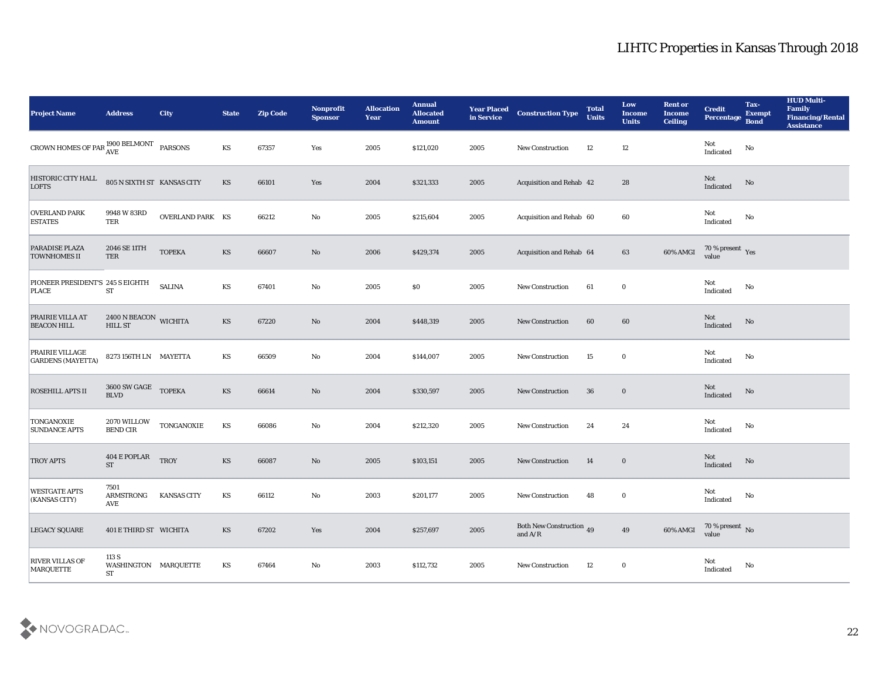| <b>Project Name</b>                                              | <b>Address</b>                             | City                    | <b>State</b>           | <b>Zip Code</b> | Nonprofit<br><b>Sponsor</b> | <b>Allocation</b><br><b>Year</b> | <b>Annual</b><br><b>Allocated</b><br><b>Amount</b> | <b>Year Placed</b><br>in Service | <b>Construction Type</b>                                                          | <b>Total</b><br><b>Units</b> | Low<br><b>Income</b><br><b>Units</b> | <b>Rent or</b><br><b>Income</b><br><b>Ceiling</b> | <b>Credit</b><br><b>Percentage</b>        | Tax-<br><b>Exempt</b><br><b>Bond</b> | <b>HUD Multi-</b><br>Family<br><b>Financing/Rental</b><br><b>Assistance</b> |
|------------------------------------------------------------------|--------------------------------------------|-------------------------|------------------------|-----------------|-----------------------------|----------------------------------|----------------------------------------------------|----------------------------------|-----------------------------------------------------------------------------------|------------------------------|--------------------------------------|---------------------------------------------------|-------------------------------------------|--------------------------------------|-----------------------------------------------------------------------------|
| CROWN HOMES OF PAR $_{\text{AVE}}^{1900\text{ BELMONT}}$ PARSONS |                                            |                         | KS                     | 67357           | Yes                         | 2005                             | \$121,020                                          | 2005                             | <b>New Construction</b>                                                           | 12                           | 12                                   |                                                   | Not<br>$\operatorname{Indicated}$         | No                                   |                                                                             |
| HISTORIC CITY HALL<br><b>LOFTS</b>                               | 805 N SIXTH ST KANSAS CITY                 |                         | KS                     | 66101           | Yes                         | 2004                             | \$321,333                                          | 2005                             | Acquisition and Rehab 42                                                          |                              | 28                                   |                                                   | Not<br>Indicated                          | No                                   |                                                                             |
| <b>OVERLAND PARK</b><br><b>ESTATES</b>                           | 9948 W 83RD<br>TER                         | <b>OVERLAND PARK KS</b> |                        | 66212           | No                          | 2005                             | \$215,604                                          | 2005                             | Acquisition and Rehab 60                                                          |                              | 60                                   |                                                   | Not<br>Indicated                          | No                                   |                                                                             |
| <b>PARADISE PLAZA</b><br><b>TOWNHOMES II</b>                     | 2046 SE 11TH<br>TER                        | <b>TOPEKA</b>           | KS                     | 66607           | No                          | 2006                             | \$429,374                                          | 2005                             | Acquisition and Rehab 64                                                          |                              | 63                                   | 60% AMGI                                          | $70\,\%$ present $\;\;\mathrm{Yes}$ value |                                      |                                                                             |
| PIONEER PRESIDENT'S 245 S EIGHTH<br><b>PLACE</b>                 | ${\bf ST}$                                 | <b>SALINA</b>           | KS                     | 67401           | No                          | 2005                             | \$0                                                | 2005                             | <b>New Construction</b>                                                           | 61                           | $\bf{0}$                             |                                                   | Not<br>$\operatorname{Indicated}$         | No                                   |                                                                             |
| <b>PRAIRIE VILLA AT</b><br><b>BEACON HILL</b>                    | 2400 N BEACON WICHITA<br><b>HILL ST</b>    |                         | KS                     | 67220           | No                          | 2004                             | \$448,319                                          | 2005                             | <b>New Construction</b>                                                           | 60                           | 60                                   |                                                   | Not<br>Indicated                          | No                                   |                                                                             |
| <b>PRAIRIE VILLAGE</b><br><b>GARDENS</b> (MAYETTA)               | 8273 156TH LN MAYETTA                      |                         | KS                     | 66509           | No                          | 2004                             | \$144,007                                          | 2005                             | <b>New Construction</b>                                                           | 15                           | $\bf{0}$                             |                                                   | Not<br>$\operatorname{Indicated}$         | No                                   |                                                                             |
| <b>ROSEHILL APTS II</b>                                          | 3600 SW GAGE TOPEKA<br><b>BLVD</b>         |                         | KS                     | 66614           | No                          | 2004                             | \$330,597                                          | 2005                             | <b>New Construction</b>                                                           | 36                           | $\bf{0}$                             |                                                   | Not<br>Indicated                          | No                                   |                                                                             |
| <b>TONGANOXIE</b><br><b>SUNDANCE APTS</b>                        | $2070\rm\,WILLOW$<br><b>BEND CIR</b>       | TONGANOXIE              | $\mathbf{K}\mathbf{S}$ | 66086           | $\rm\, No$                  | 2004                             | \$212,320                                          | 2005                             | New Construction                                                                  | 24                           | 24                                   |                                                   | Not<br>$\operatorname{Indicated}$         | No                                   |                                                                             |
| <b>TROY APTS</b>                                                 | 404 E POPLAR<br><b>ST</b>                  | <b>TROY</b>             | KS                     | 66087           | No                          | 2005                             | \$103,151                                          | 2005                             | New Construction                                                                  | 14                           | $\bf{0}$                             |                                                   | Not<br>Indicated                          | No                                   |                                                                             |
| <b>WESTGATE APTS</b><br>(KANSAS CITY)                            | 7501<br>ARMSTRONG<br>AVE                   | <b>KANSAS CITY</b>      | KS                     | 66112           | No                          | 2003                             | \$201,177                                          | 2005                             | New Construction                                                                  | 48                           | $\bf{0}$                             |                                                   | Not<br>$\operatorname{Indicated}$         | No                                   |                                                                             |
| <b>LEGACY SQUARE</b>                                             | 401 E THIRD ST WICHITA                     |                         | KS                     | 67202           | Yes                         | 2004                             | \$257,697                                          | 2005                             | Both New Construction 49<br>and $\ensuremath{\mathrm{A}}/\ensuremath{\mathrm{R}}$ |                              | $\bf 49$                             | 60% AMGI                                          | $70\,\%$ present $\,$ No value            |                                      |                                                                             |
| <b>RIVER VILLAS OF</b><br>MARQUETTE                              | 113 S<br>WASHINGTON MARQUETTE<br><b>ST</b> |                         | $\mathbf{K}\mathbf{S}$ | 67464           | $\mathbf {No}$              | 2003                             | \$112,732                                          | 2005                             | New Construction                                                                  | 12                           | $\bf{0}$                             |                                                   | Not<br>Indicated                          | $\mathbf {No}$                       |                                                                             |

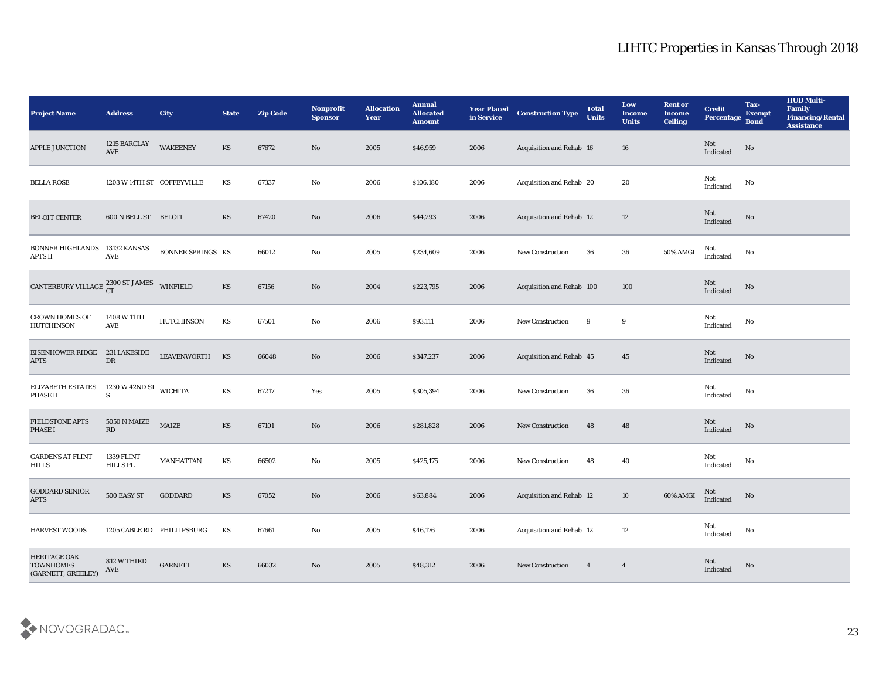| <b>Project Name</b>                                           | <b>Address</b>                         | <b>City</b>                | <b>State</b>           | <b>Zip Code</b> | Nonprofit<br><b>Sponsor</b> | <b>Allocation</b><br><b>Year</b> | <b>Annual</b><br><b>Allocated</b><br><b>Amount</b> | <b>Year Placed</b><br>in Service | <b>Construction Type</b>        | <b>Total</b><br><b>Units</b> | Low<br><b>Income</b><br><b>Units</b> | <b>Rent or</b><br><b>Income</b><br><b>Ceiling</b> | <b>Credit</b><br><b>Percentage</b> | Tax-<br><b>Exempt</b><br><b>Bond</b> | <b>HUD Multi-</b><br>Family<br><b>Financing/Rental</b><br><b>Assistance</b> |
|---------------------------------------------------------------|----------------------------------------|----------------------------|------------------------|-----------------|-----------------------------|----------------------------------|----------------------------------------------------|----------------------------------|---------------------------------|------------------------------|--------------------------------------|---------------------------------------------------|------------------------------------|--------------------------------------|-----------------------------------------------------------------------------|
| <b>APPLE JUNCTION</b>                                         | 1215 BARCLAY<br>AVE                    | <b>WAKEENEY</b>            | KS                     | 67672           | No                          | 2005                             | \$46,959                                           | 2006                             | Acquisition and Rehab 16        |                              | 16                                   |                                                   | Not<br>Indicated                   | $\mathbf{N}\mathbf{o}$               |                                                                             |
| <b>BELLA ROSE</b>                                             | 1203 W 14TH ST COFFEYVILLE             |                            | KS                     | 67337           | $\mathbf{No}$               | 2006                             | \$106,180                                          | 2006                             | Acquisition and Rehab 20        |                              | 20                                   |                                                   | Not<br>$\operatorname{Indicated}$  | No                                   |                                                                             |
| <b>BELOIT CENTER</b>                                          | 600 N BELL ST BELOIT                   |                            | KS                     | 67420           | $\rm\thinspace No$          | 2006                             | \$44,293                                           | 2006                             | <b>Acquisition and Rehab 12</b> |                              | 12                                   |                                                   | Not<br>Indicated                   | No                                   |                                                                             |
| <b>BONNER HIGHLANDS</b><br><b>APTS II</b>                     | 13132 KANSAS<br><b>AVE</b>             | <b>BONNER SPRINGS KS</b>   |                        | 66012           | No                          | 2005                             | \$234,609                                          | 2006                             | New Construction                | 36                           | 36                                   | 50% AMGI                                          | Not<br>Indicated                   | No                                   |                                                                             |
| CANTERBURY VILLAGE 2300 ST JAMES                              |                                        | <b>WINFIELD</b>            | KS                     | 67156           | $\mathbf{N}\mathbf{o}$      | 2004                             | \$223,795                                          | 2006                             | Acquisition and Rehab 100       |                              | 100                                  |                                                   | Not<br>Indicated                   | $\mathbf{N}\mathbf{o}$               |                                                                             |
| <b>CROWN HOMES OF</b><br><b>HUTCHINSON</b>                    | 1408 W 11TH<br>AVE                     | <b>HUTCHINSON</b>          | KS                     | 67501           | $\mathbf{No}$               | 2006                             | \$93,111                                           | 2006                             | New Construction                | 9                            | 9                                    |                                                   | Not<br>Indicated                   | No                                   |                                                                             |
| EISENHOWER RIDGE 231 LAKESIDE<br><b>APTS</b>                  | DR                                     | LEAVENWORTH KS             |                        | 66048           | $\mathbf{N}\mathbf{o}$      | 2006                             | \$347,237                                          | 2006                             | Acquisition and Rehab 45        |                              | 45                                   |                                                   | Not<br>Indicated                   | $\mathbf{N}\mathbf{o}$               |                                                                             |
| <b>ELIZABETH ESTATES</b><br><b>PHASE II</b>                   | 1230 W 42ND ST WICHITA<br>S            |                            | KS                     | 67217           | Yes                         | 2005                             | \$305,394                                          | 2006                             | <b>New Construction</b>         | 36                           | 36                                   |                                                   | Not<br>Indicated                   | No                                   |                                                                             |
| <b>FIELDSTONE APTS</b><br><b>PHASE I</b>                      | 5050 N MAIZE<br>$\mathbb{R}\mathbb{D}$ | MAIZE                      | KS                     | 67101           | No                          | 2006                             | \$281,828                                          | 2006                             | New Construction                | 48                           | 48                                   |                                                   | Not<br>Indicated                   | No                                   |                                                                             |
| <b>GARDENS AT FLINT</b><br><b>HILLS</b>                       | <b>1339 FLINT</b><br><b>HILLS PL</b>   | <b>MANHATTAN</b>           | $\mathbf{K}\mathbf{S}$ | 66502           | $\mathbf{No}$               | 2005                             | \$425,175                                          | 2006                             | New Construction                | 48                           | 40                                   |                                                   | Not<br>Indicated                   | No                                   |                                                                             |
| <b>GODDARD SENIOR</b><br><b>APTS</b>                          | 500 EASY ST                            | GODDARD                    | KS                     | 67052           | No                          | 2006                             | \$63,884                                           | 2006                             | Acquisition and Rehab 12        |                              | 10                                   | 60% AMGI                                          | Not<br>Indicated                   | No                                   |                                                                             |
| <b>HARVEST WOODS</b>                                          |                                        | 1205 CABLE RD PHILLIPSBURG | KS                     | 67661           | $\rm\thinspace No$          | 2005                             | \$46,176                                           | 2006                             | Acquisition and Rehab 12        |                              | 12                                   |                                                   | Not<br>Indicated                   | $\rm No$                             |                                                                             |
| <b>HERITAGE OAK</b><br><b>TOWNHOMES</b><br>(GARNETT, GREELEY) | 812 W THIRD<br>AVE                     | <b>GARNETT</b>             | $\mathbf{K}\mathbf{S}$ | 66032           | $\rm\thinspace No$          | 2005                             | \$48,312                                           | 2006                             | <b>New Construction</b>         | $\overline{4}$               | $\overline{4}$                       |                                                   | Not<br>Indicated                   | No                                   |                                                                             |

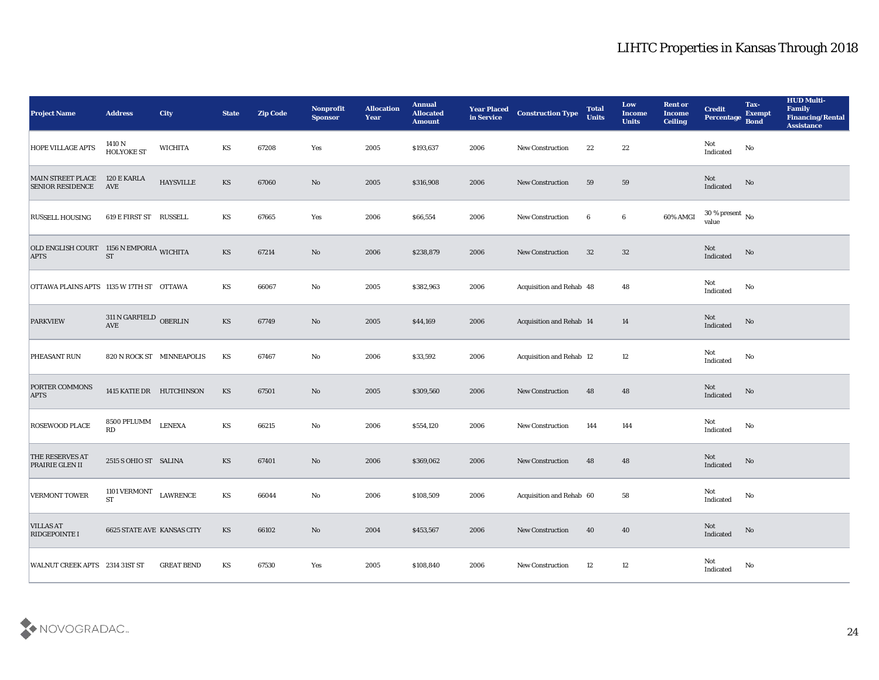| <b>Project Name</b>                                     | <b>Address</b>                       | <b>City</b>       | <b>State</b> | <b>Zip Code</b> | Nonprofit<br><b>Sponsor</b> | <b>Allocation</b><br><b>Year</b> | <b>Annual</b><br><b>Allocated</b><br><b>Amount</b> | <b>Year Placed</b><br>in Service | <b>Construction Type</b>        | <b>Total</b><br><b>Units</b> | Low<br><b>Income</b><br><b>Units</b> | <b>Rent or</b><br><b>Income</b><br><b>Ceiling</b> | <b>Credit</b><br>Percentage        | Tax-<br><b>Exempt</b><br><b>Bond</b> | <b>HUD Multi-</b><br>Family<br><b>Financing/Rental</b><br><b>Assistance</b> |
|---------------------------------------------------------|--------------------------------------|-------------------|--------------|-----------------|-----------------------------|----------------------------------|----------------------------------------------------|----------------------------------|---------------------------------|------------------------------|--------------------------------------|---------------------------------------------------|------------------------------------|--------------------------------------|-----------------------------------------------------------------------------|
| <b>HOPE VILLAGE APTS</b>                                | 1410 N<br><b>HOLYOKE ST</b>          | <b>WICHITA</b>    | KS           | 67208           | Yes                         | 2005                             | \$193,637                                          | 2006                             | New Construction                | 22                           | 22                                   |                                                   | Not<br>$\operatorname{Indicated}$  | No                                   |                                                                             |
| <b>MAIN STREET PLACE</b><br><b>SENIOR RESIDENCE</b>     | 120 E KARLA<br>AVE                   | <b>HAYSVILLE</b>  | <b>KS</b>    | 67060           | No                          | 2005                             | \$316,908                                          | 2006                             | <b>New Construction</b>         | 59                           | 59                                   |                                                   | Not<br>Indicated                   | No                                   |                                                                             |
| <b>RUSSELL HOUSING</b>                                  | 619 E FIRST ST RUSSELL               |                   | KS           | 67665           | Yes                         | 2006                             | \$66,554                                           | 2006                             | <b>New Construction</b>         | 6                            | $6\phantom{.0}$                      | 60% AMGI                                          | 30 % present $\,$ No $\,$<br>value |                                      |                                                                             |
| OLD ENGLISH COURT 1156 N EMPORIA WICHITA<br><b>APTS</b> | <b>ST</b>                            |                   | <b>KS</b>    | 67214           | No                          | 2006                             | \$238,879                                          | 2006                             | <b>New Construction</b>         | 32                           | 32                                   |                                                   | Not<br>Indicated                   | No                                   |                                                                             |
| OTTAWA PLAINS APTS 1135 W 17TH ST OTTAWA                |                                      |                   | KS           | 66067           | No                          | 2005                             | \$382,963                                          | 2006                             | Acquisition and Rehab 48        |                              | 48                                   |                                                   | Not<br>Indicated                   | No                                   |                                                                             |
| <b>PARKVIEW</b>                                         | $311$ N GARFIELD $\,$ OBERLIN<br>AVE |                   | <b>KS</b>    | 67749           | No                          | 2005                             | \$44,169                                           | 2006                             | <b>Acquisition and Rehab 14</b> |                              | 14                                   |                                                   | Not<br>Indicated                   | No                                   |                                                                             |
| PHEASANT RUN                                            | 820 N ROCK ST MINNEAPOLIS            |                   | KS           | 67467           | No                          | 2006                             | \$33,592                                           | 2006                             | <b>Acquisition and Rehab 12</b> |                              | 12                                   |                                                   | Not<br>Indicated                   | No                                   |                                                                             |
| <b>PORTER COMMONS</b><br><b>APTS</b>                    | 1415 KATIE DR HUTCHINSON             |                   | <b>KS</b>    | 67501           | No                          | 2005                             | \$309,560                                          | 2006                             | <b>New Construction</b>         | 48                           | 48                                   |                                                   | Not<br>Indicated                   | No                                   |                                                                             |
| ROSEWOOD PLACE                                          | 8500 PFLUMM<br>RD                    | <b>LENEXA</b>     | KS           | 66215           | $\mathbf{N}\mathbf{o}$      | 2006                             | \$554,120                                          | 2006                             | New Construction                | 144                          | 144                                  |                                                   | Not<br>Indicated                   | No                                   |                                                                             |
| THE RESERVES AT<br>PRAIRIE GLEN II                      | 2515 S OHIO ST SALINA                |                   | <b>KS</b>    | 67401           | No                          | 2006                             | \$369,062                                          | 2006                             | <b>New Construction</b>         | 48                           | 48                                   |                                                   | Not<br>Indicated                   | No                                   |                                                                             |
| <b>VERMONT TOWER</b>                                    | 1101 VERMONT<br><b>ST</b>            | <b>LAWRENCE</b>   | KS           | 66044           | No                          | 2006                             | \$108,509                                          | 2006                             | Acquisition and Rehab 60        |                              | 58                                   |                                                   | Not<br>$\operatorname{Indicated}$  | No                                   |                                                                             |
| <b>VILLAS AT</b><br>RIDGEPOINTE I                       | <b>6625 STATE AVE KANSAS CITY</b>    |                   | KS           | 66102           | $\rm\thinspace No$          | 2004                             | \$453,567                                          | 2006                             | New Construction                | 40                           | 40                                   |                                                   | Not<br>Indicated                   | No                                   |                                                                             |
| WALNUT CREEK APTS 2314 31ST ST                          |                                      | <b>GREAT BEND</b> | KS           | 67530           | Yes                         | 2005                             | \$108,840                                          | 2006                             | <b>New Construction</b>         | 12                           | $12\,$                               |                                                   | Not<br>Indicated                   | No                                   |                                                                             |

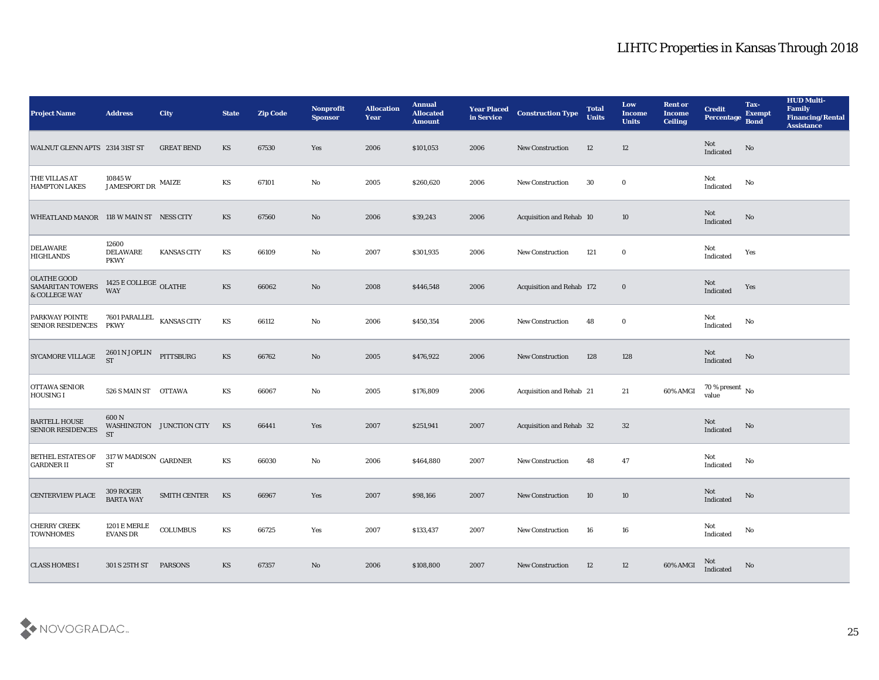| <b>Project Name</b>                                            | <b>Address</b>                                                               | <b>City</b>              | <b>State</b> | <b>Zip Code</b> | Nonprofit<br><b>Sponsor</b> | <b>Allocation</b><br><b>Year</b> | <b>Annual</b><br><b>Allocated</b><br><b>Amount</b> | <b>Year Placed</b><br>in Service | <b>Construction Type</b>  | <b>Total</b><br><b>Units</b> | Low<br><b>Income</b><br><b>Units</b> | <b>Rent or</b><br><b>Income</b><br><b>Ceiling</b> | <b>Credit</b><br>Percentage        | Tax-<br><b>Exempt</b><br><b>Bond</b> | <b>HUD Multi-</b><br>Family<br><b>Financing/Rental</b><br><b>Assistance</b> |
|----------------------------------------------------------------|------------------------------------------------------------------------------|--------------------------|--------------|-----------------|-----------------------------|----------------------------------|----------------------------------------------------|----------------------------------|---------------------------|------------------------------|--------------------------------------|---------------------------------------------------|------------------------------------|--------------------------------------|-----------------------------------------------------------------------------|
| WALNUT GLENN APTS 2314 31ST ST                                 |                                                                              | <b>GREAT BEND</b>        | KS           | 67530           | Yes                         | 2006                             | \$101,053                                          | 2006                             | <b>New Construction</b>   | 12                           | 12                                   |                                                   | Not<br>Indicated                   | No                                   |                                                                             |
| <b>THE VILLAS AT</b><br><b>HAMPTON LAKES</b>                   | 10845W<br>$\begin{array}{ll} \text{JAMESPORT DR} & \text{MAIZE} \end{array}$ |                          | KS           | 67101           | No                          | 2005                             | \$260,620                                          | 2006                             | New Construction          | 30                           | $\bf{0}$                             |                                                   | Not<br>Indicated                   | No                                   |                                                                             |
| WHEATLAND MANOR 118 W MAIN ST NESS CITY                        |                                                                              |                          | KS           | 67560           | No                          | 2006                             | \$39,243                                           | 2006                             | Acquisition and Rehab 10  |                              | 10                                   |                                                   | Not<br>Indicated                   | No                                   |                                                                             |
| <b>DELAWARE</b><br><b>HIGHLANDS</b>                            | 12600<br><b>DELAWARE</b><br><b>PKWY</b>                                      | <b>KANSAS CITY</b>       | KS           | 66109           | No                          | 2007                             | \$301,935                                          | 2006                             | <b>New Construction</b>   | 121                          | $\bf{0}$                             |                                                   | Not<br>Indicated                   | Yes                                  |                                                                             |
| <b>OLATHE GOOD</b><br><b>SAMARITAN TOWERS</b><br>& COLLEGE WAY | 1425 E COLLEGE $\,$ OLATHE<br><b>WAY</b>                                     |                          | <b>KS</b>    | 66062           | No                          | 2008                             | \$446,548                                          | 2006                             | Acquisition and Rehab 172 |                              | $\bf{0}$                             |                                                   | Not<br>Indicated                   | Yes                                  |                                                                             |
| <b>PARKWAY POINTE</b><br><b>SENIOR RESIDENCES</b>              | 7601 PARALLEL<br><b>PKWY</b>                                                 | <b>KANSAS CITY</b>       | KS           | 66112           | No                          | 2006                             | \$450,354                                          | 2006                             | <b>New Construction</b>   | 48                           | $\bf{0}$                             |                                                   | Not<br>Indicated                   | No                                   |                                                                             |
| <b>SYCAMORE VILLAGE</b>                                        | 2601 N JOPLIN<br><b>ST</b>                                                   | PITTSBURG                | <b>KS</b>    | 66762           | No                          | 2005                             | \$476,922                                          | 2006                             | <b>New Construction</b>   | 128                          | 128                                  |                                                   | Not<br>Indicated                   | No                                   |                                                                             |
| <b>OTTAWA SENIOR</b><br>HOUSING I                              | 526 S MAIN ST OTTAWA                                                         |                          | KS           | 66067           | No                          | 2005                             | \$176,809                                          | 2006                             | Acquisition and Rehab 21  |                              | 21                                   | 60% AMGI                                          | 70 % present $\,$ No $\,$<br>value |                                      |                                                                             |
| <b>BARTELL HOUSE</b><br>SENIOR RESIDENCES                      | 600N<br><b>ST</b>                                                            | WASHINGTON JUNCTION CITY | KS           | 66441           | Yes                         | 2007                             | \$251,941                                          | 2007                             | Acquisition and Rehab 32  |                              | 32                                   |                                                   | Not<br>Indicated                   | No                                   |                                                                             |
| <b>BETHEL ESTATES OF</b><br><b>GARDNER II</b>                  | $317$ W MADISON $\,$ GARDNER $\,$<br><b>ST</b>                               |                          | KS           | 66030           | No                          | 2006                             | \$464,880                                          | 2007                             | <b>New Construction</b>   | 48                           | 47                                   |                                                   | Not<br>Indicated                   | No                                   |                                                                             |
| <b>CENTERVIEW PLACE</b>                                        | 309 ROGER<br><b>BARTA WAY</b>                                                | <b>SMITH CENTER</b>      | KS           | 66967           | Yes                         | 2007                             | \$98,166                                           | 2007                             | <b>New Construction</b>   | 10                           | 10                                   |                                                   | Not<br>Indicated                   | No                                   |                                                                             |
| <b>CHERRY CREEK</b><br><b>TOWNHOMES</b>                        | <b>1201 E MERLE</b><br><b>EVANS DR</b>                                       | <b>COLUMBUS</b>          | KS           | 66725           | $\mathbf{Yes}$              | 2007                             | \$133,437                                          | 2007                             | New Construction          | 16                           | ${\bf 16}$                           |                                                   | Not<br>$\operatorname{Indicated}$  | $\rm\thinspace No$                   |                                                                             |
| <b>CLASS HOMES I</b>                                           | 301 S 25TH ST PARSONS                                                        |                          | KS           | 67357           | No                          | 2006                             | \$108,800                                          | 2007                             | <b>New Construction</b>   | 12                           | 12                                   | 60% AMGI                                          | Not<br>Indicated                   | No                                   |                                                                             |

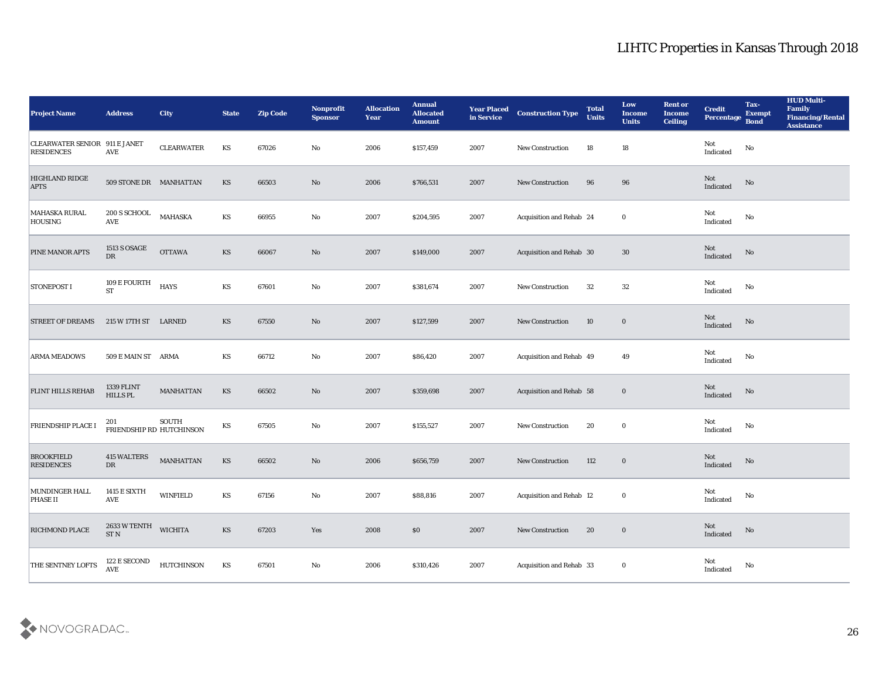| <b>Project Name</b>                                | <b>Address</b>                        | <b>City</b>                       | <b>State</b>           | <b>Zip Code</b> | Nonprofit<br><b>Sponsor</b> | <b>Allocation</b><br><b>Year</b> | <b>Annual</b><br><b>Allocated</b><br><b>Amount</b> | <b>Year Placed</b><br>in Service | <b>Construction Type</b>        | <b>Total</b><br><b>Units</b> | Low<br><b>Income</b><br><b>Units</b> | <b>Rent or</b><br><b>Income</b><br><b>Ceiling</b> | <b>Credit</b><br><b>Percentage</b>                | Tax-<br><b>Exempt</b><br><b>Bond</b> | <b>HUD Multi-</b><br>Family<br><b>Financing/Rental</b><br><b>Assistance</b> |
|----------------------------------------------------|---------------------------------------|-----------------------------------|------------------------|-----------------|-----------------------------|----------------------------------|----------------------------------------------------|----------------------------------|---------------------------------|------------------------------|--------------------------------------|---------------------------------------------------|---------------------------------------------------|--------------------------------------|-----------------------------------------------------------------------------|
| CLEARWATER SENIOR 911 E JANET<br><b>RESIDENCES</b> | AVE                                   | <b>CLEARWATER</b>                 | KS                     | 67026           | No                          | 2006                             | \$157,459                                          | 2007                             | <b>New Construction</b>         | 18                           | 18                                   |                                                   | Not<br>$\operatorname{Indicated}$                 | No                                   |                                                                             |
| <b>HIGHLAND RIDGE</b><br><b>APTS</b>               | 509 STONE DR MANHATTAN                |                                   | KS                     | 66503           | No                          | 2006                             | \$766,531                                          | 2007                             | New Construction                | 96                           | 96                                   |                                                   | Not<br>$\label{thm:indicated} \textbf{Indicated}$ | No                                   |                                                                             |
| <b>MAHASKA RURAL</b><br><b>HOUSING</b>             | 200 S SCHOOL<br><b>AVE</b>            | <b>MAHASKA</b>                    | KS                     | 66955           | No                          | 2007                             | \$204,595                                          | 2007                             | Acquisition and Rehab 24        |                              | $\bf{0}$                             |                                                   | Not<br>Indicated                                  | No                                   |                                                                             |
| PINE MANOR APTS                                    | <b>1513 S OSAGE</b><br>DR             | <b>OTTAWA</b>                     | KS                     | 66067           | No                          | 2007                             | \$149,000                                          | 2007                             | Acquisition and Rehab 30        |                              | 30                                   |                                                   | Not<br>Indicated                                  | No                                   |                                                                             |
| <b>STONEPOST I</b>                                 | $109\to \hbox{FOURT}H$<br><b>ST</b>   | <b>HAYS</b>                       | KS                     | 67601           | No                          | 2007                             | \$381,674                                          | 2007                             | <b>New Construction</b>         | 32                           | 32                                   |                                                   | Not<br>Indicated                                  | No                                   |                                                                             |
| <b>STREET OF DREAMS</b>                            | 215 W 17TH ST LARNED                  |                                   | KS                     | 67550           | No                          | 2007                             | \$127,599                                          | 2007                             | <b>New Construction</b>         | 10                           | $\bf{0}$                             |                                                   | Not<br>Indicated                                  | No                                   |                                                                             |
| <b>ARMA MEADOWS</b>                                | 509 E MAIN ST ARMA                    |                                   | KS                     | 66712           | $\mathbf{N}\mathbf{o}$      | 2007                             | \$86,420                                           | 2007                             | Acquisition and Rehab 49        |                              | 49                                   |                                                   | Not<br>Indicated                                  | No                                   |                                                                             |
| <b>FLINT HILLS REHAB</b>                           | 1339 FLINT<br><b>HILLS PL</b>         | <b>MANHATTAN</b>                  | KS                     | 66502           | No                          | 2007                             | \$359,698                                          | 2007                             | Acquisition and Rehab 58        |                              | $\bf{0}$                             |                                                   | Not<br>Indicated                                  | No                                   |                                                                             |
| <b>FRIENDSHIP PLACE I</b>                          | 201                                   | SOUTH<br>FRIENDSHIP RD HUTCHINSON | KS                     | 67505           | No                          | 2007                             | \$155,527                                          | 2007                             | <b>New Construction</b>         | 20                           | $\bf{0}$                             |                                                   | Not<br>Indicated                                  | No                                   |                                                                             |
| <b>BROOKFIELD</b><br><b>RESIDENCES</b>             | <b>415 WALTERS</b><br>DR              | <b>MANHATTAN</b>                  | $\mathbf{K}\mathbf{S}$ | 66502           | No                          | 2006                             | \$656,759                                          | 2007                             | New Construction                | 112                          | $\bf{0}$                             |                                                   | Not<br>Indicated                                  | No                                   |                                                                             |
| MUNDINGER HALL<br><b>PHASE II</b>                  | 1415 E SIXTH<br>AVE                   | <b>WINFIELD</b>                   | KS                     | 67156           | No                          | 2007                             | \$88,816                                           | 2007                             | <b>Acquisition and Rehab 12</b> |                              | $\bf{0}$                             |                                                   | Not<br>Indicated                                  | No                                   |                                                                             |
| <b>RICHMOND PLACE</b>                              | 2633 W TENTH<br>$\operatorname{ST}$ N | <b>WICHITA</b>                    | $\mathbf{K}\mathbf{S}$ | 67203           | $\mathbf{Yes}$              | 2008                             | $\$0$                                              | 2007                             | New Construction                | 20                           | $\bf{0}$                             |                                                   | $\operatorname{\bf Not}$<br>Indicated             | $\rm No$                             |                                                                             |
| THE SENTNEY LOFTS                                  | 122 E SECOND<br><b>AVE</b>            | <b>HUTCHINSON</b>                 | $\mathbf{K}\mathbf{S}$ | 67501           | $\mathbf {No}$              | 2006                             | \$310,426                                          | 2007                             | Acquisition and Rehab 33        |                              | $\mathbf 0$                          |                                                   | ${\rm Not}$ Indicated                             | $\mathbf{N}\mathbf{o}$               |                                                                             |

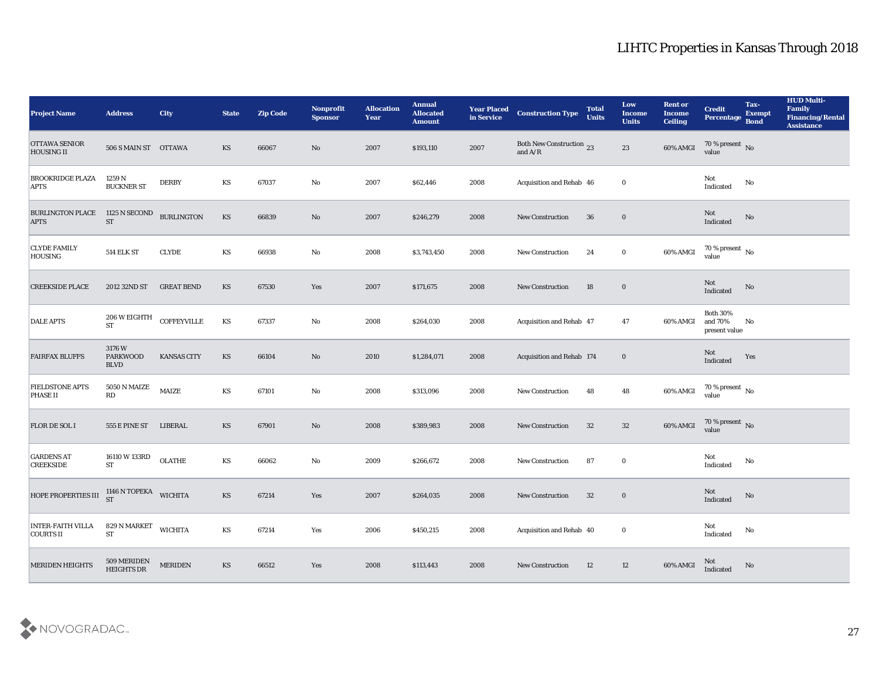| <b>Project Name</b>                       | <b>Address</b>                          | <b>City</b>            | <b>State</b>           | <b>Zip Code</b> | Nonprofit<br><b>Sponsor</b> | <b>Allocation</b><br>Year | <b>Annual</b><br><b>Allocated</b><br><b>Amount</b> | <b>Year Placed<br/>in Service</b> | <b>Construction Type</b>                                                          | <b>Total</b><br><b>Units</b> | Low<br><b>Income</b><br><b>Units</b> | <b>Rent or</b><br><b>Income</b><br><b>Ceiling</b> | <b>Credit</b><br><b>Percentage</b>          | Tax-<br><b>Exempt</b><br><b>Bond</b> | <b>HUD Multi-</b><br>Family<br><b>Financing/Rental</b><br><b>Assistance</b> |
|-------------------------------------------|-----------------------------------------|------------------------|------------------------|-----------------|-----------------------------|---------------------------|----------------------------------------------------|-----------------------------------|-----------------------------------------------------------------------------------|------------------------------|--------------------------------------|---------------------------------------------------|---------------------------------------------|--------------------------------------|-----------------------------------------------------------------------------|
| <b>OTTAWA SENIOR</b><br><b>HOUSING II</b> | 506 S MAIN ST OTTAWA                    |                        | KS                     | 66067           | No                          | 2007                      | \$193,110                                          | 2007                              | Both New Construction 23<br>and $\ensuremath{\mathrm{A}}/\ensuremath{\mathrm{R}}$ |                              | 23                                   | 60% AMGI                                          | $70\,\%$ present $\,$ No value              |                                      |                                                                             |
| <b>BROOKRIDGE PLAZA</b><br><b>APTS</b>    | 1259 N<br><b>BUCKNER ST</b>             | <b>DERBY</b>           | KS                     | 67037           | No                          | 2007                      | \$62,446                                           | 2008                              | Acquisition and Rehab 46                                                          |                              | $\bf{0}$                             |                                                   | Not<br>$\operatorname{Indicated}$           | No                                   |                                                                             |
| <b>BURLINGTON PLACE</b><br><b>APTS</b>    | 1125 N SECOND<br><b>ST</b>              | <b>BURLINGTON</b>      | KS                     | 66839           | No                          | 2007                      | \$246,279                                          | 2008                              | <b>New Construction</b>                                                           | 36                           | $\bf{0}$                             |                                                   | Not<br>Indicated                            | No                                   |                                                                             |
| <b>CLYDE FAMILY</b><br><b>HOUSING</b>     | <b>514 ELK ST</b>                       | <b>CLYDE</b>           | KS                     | 66938           | No                          | 2008                      | \$3,743,450                                        | 2008                              | New Construction                                                                  | 24                           | $\bf{0}$                             | 60% AMGI                                          | $70\,\%$ present $\,$ No value              |                                      |                                                                             |
| <b>CREEKSIDE PLACE</b>                    | 2012 32ND ST                            | <b>GREAT BEND</b>      | KS                     | 67530           | Yes                         | 2007                      | \$171,675                                          | 2008                              | <b>New Construction</b>                                                           | 18                           | $\bf{0}$                             |                                                   | Not<br>Indicated                            | No                                   |                                                                             |
| <b>DALE APTS</b>                          | 206 W EIGHTH<br><b>ST</b>               | <b>COFFEYVILLE</b>     | $\mathbf{K}\mathbf{S}$ | 67337           | No                          | 2008                      | \$264,030                                          | 2008                              | Acquisition and Rehab 47                                                          |                              | 47                                   | 60% AMGI                                          | <b>Both 30%</b><br>and 70%<br>present value | No                                   |                                                                             |
| <b>FAIRFAX BLUFFS</b>                     | 3176W<br><b>PARKWOOD</b><br><b>BLVD</b> | <b>KANSAS CITY</b>     | KS                     | 66104           | No                          | 2010                      | \$1,284,071                                        | 2008                              | Acquisition and Rehab 174                                                         |                              | $\mathbf 0$                          |                                                   | Not<br>Indicated                            | Yes                                  |                                                                             |
| <b>FIELDSTONE APTS</b><br><b>PHASE II</b> | 5050 N MAIZE<br>RD                      | $\operatorname{MAIZE}$ | KS                     | 67101           | No                          | 2008                      | \$313,096                                          | 2008                              | <b>New Construction</b>                                                           | 48                           | 48                                   | 60% AMGI                                          | $70\,\%$ present $\,$ No value              |                                      |                                                                             |
| <b>FLOR DE SOL I</b>                      | 555 E PINE ST                           | LIBERAL                | KS                     | 67901           | No                          | 2008                      | \$389,983                                          | 2008                              | New Construction                                                                  | 32                           | 32                                   | 60% AMGI                                          | 70 % present No<br>value                    |                                      |                                                                             |
| <b>GARDENS AT</b><br><b>CREEKSIDE</b>     | 16110 W 133RD<br><b>ST</b>              | <b>OLATHE</b>          | $\mathbf{K}\mathbf{S}$ | 66062           | No                          | 2009                      | \$266,672                                          | 2008                              | <b>New Construction</b>                                                           | 87                           | $\bf{0}$                             |                                                   | Not<br>$\operatorname{Indicated}$           | No                                   |                                                                             |
| HOPE PROPERTIES III                       | 1146 N TOPEKA WICHITA<br><b>ST</b>      |                        | <b>KS</b>              | 67214           | Yes                         | 2007                      | \$264,035                                          | 2008                              | <b>New Construction</b>                                                           | 32                           | $\bf{0}$                             |                                                   | Not<br>Indicated                            | No                                   |                                                                             |
| <b>INTER-FAITH VILLA</b><br>COURTS II     | 829 N MARKET<br><b>ST</b>               | <b>WICHITA</b>         | $\mathbf{K}\mathbf{S}$ | 67214           | $\mathbf{Yes}$              | 2006                      | \$450,215                                          | 2008                              | Acquisition and Rehab 40                                                          |                              | $\bf{0}$                             |                                                   | Not<br>Indicated                            | No                                   |                                                                             |
| <b>MERIDEN HEIGHTS</b>                    | 509 MERIDEN<br>HEIGHTS DR               | <b>MERIDEN</b>         | $\mathbf{K}\mathbf{S}$ | 66512           | $\mathbf{Yes}$              | 2008                      | \$113,443                                          | 2008                              | <b>New Construction</b>                                                           | 12                           | 12                                   | 60% AMGI                                          | Not<br>Indicated                            | No                                   |                                                                             |

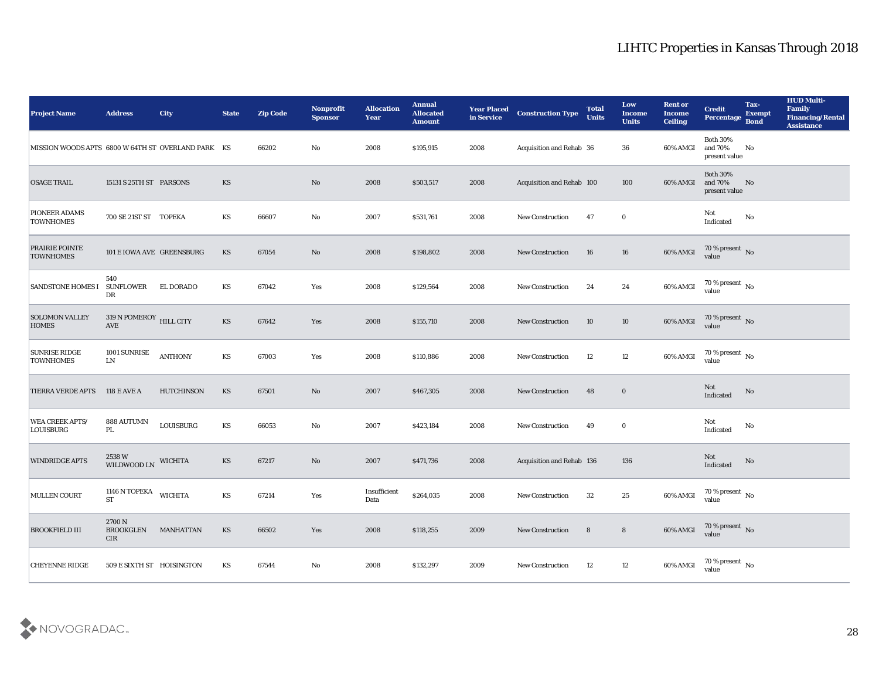| <b>Project Name</b>                                | <b>Address</b>                        | <b>City</b>       | <b>State</b> | <b>Zip Code</b> | Nonprofit<br><b>Sponsor</b>   | <b>Allocation</b><br><b>Year</b> | <b>Annual</b><br><b>Allocated</b><br><b>Amount</b> | <b>Year Placed</b><br>in Service | <b>Construction Type</b>  | <b>Total</b><br><b>Units</b> | Low<br><b>Income</b><br><b>Units</b> | <b>Rent or</b><br><b>Income</b><br><b>Ceiling</b> | <b>Credit</b><br>Percentage                 | Tax-<br><b>Exempt</b><br><b>Bond</b> | <b>HUD Multi-</b><br>Family<br><b>Financing/Rental</b><br><b>Assistance</b> |
|----------------------------------------------------|---------------------------------------|-------------------|--------------|-----------------|-------------------------------|----------------------------------|----------------------------------------------------|----------------------------------|---------------------------|------------------------------|--------------------------------------|---------------------------------------------------|---------------------------------------------|--------------------------------------|-----------------------------------------------------------------------------|
| MISSION WOODS APTS 6800 W 64TH ST OVERLAND PARK KS |                                       |                   |              | 66202           | No                            | 2008                             | \$195,915                                          | 2008                             | Acquisition and Rehab 36  |                              | 36                                   | 60% AMGI                                          | <b>Both 30%</b><br>and 70%<br>present value | No                                   |                                                                             |
| <b>OSAGE TRAIL</b>                                 | 15131 S 25TH ST PARSONS               |                   | KS           |                 | No                            | 2008                             | \$503,517                                          | 2008                             | Acquisition and Rehab 100 |                              | 100                                  | 60% AMGI                                          | <b>Both 30%</b><br>and 70%<br>present value | No                                   |                                                                             |
| PIONEER ADAMS<br><b>TOWNHOMES</b>                  | 700 SE 21ST ST TOPEKA                 |                   | KS           | 66607           | No                            | 2007                             | \$531,761                                          | 2008                             | <b>New Construction</b>   | 47                           | $\bf{0}$                             |                                                   | Not<br>Indicated                            | No                                   |                                                                             |
| <b>PRAIRIE POINTE</b><br><b>TOWNHOMES</b>          | 101 E IOWA AVE GREENSBURG             |                   | <b>KS</b>    | 67054           | No                            | 2008                             | \$198,802                                          | 2008                             | New Construction          | 16                           | 16                                   | 60% AMGI                                          | $70\,\%$ present $\,$ No value              |                                      |                                                                             |
| <b>SANDSTONE HOMES I</b>                           | 540<br><b>SUNFLOWER</b><br>DR         | EL DORADO         | KS           | 67042           | Yes                           | 2008                             | \$129,564                                          | 2008                             | <b>New Construction</b>   | 24                           | 24                                   | 60% AMGI                                          | 70 % present $\,$ No $\,$<br>value          |                                      |                                                                             |
| <b>SOLOMON VALLEY</b><br><b>HOMES</b>              | $319$ N POMEROY $\,$ HILL CITY<br>AVE |                   | <b>KS</b>    | 67642           | Yes                           | 2008                             | \$155,710                                          | 2008                             | New Construction          | 10                           | 10                                   | 60% AMGI                                          | $70\,\%$ present $\,$ No value              |                                      |                                                                             |
| <b>SUNRISE RIDGE</b><br><b>TOWNHOMES</b>           | 1001 SUNRISE<br>${\rm LN}$            | <b>ANTHONY</b>    | KS           | 67003           | Yes                           | 2008                             | \$110,886                                          | 2008                             | <b>New Construction</b>   | 12                           | 12                                   | 60% AMGI                                          | $70\,\%$ present $\,$ No value              |                                      |                                                                             |
| <b>TIERRA VERDE APTS</b>                           | <b>118 E AVE A</b>                    | <b>HUTCHINSON</b> | KS           | 67501           | No                            | 2007                             | \$467,305                                          | 2008                             | <b>New Construction</b>   | 48                           | $\bf{0}$                             |                                                   | Not<br>Indicated                            | No                                   |                                                                             |
| <b>WEA CREEK APTS/</b><br><b>LOUISBURG</b>         | 888 AUTUMN<br>PL.                     | LOUISBURG         | KS           | 66053           | No                            | 2007                             | \$423,184                                          | 2008                             | New Construction          | 49                           | $\bf{0}$                             |                                                   | Not<br>Indicated                            | No                                   |                                                                             |
| <b>WINDRIDGE APTS</b>                              | $2538~\mathrm{W}$ WILDWOOD LN         | <b>WICHITA</b>    | <b>KS</b>    | 67217           | No                            | 2007                             | \$471,736                                          | 2008                             | Acquisition and Rehab 136 |                              | 136                                  |                                                   | Not<br>Indicated                            | No                                   |                                                                             |
| <b>MULLEN COURT</b>                                | 1146 N TOPEKA<br><b>ST</b>            | <b>WICHITA</b>    | KS           | 67214           | Yes                           | Insufficient<br>Data             | \$264,035                                          | 2008                             | <b>New Construction</b>   | 32                           | 25                                   | 60% AMGI                                          | 70 % present $\,$ No $\,$<br>value          |                                      |                                                                             |
| <b>BROOKFIELD III</b>                              | 2700 N<br><b>BROOKGLEN</b><br>CIR     | <b>MANHATTAN</b>  | <b>KS</b>    | 66502           | $\operatorname{\textsc{Yes}}$ | 2008                             | \$118,255                                          | 2009                             | New Construction          | $8\phantom{1}$               | $8\phantom{.}$                       | 60% AMGI                                          | $70\,\%$ present $\,$ No value              |                                      |                                                                             |
| <b>CHEYENNE RIDGE</b>                              | 509 E SIXTH ST HOISINGTON             |                   | KS           | 67544           | $\mathbf {No}$                | 2008                             | \$132,297                                          | 2009                             | <b>New Construction</b>   | 12                           | $12\,$                               | 60% AMGI                                          | 70 % present $\,$ No $\,$<br>value          |                                      |                                                                             |

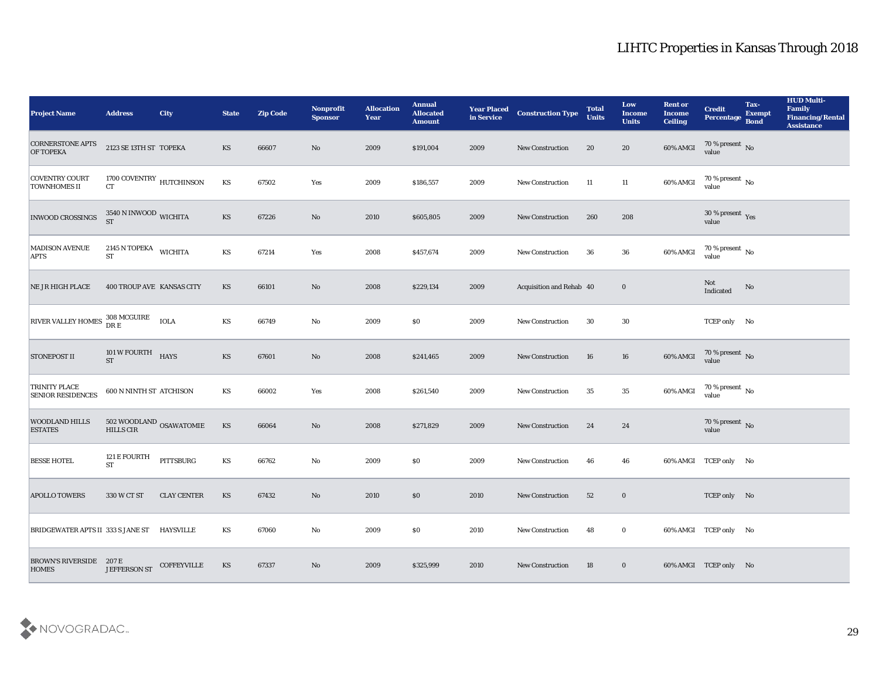| <b>Project Name</b>                              | <b>Address</b>                                     | <b>City</b>        | <b>State</b>           | <b>Zip Code</b> | Nonprofit<br><b>Sponsor</b> | <b>Allocation</b><br>Year | <b>Annual</b><br><b>Allocated</b><br><b>Amount</b> | <b>Year Placed<br/>in Service</b> | <b>Construction Type</b> | <b>Total</b><br><b>Units</b> | Low<br><b>Income</b><br><b>Units</b> | <b>Rent or</b><br><b>Income</b><br><b>Ceiling</b> | <b>Credit</b><br><b>Percentage</b>  | Tax-<br><b>Exempt</b><br><b>Bond</b> | <b>HUD Multi-</b><br>Family<br><b>Financing/Rental</b><br><b>Assistance</b> |
|--------------------------------------------------|----------------------------------------------------|--------------------|------------------------|-----------------|-----------------------------|---------------------------|----------------------------------------------------|-----------------------------------|--------------------------|------------------------------|--------------------------------------|---------------------------------------------------|-------------------------------------|--------------------------------------|-----------------------------------------------------------------------------|
| <b>CORNERSTONE APTS</b><br><b>OF TOPEKA</b>      | 2123 SE 13TH ST TOPEKA                             |                    | KS                     | 66607           | No                          | 2009                      | \$191,004                                          | 2009                              | New Construction         | 20                           | 20                                   | 60% AMGI                                          | $70\,\%$ present $\,$ No $\,$ value |                                      |                                                                             |
| <b>COVENTRY COURT</b><br><b>TOWNHOMES II</b>     | 1700 COVENTRY HUTCHINSON<br>CT                     |                    | KS                     | 67502           | Yes                         | 2009                      | \$186,557                                          | 2009                              | New Construction         | 11                           | 11                                   | 60% AMGI                                          | $70\,\%$ present $\;$ No value      |                                      |                                                                             |
| <b>INWOOD CROSSINGS</b>                          | $3540$ N INWOOD WICHITA ST                         |                    | KS                     | 67226           | No                          | 2010                      | \$605,805                                          | 2009                              | <b>New Construction</b>  | 260                          | 208                                  |                                                   | $30\,\%$ present $\,$ Yes value     |                                      |                                                                             |
| <b>MADISON AVENUE</b><br><b>APTS</b>             | 2145 N TOPEKA WICHITA<br><b>ST</b>                 |                    | KS                     | 67214           | Yes                         | 2008                      | \$457,674                                          | 2009                              | New Construction         | 36                           | 36                                   | 60% AMGI                                          | $70\,\%$ present $\,$ No value      |                                      |                                                                             |
| <b>NE JR HIGH PLACE</b>                          | 400 TROUP AVE KANSAS CITY                          |                    | KS                     | 66101           | $\mathbf{N}\mathbf{o}$      | 2008                      | \$229,134                                          | 2009                              | Acquisition and Rehab 40 |                              | $\bf{0}$                             |                                                   | Not<br>Indicated                    | No                                   |                                                                             |
| RIVER VALLEY HOMES 308 MCGUIRE                   |                                                    | <b>IOLA</b>        | KS                     | 66749           | No                          | 2009                      | \$0                                                | 2009                              | <b>New Construction</b>  | 30                           | 30                                   |                                                   | TCEP only No                        |                                      |                                                                             |
| <b>STONEPOST II</b>                              | $101\,\mathrm{W}\,\mathrm{FOURTH}$ HAYS ST         |                    | $\mathbf{K}\mathbf{S}$ | 67601           | No                          | 2008                      | \$241,465                                          | 2009                              | New Construction         | 16                           | 16                                   | 60% AMGI                                          | $70\,\%$ present $\,$ No value      |                                      |                                                                             |
| <b>TRINITY PLACE</b><br><b>SENIOR RESIDENCES</b> | 600 N NINTH ST ATCHISON                            |                    | KS                     | 66002           | Yes                         | 2008                      | \$261,540                                          | 2009                              | <b>New Construction</b>  | 35                           | 35                                   | 60% AMGI                                          | $70\,\%$ present $_{\rm{No}}$       |                                      |                                                                             |
| <b>WOODLAND HILLS</b><br><b>ESTATES</b>          | $502\ \text{WOODLAND}\xspace$ OSAWATOMIE HILLS CIR |                    | KS                     | 66064           | $\rm\thinspace No$          | 2008                      | \$271,829                                          | 2009                              | <b>New Construction</b>  | 24                           | 24                                   |                                                   | $70\,\%$ present $\,$ No value      |                                      |                                                                             |
| <b>BESSE HOTEL</b>                               | 121 E FOURTH<br>$\operatorname{\mathbf{ST}}$       | PITTSBURG          | $\mathbf{K}\mathbf{S}$ | 66762           | $\mathbf{No}$               | 2009                      | \$0                                                | 2009                              | <b>New Construction</b>  | 46                           | 46                                   |                                                   | 60% AMGI TCEP only No               |                                      |                                                                             |
| <b>APOLLO TOWERS</b>                             | 330 W CT ST                                        | <b>CLAY CENTER</b> | KS                     | 67432           | No                          | 2010                      | \$0                                                | 2010                              | <b>New Construction</b>  | 52                           | $\bf{0}$                             |                                                   | TCEP only No                        |                                      |                                                                             |
| BRIDGEWATER APTS II 333 S JANE ST HAYSVILLE      |                                                    |                    | KS                     | 67060           | $\mathbf{No}$               | 2009                      | \$0                                                | 2010                              | New Construction         | 48                           | $\bf{0}$                             |                                                   | 60% AMGI TCEP only No               |                                      |                                                                             |
| <b>BROWN'S RIVERSIDE</b> 207 E<br><b>HOMES</b>   | JEFFERSON ST                                       | COFFEYVILLE        | KS                     | 67337           | $\rm\thinspace No$          | 2009                      | \$325,999                                          | 2010                              | New Construction         | 18                           | $\bf{0}$                             |                                                   | 60% AMGI TCEP only No               |                                      |                                                                             |

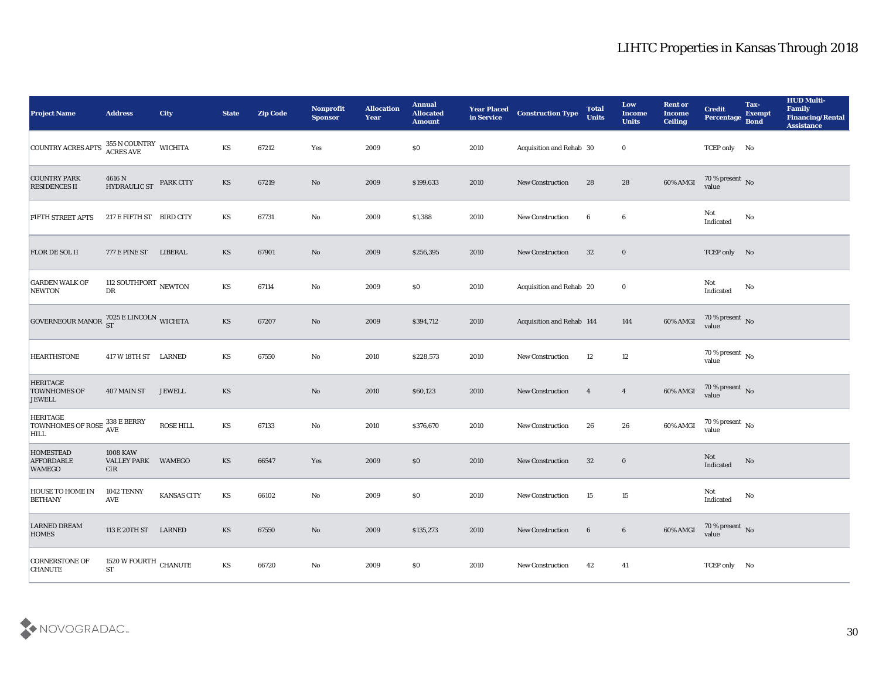| <b>Project Name</b>                                     | <b>Address</b>                                      | <b>City</b>   | <b>State</b>           | <b>Zip Code</b> | Nonprofit<br><b>Sponsor</b> | <b>Allocation</b><br><b>Year</b> | <b>Annual</b><br><b>Allocated</b><br><b>Amount</b> | <b>Year Placed</b><br>in Service | <b>Construction Type</b>  | <b>Total</b><br><b>Units</b> | Low<br><b>Income</b><br><b>Units</b> | <b>Rent or</b><br><b>Income</b><br><b>Ceiling</b> | <b>Credit</b><br><b>Percentage</b> | Tax-<br><b>Exempt</b><br><b>Bond</b> | <b>HUD Multi-</b><br>Family<br><b>Financing/Rental</b><br><b>Assistance</b> |
|---------------------------------------------------------|-----------------------------------------------------|---------------|------------------------|-----------------|-----------------------------|----------------------------------|----------------------------------------------------|----------------------------------|---------------------------|------------------------------|--------------------------------------|---------------------------------------------------|------------------------------------|--------------------------------------|-----------------------------------------------------------------------------|
| COUNTRY ACRES APTS                                      | $355$ N COUNTRY $\,$ WICHITA ACRES AVE              |               | KS                     | 67212           | Yes                         | 2009                             | $\$0$                                              | 2010                             | Acquisition and Rehab 30  |                              | $\bf{0}$                             |                                                   | TCEP only No                       |                                      |                                                                             |
| <b>COUNTRY PARK</b><br><b>RESIDENCES II</b>             | 4616 N<br><b>HYDRAULIC ST</b>                       | PARK CITY     | KS                     | 67219           | No                          | 2009                             | \$199,633                                          | 2010                             | New Construction          | 28                           | 28                                   | 60% AMGI                                          | $70\%$ present No<br>value         |                                      |                                                                             |
| FIFTH STREET APTS                                       | 217 E FIFTH ST BIRD CITY                            |               | KS                     | 67731           | $\mathbf{N}\mathbf{o}$      | 2009                             | \$1,388                                            | 2010                             | <b>New Construction</b>   | 6                            | 6                                    |                                                   | Not<br>Indicated                   | $\mathbf{No}$                        |                                                                             |
| FLOR DE SOL II                                          | 777 E PINE ST                                       | LIBERAL       | KS                     | 67901           | No                          | 2009                             | \$256,395                                          | 2010                             | New Construction          | 32                           | $\bf{0}$                             |                                                   | TCEP only No                       |                                      |                                                                             |
| <b>GARDEN WALK OF</b><br><b>NEWTON</b>                  | 112 SOUTHPORT $_{\rm NEWTON}$<br>${\rm D}{\rm R}$   |               | KS                     | 67114           | No                          | 2009                             | $\$0$                                              | 2010                             | Acquisition and Rehab 20  |                              | $\bf{0}$                             |                                                   | Not<br>Indicated                   | No                                   |                                                                             |
| GOVERNEOUR MANOR $^{7025}_{ST}$ E LINCOLN WICHITA       |                                                     |               | KS                     | 67207           | $\rm No$                    | 2009                             | \$394,712                                          | 2010                             | Acquisition and Rehab 144 |                              | 144                                  | 60% AMGI                                          | $70\,\%$ present $\,$ No value     |                                      |                                                                             |
| <b>HEARTHSTONE</b>                                      | 417 W 18TH ST LARNED                                |               | KS                     | 67550           | No                          | 2010                             | \$228,573                                          | 2010                             | <b>New Construction</b>   | 12                           | 12                                   |                                                   | 70 % present $\,$ No $\,$<br>value |                                      |                                                                             |
| <b>HERITAGE</b><br><b>TOWNHOMES OF</b><br><b>JEWELL</b> | 407 MAIN ST                                         | <b>JEWELL</b> | <b>KS</b>              |                 | No                          | 2010                             | \$60,123                                           | 2010                             | <b>New Construction</b>   | $\overline{4}$               | $\overline{4}$                       | 60% AMGI                                          | $70\,\%$ present $\,$ No value     |                                      |                                                                             |
| <b>HERITAGE</b><br><b>TOWNHOMES OF ROSE</b><br>HILL     | 338 E BERRY<br><b>AVE</b>                           | ROSE HILL     | KS                     | 67133           | No                          | 2010                             | \$376,670                                          | 2010                             | New Construction          | 26                           | 26                                   | 60% AMGI                                          | 70 % present $\,$ No $\,$<br>value |                                      |                                                                             |
| <b>HOMESTEAD</b><br><b>AFFORDABLE</b><br><b>WAMEGO</b>  | <b>1008 KAW</b><br><b>VALLEY PARK</b><br><b>CIR</b> | <b>WAMEGO</b> | <b>KS</b>              | 66547           | Yes                         | 2009                             | \$0\$                                              | 2010                             | New Construction          | 32                           | $\bf{0}$                             |                                                   | Not<br>Indicated                   | No                                   |                                                                             |
| <b>HOUSE TO HOME IN</b><br><b>BETHANY</b>               | 1042 TENNY<br>AVE                                   | KANSAS CITY   | KS                     | 66102           | No                          | 2009                             | $\$0$                                              | 2010                             | <b>New Construction</b>   | 15                           | 15                                   |                                                   | Not<br>Indicated                   | No                                   |                                                                             |
| <b>LARNED DREAM</b><br><b>HOMES</b>                     | 113 E 20TH ST LARNED                                |               | $\mathbf{K}\mathbf{S}$ | 67550           | $\mathbf {No}$              | 2009                             | \$135,273                                          | 2010                             | New Construction          | $6\phantom{.}6$              | $6\phantom{.}6$                      | 60% AMGI                                          | $70\,\%$ present $\,$ No value     |                                      |                                                                             |
| <b>CORNERSTONE OF</b><br><b>CHANUTE</b>                 | 1520 W FOURTH CHANUTE<br>$\operatorname{ST}$        |               | $\mathbf{K}\mathbf{S}$ | 66720           | ${\bf No}$                  | 2009                             | $\$0$                                              | 2010                             | New Construction          | 42                           | 41                                   |                                                   | TCEP only No                       |                                      |                                                                             |

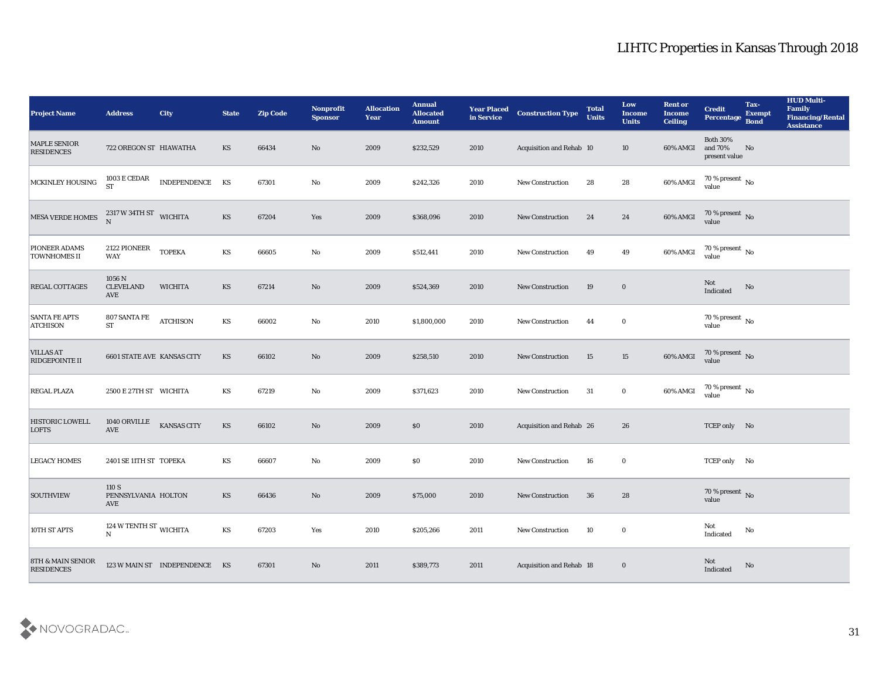| <b>Project Name</b>                       | <b>Address</b>                           | <b>City</b>                   | <b>State</b> | <b>Zip Code</b> | Nonprofit<br><b>Sponsor</b> | <b>Allocation</b><br><b>Year</b> | <b>Annual</b><br><b>Allocated</b><br><b>Amount</b> | <b>Year Placed<br/>in Service</b> | <b>Construction Type</b>        | <b>Total</b><br><b>Units</b> | Low<br><b>Income</b><br><b>Units</b> | <b>Rent or</b><br><b>Income</b><br><b>Ceiling</b> | <b>Credit</b><br><b>Percentage</b>                | Tax-<br><b>Exempt</b><br><b>Bond</b> | <b>HUD Multi-</b><br>Family<br><b>Financing/Rental</b><br><b>Assistance</b> |
|-------------------------------------------|------------------------------------------|-------------------------------|--------------|-----------------|-----------------------------|----------------------------------|----------------------------------------------------|-----------------------------------|---------------------------------|------------------------------|--------------------------------------|---------------------------------------------------|---------------------------------------------------|--------------------------------------|-----------------------------------------------------------------------------|
| <b>MAPLE SENIOR</b><br><b>RESIDENCES</b>  | 722 OREGON ST HIAWATHA                   |                               | KS           | 66434           | No                          | 2009                             | \$232,529                                          | 2010                              | Acquisition and Rehab 10        |                              | 10                                   | 60% AMGI                                          | <b>Both 30%</b><br>and 70%<br>present value       | No                                   |                                                                             |
| MCKINLEY HOUSING                          | $1003\,\mathrm{E}\,\mathrm{CEDAR}$ ST    | INDEPENDENCE KS               |              | 67301           | No                          | 2009                             | \$242,326                                          | 2010                              | New Construction                | 28                           | 28                                   | 60% AMGI                                          | $70\,\%$ present $\,$ No value                    |                                      |                                                                             |
| MESA VERDE HOMES                          | $2317$ W 34TH ST WICHITA                 |                               | KS           | 67204           | Yes                         | 2009                             | \$368,096                                          | 2010                              | New Construction                | 24                           | 24                                   | 60% AMGI                                          | $70$ % present $\,$ No $\,$ value                 |                                      |                                                                             |
| PIONEER ADAMS<br><b>TOWNHOMES II</b>      | 2122 PIONEER<br>WAY                      | <b>TOPEKA</b>                 | KS           | 66605           | $\rm\thinspace No$          | 2009                             | \$512,441                                          | 2010                              | <b>New Construction</b>         | 49                           | 49                                   | 60% AMGI                                          | $70\,\%$ present $\,$ No value                    |                                      |                                                                             |
| <b>REGAL COTTAGES</b>                     | 1056 N<br><b>CLEVELAND</b><br><b>AVE</b> | <b>WICHITA</b>                | KS           | 67214           | No                          | 2009                             | \$524,369                                          | 2010                              | New Construction                | 19                           | $\bf{0}$                             |                                                   | Not<br>$\label{thm:indicated} \textbf{Indicated}$ | No                                   |                                                                             |
| <b>SANTA FE APTS</b><br><b>ATCHISON</b>   | 807 SANTA FE<br>${\rm ST}$               | <b>ATCHISON</b>               | KS           | 66002           | No                          | 2010                             | \$1,800,000                                        | 2010                              | <b>New Construction</b>         | 44                           | $\bf{0}$                             |                                                   | $70\,\%$ present $\,$ No value                    |                                      |                                                                             |
| <b>VILLAS AT</b><br><b>RIDGEPOINTE II</b> | <b>6601 STATE AVE KANSAS CITY</b>        |                               | KS           | 66102           | No                          | 2009                             | \$258,510                                          | 2010                              | New Construction                | 15                           | 15                                   | 60% AMGI                                          | $70$ % present $\,$ No $\,$ value                 |                                      |                                                                             |
| <b>REGAL PLAZA</b>                        | 2500 E 27TH ST WICHITA                   |                               | KS           | 67219           | No                          | 2009                             | \$371,623                                          | 2010                              | <b>New Construction</b>         | 31                           | $\bf{0}$                             | 60% AMGI                                          | $70\,\%$ present $\,$ No value                    |                                      |                                                                             |
| HISTORIC LOWELL<br><b>LOFTS</b>           | 1040 ORVILLE<br><b>AVE</b>               | KANSAS CITY                   | <b>KS</b>    | 66102           | No                          | 2009                             | \$0                                                | 2010                              | <b>Acquisition and Rehab 26</b> |                              | 26                                   |                                                   | TCEP only No                                      |                                      |                                                                             |
| <b>LEGACY HOMES</b>                       | 2401 SE 11TH ST TOPEKA                   |                               | KS           | 66607           | $\mathbf{N}\mathbf{o}$      | 2009                             | \$0                                                | 2010                              | New Construction                | 16                           | $\bf{0}$                             |                                                   | TCEP only No                                      |                                      |                                                                             |
| SOUTHVIEW                                 | 110 S<br>PENNSYLVANIA HOLTON<br>AVE      |                               | <b>KS</b>    | 66436           | No                          | 2009                             | \$75,000                                           | 2010                              | <b>New Construction</b>         | 36                           | 28                                   |                                                   | $70\,\%$ present $\,$ No value                    |                                      |                                                                             |
| 10TH ST APTS                              | 124 W TENTH ST $_{\rm WICHITA}$<br>N     |                               | <b>KS</b>    | 67203           | Yes                         | 2010                             | \$205,266                                          | 2011                              | New Construction                | 10                           | $\bf{0}$                             |                                                   | Not<br>Indicated                                  | $\rm\, No$                           |                                                                             |
| 8TH & MAIN SENIOR<br><b>RESIDENCES</b>    |                                          | 123 W MAIN ST INDEPENDENCE KS |              | 67301           | $\rm\thinspace No$          | 2011                             | \$389,773                                          | 2011                              | Acquisition and Rehab 18        |                              | $\bf{0}$                             |                                                   | Not<br>Indicated                                  | $\mathbf{N}\mathbf{o}$               |                                                                             |

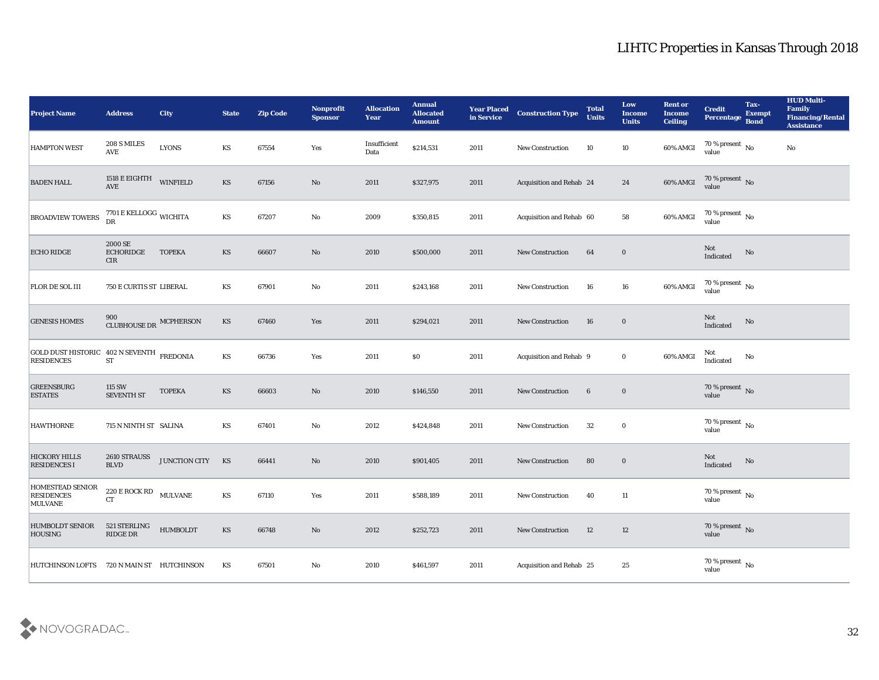| <b>Project Name</b>                                            | <b>Address</b>                                              | <b>City</b>     | <b>State</b>           | <b>Zip Code</b> | Nonprofit<br><b>Sponsor</b> | <b>Allocation</b><br><b>Year</b> | <b>Annual</b><br><b>Allocated</b><br><b>Amount</b> | <b>Year Placed<br/>in Service</b> | <b>Construction Type</b> | <b>Total</b><br><b>Units</b> | Low<br><b>Income</b><br><b>Units</b> | <b>Rent or</b><br><b>Income</b><br><b>Ceiling</b> | <b>Credit</b><br>Percentage        | Tax-<br><b>Exempt</b><br><b>Bond</b> | <b>HUD Multi-</b><br>Family<br><b>Financing/Rental</b><br><b>Assistance</b> |
|----------------------------------------------------------------|-------------------------------------------------------------|-----------------|------------------------|-----------------|-----------------------------|----------------------------------|----------------------------------------------------|-----------------------------------|--------------------------|------------------------------|--------------------------------------|---------------------------------------------------|------------------------------------|--------------------------------------|-----------------------------------------------------------------------------|
| <b>HAMPTON WEST</b>                                            | 208 S MILES<br>$\operatorname{AVE}$                         | <b>LYONS</b>    | KS                     | 67554           | Yes                         | Insufficient<br>Data             | \$214,531                                          | 2011                              | New Construction         | 10                           | 10                                   | 60% AMGI                                          | $70\,\%$ present $\,$ No value     |                                      | $\mathbf{N}\mathbf{o}$                                                      |
| <b>BADEN HALL</b>                                              | 1518 E EIGHTH<br>AVE                                        | WINFIELD        | KS                     | 67156           | $\rm\thinspace No$          | 2011                             | \$327,975                                          | 2011                              | Acquisition and Rehab 24 |                              | 24                                   | 60% AMGI                                          | $70\,\%$ present $\,$ No value     |                                      |                                                                             |
| <b>BROADVIEW TOWERS</b>                                        | $7701\,\mathrm{E}\,\mathrm{KELLOGG}$ WICHITA<br>DR          |                 | KS                     | 67207           | $\mathbf{No}$               | 2009                             | \$350,815                                          | 2011                              | Acquisition and Rehab 60 |                              | 58                                   | $60\%$ AMGI                                       | 70 % present $\,$ No $\,$<br>value |                                      |                                                                             |
| <b>ECHO RIDGE</b>                                              | 2000 SE<br><b>ECHORIDGE</b><br><b>CIR</b>                   | <b>TOPEKA</b>   | KS                     | 66607           | $\mathbf{N}\mathbf{o}$      | 2010                             | \$500,000                                          | 2011                              | New Construction         | 64                           | $\bf{0}$                             |                                                   | Not<br>Indicated                   | $\rm \bf No$                         |                                                                             |
| FLOR DE SOL III                                                | <b>750 E CURTIS ST LIBERAL</b>                              |                 | KS                     | 67901           | No                          | 2011                             | \$243,168                                          | 2011                              | <b>New Construction</b>  | 16                           | 16                                   | 60% AMGI                                          | $70\,\%$ present $\,$ No value     |                                      |                                                                             |
| <b>GENESIS HOMES</b>                                           | 900<br>CLUBHOUSE DR MCPHERSON                               |                 | KS                     | 67460           | Yes                         | 2011                             | \$294,021                                          | 2011                              | New Construction         | 16                           | $\bf{0}$                             |                                                   | Not<br>Indicated                   | No                                   |                                                                             |
| GOLD DUST HISTORIC 402 N SEVENTH FREDONIA<br><b>RESIDENCES</b> | <b>ST</b>                                                   |                 | KS                     | 66736           | Yes                         | 2011                             | $\$0$                                              | 2011                              | Acquisition and Rehab 9  |                              | $\bf{0}$                             | 60% AMGI                                          | Not<br>Indicated                   | No                                   |                                                                             |
| <b>GREENSBURG</b><br><b>ESTATES</b>                            | $115\;{\rm SW}$<br>SEVENTH ST                               | <b>TOPEKA</b>   | KS                     | 66603           | $\rm\thinspace No$          | 2010                             | \$146,550                                          | 2011                              | New Construction         | $6\phantom{.}6$              | $\bf{0}$                             |                                                   | $70\,\%$ present $\,$ No value     |                                      |                                                                             |
| <b>HAWTHORNE</b>                                               | 715 N NINTH ST SALINA                                       |                 | KS                     | 67401           | No                          | 2012                             | \$424,848                                          | 2011                              | <b>New Construction</b>  | 32                           | $\bf{0}$                             |                                                   | $70\,\%$ present $\,$ No value     |                                      |                                                                             |
| <b>HICKORY HILLS</b><br><b>RESIDENCES I</b>                    | 2610 STRAUSS<br><b>BLVD</b>                                 | JUNCTION CITY   | KS                     | 66441           | $\mathbf{N}\mathbf{o}$      | 2010                             | \$901,405                                          | 2011                              | New Construction         | 80                           | $\bf{0}$                             |                                                   | Not<br>Indicated                   | No                                   |                                                                             |
| <b>HOMESTEAD SENIOR</b><br><b>RESIDENCES</b><br><b>MULVANE</b> | $220\,\mathrm{E}\,\mathrm{ROCK}\,\mathrm{RD}$ MULVANE<br>CT |                 | KS                     | 67110           | Yes                         | 2011                             | \$588,189                                          | 2011                              | <b>New Construction</b>  | 40                           | 11                                   |                                                   | $70\,\%$ present $\,$ No value     |                                      |                                                                             |
| <b>HUMBOLDT SENIOR</b><br><b>HOUSING</b>                       | 521 STERLING<br>$\mathop{\rm RIDGE}\nolimits$ DR            | <b>HUMBOLDT</b> | $\mathbf{K}\mathbf{S}$ | 66748           | $\rm\thinspace No$          | 2012                             | \$252,723                                          | 2011                              | New Construction         | 12                           | 12                                   |                                                   | $70\,\%$ present $\,$ No value     |                                      |                                                                             |
| HUTCHINSON LOFTS 720 N MAIN ST HUTCHINSON                      |                                                             |                 | KS                     | 67501           | $\rm\thinspace No$          | 2010                             | \$461,597                                          | 2011                              | Acquisition and Rehab 25 |                              | $25\,$                               |                                                   | $70\,\%$ present $\,$ No value     |                                      |                                                                             |

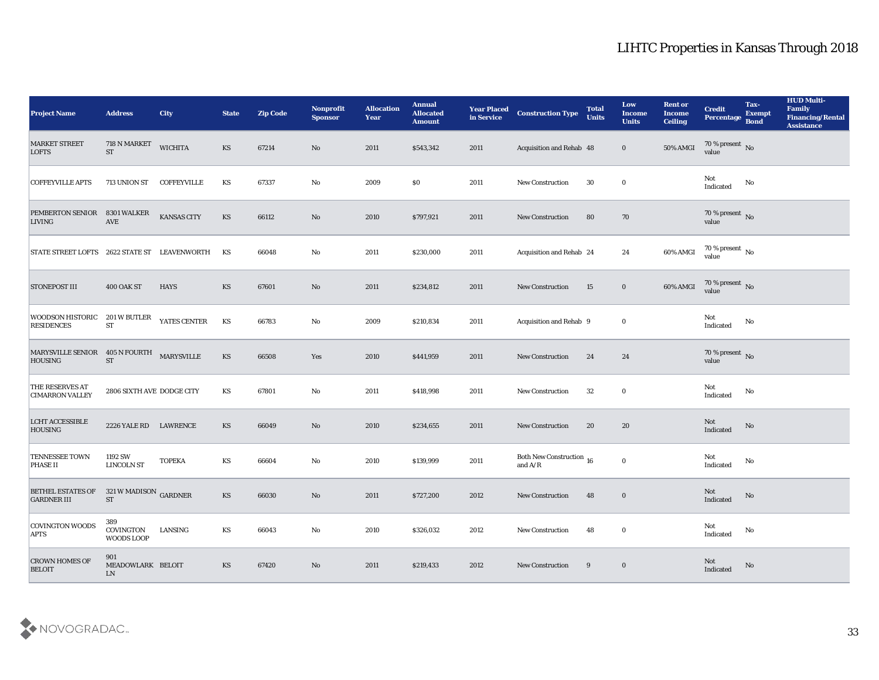| <b>Project Name</b>                                         | <b>Address</b>                         | City               | <b>State</b> | <b>Zip Code</b> | Nonprofit<br><b>Sponsor</b> | <b>Allocation</b><br><b>Year</b> | <b>Annual</b><br><b>Allocated</b><br><b>Amount</b> | <b>Year Placed</b><br>in Service | <b>Construction Type</b>              | <b>Total</b><br><b>Units</b> | Low<br><b>Income</b><br><b>Units</b> | <b>Rent or</b><br><b>Income</b><br><b>Ceiling</b> | <b>Credit</b><br><b>Percentage</b>   | Tax-<br><b>Exempt</b><br>Bond | <b>HUD Multi-</b><br>Family<br><b>Financing/Rental</b><br><b>Assistance</b> |
|-------------------------------------------------------------|----------------------------------------|--------------------|--------------|-----------------|-----------------------------|----------------------------------|----------------------------------------------------|----------------------------------|---------------------------------------|------------------------------|--------------------------------------|---------------------------------------------------|--------------------------------------|-------------------------------|-----------------------------------------------------------------------------|
| <b>MARKET STREET</b><br><b>LOFTS</b>                        | 718 N MARKET<br><b>ST</b>              | <b>WICHITA</b>     | KS           | 67214           | No                          | 2011                             | \$543,342                                          | 2011                             | Acquisition and Rehab 48              |                              | $\bf{0}$                             | 50% AMGI                                          | $70\,\%$ present $\,$ No value       |                               |                                                                             |
| <b>COFFEYVILLE APTS</b>                                     | 713 UNION ST                           | <b>COFFEYVILLE</b> | KS           | 67337           | No                          | 2009                             | $\$0$                                              | 2011                             | <b>New Construction</b>               | 30                           | $\bf{0}$                             |                                                   | Not<br>Indicated                     | No                            |                                                                             |
| <b>PEMBERTON SENIOR</b><br><b>LIVING</b>                    | 8301 WALKER<br><b>AVE</b>              | KANSAS CITY        | <b>KS</b>    | 66112           | No                          | 2010                             | \$797,921                                          | 2011                             | <b>New Construction</b>               | 80                           | 70                                   |                                                   | 70 % present $\sqrt{\ }$ No<br>value |                               |                                                                             |
| STATE STREET LOFTS 2622 STATE ST LEAVENWORTH                |                                        |                    | KS           | 66048           | No                          | 2011                             | \$230,000                                          | 2011                             | Acquisition and Rehab 24              |                              | 24                                   | 60% AMGI                                          | $70\,\%$ present $\,$ No value       |                               |                                                                             |
| <b>STONEPOST III</b>                                        | 400 OAK ST                             | <b>HAYS</b>        | <b>KS</b>    | 67601           | No                          | 2011                             | \$234,812                                          | 2011                             | <b>New Construction</b>               | 15                           | $\bf{0}$                             | 60% AMGI                                          | $70\,\%$ present $\,$ No value       |                               |                                                                             |
| <b>WOODSON HISTORIC</b><br><b>RESIDENCES</b>                | 201 W BUTLER<br><b>ST</b>              | YATES CENTER       | KS           | 66783           | No                          | 2009                             | \$210,834                                          | 2011                             | Acquisition and Rehab 9               |                              | $\bf{0}$                             |                                                   | Not<br>Indicated                     | No                            |                                                                             |
| MARYSVILLE SENIOR 405 N FOURTH MARYSVILLE<br><b>HOUSING</b> | <b>ST</b>                              |                    | KS           | 66508           | Yes                         | 2010                             | \$441,959                                          | 2011                             | <b>New Construction</b>               | 24                           | 24                                   |                                                   | $70\,\%$ present $\,$ No value       |                               |                                                                             |
| <b>THE RESERVES AT</b><br><b>CIMARRON VALLEY</b>            | 2806 SIXTH AVE DODGE CITY              |                    | KS           | 67801           | No                          | 2011                             | \$418,998                                          | 2011                             | <b>New Construction</b>               | 32                           | $\bf{0}$                             |                                                   | Not<br>Indicated                     | No                            |                                                                             |
| <b>LCHT ACCESSIBLE</b><br><b>HOUSING</b>                    | 2226 YALE RD LAWRENCE                  |                    | <b>KS</b>    | 66049           | No                          | 2010                             | \$234,655                                          | 2011                             | New Construction                      | 20                           | 20                                   |                                                   | Not<br>Indicated                     | No                            |                                                                             |
| <b>TENNESSEE TOWN</b><br><b>PHASE II</b>                    | 1192 SW<br><b>LINCOLN ST</b>           | <b>TOPEKA</b>      | KS           | 66604           | No                          | 2010                             | \$139,999                                          | 2011                             | Both New Construction 16<br>and $A/R$ |                              | $\bf{0}$                             |                                                   | Not<br>$\operatorname{Indicated}$    | No                            |                                                                             |
| <b>BETHEL ESTATES OF</b><br><b>GARDNER III</b>              | 321 W MADISON GARDNER<br><b>ST</b>     |                    | <b>KS</b>    | 66030           | No                          | 2011                             | \$727,200                                          | 2012                             | <b>New Construction</b>               | 48                           | $\bf{0}$                             |                                                   | Not<br>Indicated                     | No                            |                                                                             |
| <b>COVINGTON WOODS</b><br><b>APTS</b>                       | 389<br>COVINGTON<br>WOODS LOOP         | LANSING            | KS           | 66043           | $\mathbf {No}$              | 2010                             | \$326,032                                          | 2012                             | <b>New Construction</b>               | 48                           | $\bf{0}$                             |                                                   | Not<br>Indicated                     | No                            |                                                                             |
| <b>CROWN HOMES OF</b><br><b>BELOIT</b>                      | 901<br>MEADOWLARK BELOIT<br>${\rm LN}$ |                    | <b>KS</b>    | 67420           | $\rm\thinspace No$          | 2011                             | \$219,433                                          | 2012                             | <b>New Construction</b>               | 9                            | $\bf{0}$                             |                                                   | Not<br>Indicated                     | No                            |                                                                             |

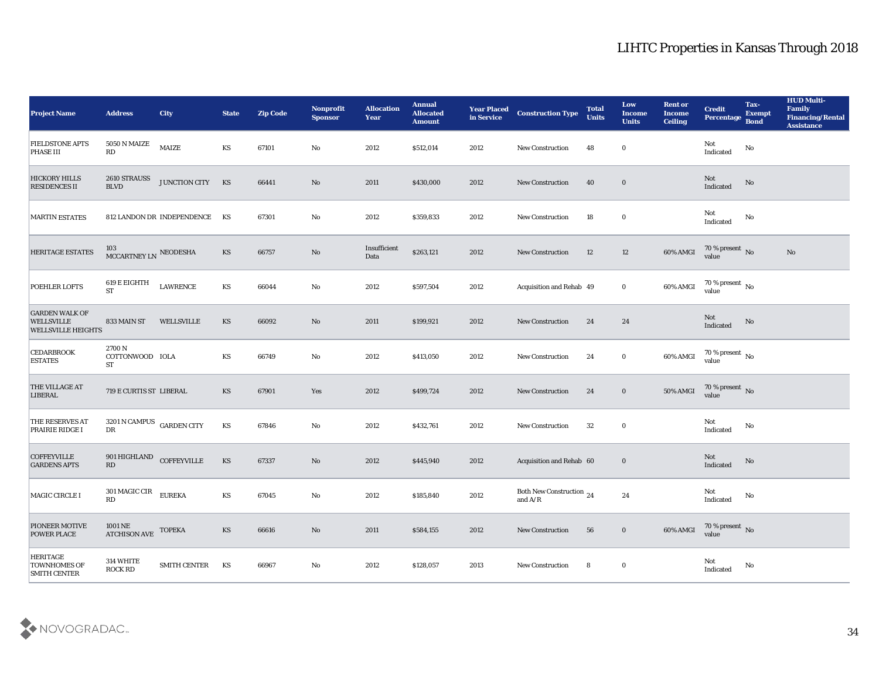| <b>Project Name</b>                                                     | <b>Address</b>                                                 | <b>City</b>                | <b>State</b> | <b>Zip Code</b> | Nonprofit<br><b>Sponsor</b> | <b>Allocation</b><br><b>Year</b> | <b>Annual</b><br><b>Allocated</b><br><b>Amount</b> | <b>Year Placed</b><br>in Service | <b>Construction Type</b>              | <b>Total</b><br><b>Units</b> | Low<br><b>Income</b><br><b>Units</b> | <b>Rent or</b><br><b>Income</b><br><b>Ceiling</b> | <b>Credit</b><br>Percentage       | Tax-<br><b>Exempt</b><br><b>Bond</b> | <b>HUD Multi-</b><br>Family<br><b>Financing/Rental</b><br><b>Assistance</b> |
|-------------------------------------------------------------------------|----------------------------------------------------------------|----------------------------|--------------|-----------------|-----------------------------|----------------------------------|----------------------------------------------------|----------------------------------|---------------------------------------|------------------------------|--------------------------------------|---------------------------------------------------|-----------------------------------|--------------------------------------|-----------------------------------------------------------------------------|
| <b>FIELDSTONE APTS</b><br>PHASE III                                     | <b>5050 N MAIZE</b><br>$\mathbf{R}\mathbf{D}$                  | MAIZE                      | KS           | 67101           | No                          | 2012                             | \$512,014                                          | 2012                             | New Construction                      | 48                           | $\bf{0}$                             |                                                   | Not<br>$\operatorname{Indicated}$ | No                                   |                                                                             |
| <b>HICKORY HILLS</b><br><b>RESIDENCES II</b>                            | 2610 STRAUSS<br><b>BLVD</b>                                    | JUNCTION CITY KS           |              | 66441           | $\mathbf{N}\mathbf{o}$      | 2011                             | \$430,000                                          | 2012                             | <b>New Construction</b>               | 40                           | $\bf{0}$                             |                                                   | Not<br>Indicated                  | No                                   |                                                                             |
| <b>MARTIN ESTATES</b>                                                   |                                                                | 812 LANDON DR INDEPENDENCE | KS           | 67301           | No                          | 2012                             | \$359,833                                          | 2012                             | <b>New Construction</b>               | 18                           | $\bf{0}$                             |                                                   | Not<br>Indicated                  | No                                   |                                                                             |
| HERITAGE ESTATES                                                        | 103<br>MCCARTNEY LN NEODESHA                                   |                            | KS           | 66757           | No                          | Insufficient<br>Data             | \$263,121                                          | 2012                             | New Construction                      | 12                           | 12                                   | 60% AMGI                                          | $70\,\%$ present $\,$ No value    |                                      | No                                                                          |
| POEHLER LOFTS                                                           | 619 E EIGHTH<br><b>ST</b>                                      | <b>LAWRENCE</b>            | KS           | 66044           | No                          | 2012                             | \$597,504                                          | 2012                             | Acquisition and Rehab 49              |                              | $\bf{0}$                             | 60% AMGI                                          | $70\,\%$ present $\,$ No value    |                                      |                                                                             |
| <b>GARDEN WALK OF</b><br><b>WELLSVILLE</b><br><b>WELLSVILLE HEIGHTS</b> | 833 MAIN ST                                                    | WELLSVILLE                 | KS           | 66092           | No                          | 2011                             | \$199,921                                          | 2012                             | <b>New Construction</b>               | 24                           | 24                                   |                                                   | Not<br>Indicated                  | No                                   |                                                                             |
| <b>CEDARBROOK</b><br><b>ESTATES</b>                                     | 2700 N<br>COTTONWOOD IOLA<br><b>ST</b>                         |                            | KS           | 66749           | $\mathbf{No}$               | 2012                             | \$413,050                                          | 2012                             | New Construction                      | 24                           | $\bf{0}$                             | 60% AMGI                                          | $70\,\%$ present $\,$ No value    |                                      |                                                                             |
| THE VILLAGE AT<br>LIBERAL                                               | 719 E CURTIS ST LIBERAL                                        |                            | KS           | 67901           | Yes                         | 2012                             | \$499,724                                          | 2012                             | <b>New Construction</b>               | 24                           | $\bf{0}$                             | 50% AMGI                                          | $70\,\%$ present $\,$ No value    |                                      |                                                                             |
| THE RESERVES AT<br>PRAIRIE RIDGE I                                      | $3201\,\mathrm{N}$ CAMPUS $\;$ GARDEN CITY<br>${\rm D}{\rm R}$ |                            | KS           | 67846           | $\mathbf {No}$              | 2012                             | \$432,761                                          | 2012                             | ${\hbox{New Construction}}$           | 32                           | $\bf{0}$                             |                                                   | Not<br>Indicated                  | No                                   |                                                                             |
| <b>COFFEYVILLE</b><br><b>GARDENS APTS</b>                               | 901 HIGHLAND<br>RD                                             | <b>COFFEYVILLE</b>         | KS           | 67337           | $\mathbf{N}\mathbf{o}$      | 2012                             | \$445,940                                          | 2012                             | Acquisition and Rehab 60              |                              | $\bf{0}$                             |                                                   | Not<br>Indicated                  | No                                   |                                                                             |
| MAGIC CIRCLE I                                                          | 301 MAGIC CIR<br>RD                                            | <b>EUREKA</b>              | KS           | 67045           | No                          | 2012                             | \$185,840                                          | 2012                             | Both New Construction 24<br>and $A/R$ |                              | 24                                   |                                                   | Not<br>Indicated                  | No                                   |                                                                             |
| <b>PIONEER MOTIVE</b><br><b>POWER PLACE</b>                             | 1001 NE<br><b>ATCHISON AVE</b>                                 | <b>TOPEKA</b>              | KS           | 66616           | $\rm\thinspace No$          | 2011                             | \$584,155                                          | 2012                             | New Construction                      | 56                           | $\bf{0}$                             | 60% AMGI                                          | $70\,\%$ present $\,$ No value    |                                      |                                                                             |
| <b>HERITAGE</b><br><b>TOWNHOMES OF</b><br><b>SMITH CENTER</b>           | 314 WHITE<br><b>ROCK RD</b>                                    | SMITH CENTER               | KS           | 66967           | $\mathbf {No}$              | 2012                             | \$128,057                                          | 2013                             | New Construction                      | 8                            | $\bf{0}$                             |                                                   | Not<br>Indicated                  | $\mathbf {No}$                       |                                                                             |

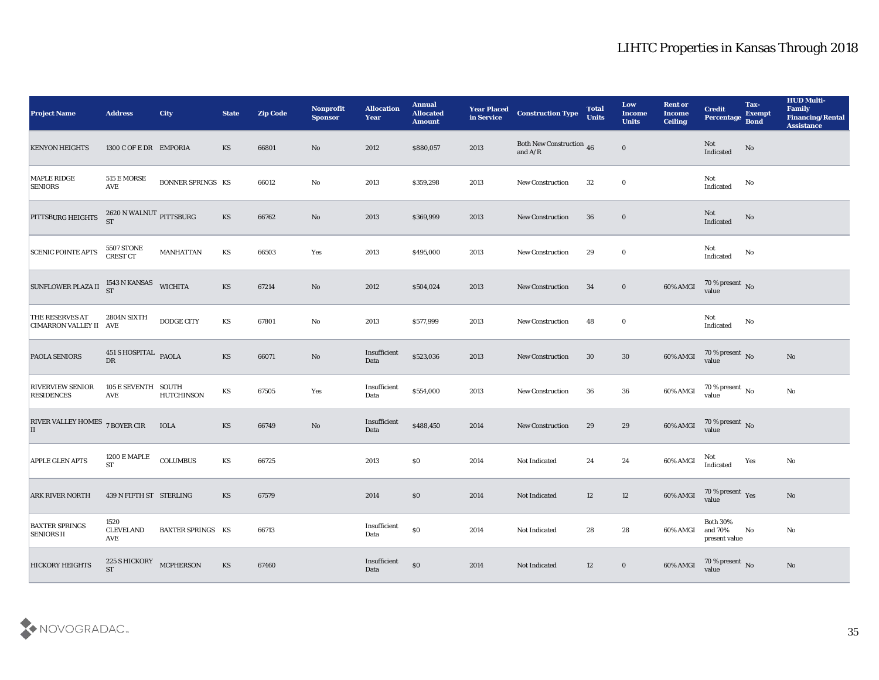| <b>Project Name</b>                                                  | <b>Address</b>                                | <b>City</b>              | <b>State</b>           | <b>Zip Code</b> | Nonprofit<br><b>Sponsor</b> | <b>Allocation</b><br><b>Year</b> | <b>Annual</b><br><b>Allocated</b><br><b>Amount</b> | <b>Year Placed<br/>in Service</b> | <b>Construction Type</b>               | <b>Total</b><br><b>Units</b> | Low<br><b>Income</b><br><b>Units</b> | <b>Rent or</b><br><b>Income</b><br><b>Ceiling</b> | <b>Credit</b><br>Percentage                 | Tax-<br><b>Exempt</b><br><b>Bond</b> | <b>HUD Multi-</b><br>Family<br><b>Financing/Rental</b><br><b>Assistance</b> |
|----------------------------------------------------------------------|-----------------------------------------------|--------------------------|------------------------|-----------------|-----------------------------|----------------------------------|----------------------------------------------------|-----------------------------------|----------------------------------------|------------------------------|--------------------------------------|---------------------------------------------------|---------------------------------------------|--------------------------------------|-----------------------------------------------------------------------------|
| <b>KENYON HEIGHTS</b>                                                | 1300 C OF E DR EMPORIA                        |                          | KS                     | 66801           | No                          | 2012                             | \$880,057                                          | 2013                              | Both New Construction $$\,46$$ and A/R |                              | $\bf{0}$                             |                                                   | Not<br>Indicated                            | $\mathbf{N}\mathbf{o}$               |                                                                             |
| <b>MAPLE RIDGE</b><br><b>SENIORS</b>                                 | 515 E MORSE<br>$\operatorname{AVE}$           | <b>BONNER SPRINGS KS</b> |                        | 66012           | No                          | 2013                             | \$359,298                                          | 2013                              | New Construction                       | 32                           | $\bf{0}$                             |                                                   | Not<br>Indicated                            | No                                   |                                                                             |
| PITTSBURG HEIGHTS                                                    | 2620 N WALNUT PITTSBURG ST                    |                          | $\mathbf{K}\mathbf{S}$ | 66762           | No                          | 2013                             | \$369,999                                          | 2013                              | <b>New Construction</b>                | 36                           | $\bf{0}$                             |                                                   | Not<br>Indicated                            | $\mathbf{N}\mathbf{o}$               |                                                                             |
| <b>SCENIC POINTE APTS</b>                                            | 5507 STONE<br>CREST CT                        | <b>MANHATTAN</b>         | KS                     | 66503           | Yes                         | 2013                             | \$495,000                                          | 2013                              | <b>New Construction</b>                | 29                           | $\bf{0}$                             |                                                   | Not<br>$\operatorname{Indicated}$           | No                                   |                                                                             |
| SUNFLOWER PLAZA II $_{\rm ST}^{1543\ {\rm N}\ {\rm KANSAS}}$ wichita |                                               |                          | $\mathbf{K}\mathbf{S}$ | 67214           | $\mathbf{N}\mathbf{o}$      | 2012                             | \$504,024                                          | 2013                              | <b>New Construction</b>                | 34                           | $\bf{0}$                             | 60% AMGI                                          | $70$ % present $\,$ No $\,$ value           |                                      |                                                                             |
| THE RESERVES AT<br>CIMARRON VALLEY II AVE                            | 2804N SIXTH                                   | DODGE CITY               | KS                     | 67801           | No                          | 2013                             | \$577,999                                          | 2013                              | <b>New Construction</b>                | 48                           | $\bf{0}$                             |                                                   | Not<br>Indicated                            | No                                   |                                                                             |
| PAOLA SENIORS                                                        | $451\,\mathrm{S}\,\mathrm{HOSPITAL}$ PAOLA DR |                          | KS                     | 66071           | $\mathbf {No}$              | Insufficient<br>Data             | \$523,036                                          | 2013                              | New Construction                       | 30                           | $30\,$                               | 60% AMGI                                          | $70\,\%$ present $\,$ No value              |                                      | $\mathbf{N}\mathbf{o}$                                                      |
| <b>RIVERVIEW SENIOR</b><br><b>RESIDENCES</b>                         | 105 E SEVENTH SOUTH<br><b>AVE</b>             | <b>HUTCHINSON</b>        | KS                     | 67505           | Yes                         | Insufficient<br>Data             | \$554,000                                          | 2013                              | <b>New Construction</b>                | 36                           | 36                                   | 60% AMGI                                          | $70$ % present $\,$ No value                |                                      | $\mathbf{N}\mathbf{o}$                                                      |
| RIVER VALLEY HOMES 7 BOYER CIR<br>II                                 |                                               | <b>IOLA</b>              | <b>KS</b>              | 66749           | $\mathbf {No}$              | Insufficient<br>Data             | \$488,450                                          | 2014                              | New Construction                       | 29                           | 29                                   | 60% AMGI                                          | $70\,\%$ present $\,$ No value              |                                      |                                                                             |
| <b>APPLE GLEN APTS</b>                                               | 1200 E MAPLE<br><b>ST</b>                     | COLUMBUS                 | $\mathbf{K}\mathbf{S}$ | 66725           |                             | 2013                             | $\$0$                                              | 2014                              | Not Indicated                          | 24                           | 24                                   | $60\%$ AMGI                                       | Not<br>Indicated                            | Yes                                  | $\mathbf{N}\mathbf{o}$                                                      |
| <b>ARK RIVER NORTH</b>                                               | 439 N FIFTH ST STERLING                       |                          | KS                     | 67579           |                             | 2014                             | \$0                                                | 2014                              | Not Indicated                          | 12                           | 12                                   | 60% AMGI                                          | $70\,\%$ present $\,\mathrm{Yes}$ value     |                                      | No                                                                          |
| <b>BAXTER SPRINGS</b><br><b>SENIORS II</b>                           | 1520<br><b>CLEVELAND</b><br>AVE               | <b>BAXTER SPRINGS KS</b> |                        | 66713           |                             | Insufficient<br>Data             | $\$0$                                              | 2014                              | Not Indicated                          | 28                           | 28                                   | 60% AMGI                                          | <b>Both 30%</b><br>and 70%<br>present value | No                                   | $\mathbf{N}\mathbf{o}$                                                      |
| <b>HICKORY HEIGHTS</b>                                               | 225 S HICKORY MCPHERSON<br><b>ST</b>          |                          | KS                     | 67460           |                             | Insufficient<br>Data             | $\$0$                                              | 2014                              | Not Indicated                          | 12                           | $\bf{0}$                             | 60% AMGI                                          | $70\,\%$ present $\,$ No value              |                                      | $\mathbf{N}\mathbf{o}$                                                      |

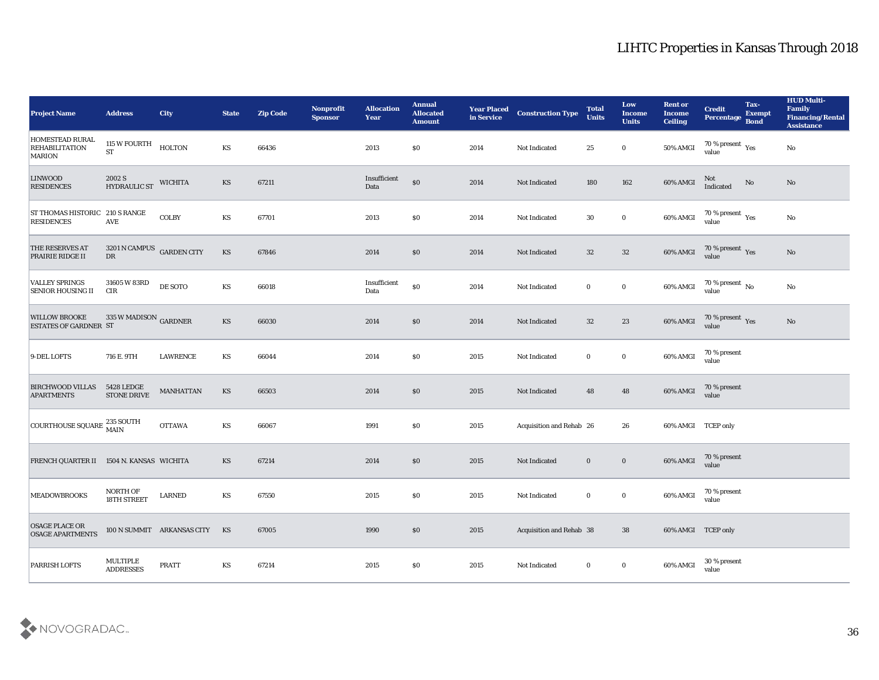| <b>Project Name</b>                                       | <b>Address</b>                          | <b>City</b>                | <b>State</b> | <b>Zip Code</b> | <b>Nonprofit</b><br><b>Sponsor</b> | <b>Allocation</b><br>Year | <b>Annual</b><br><b>Allocated</b><br><b>Amount</b> | <b>Year Placed</b><br>in Service | <b>Construction Type</b> | <b>Total</b><br><b>Units</b> | Low<br><b>Income</b><br><b>Units</b> | <b>Rent or</b><br><b>Income</b><br><b>Ceiling</b> | <b>Credit</b><br>Percentage                      | Tax-<br><b>Exempt</b><br><b>Bond</b> | <b>HUD Multi-</b><br>Family<br><b>Financing/Rental</b><br><b>Assistance</b> |
|-----------------------------------------------------------|-----------------------------------------|----------------------------|--------------|-----------------|------------------------------------|---------------------------|----------------------------------------------------|----------------------------------|--------------------------|------------------------------|--------------------------------------|---------------------------------------------------|--------------------------------------------------|--------------------------------------|-----------------------------------------------------------------------------|
| HOMESTEAD RURAL<br><b>REHABILITATION</b><br><b>MARION</b> | 115 W FOURTH<br>${\rm ST}$              | <b>HOLTON</b>              | KS           | 66436           |                                    | 2013                      | $\$0$                                              | 2014                             | Not Indicated            | 25                           | $\bf{0}$                             | 50% AMGI                                          | 70 % present $\rm\thinspace\gamma_{es}$<br>value |                                      | No                                                                          |
| <b>LINWOOD</b><br><b>RESIDENCES</b>                       | 2002 S<br>HYDRAULIC ST                  | <b>WICHITA</b>             | <b>KS</b>    | 67211           |                                    | Insufficient<br>Data      | $\$0$                                              | 2014                             | Not Indicated            | 180                          | ${\bf 162}$                          | 60% AMGI                                          | Not<br>Indicated                                 | No                                   | No                                                                          |
| ST THOMAS HISTORIC 210 S RANGE<br><b>RESIDENCES</b>       | <b>AVE</b>                              | COLBY                      | KS           | 67701           |                                    | 2013                      | \$0                                                | 2014                             | Not Indicated            | 30                           | $\bf{0}$                             | 60% AMGI                                          | 70 % present $\rm\thinspace\gamma_{es}$<br>value |                                      | No                                                                          |
| THE RESERVES AT<br><b>PRAIRIE RIDGE II</b>                | 3201 N CAMPUS GARDEN CITY<br>${\rm DR}$ |                            | KS           | 67846           |                                    | 2014                      | \$0                                                | 2014                             | Not Indicated            | 32                           | 32                                   | 60% AMGI                                          | $70\,\%$ present $\,$ Yes value                  |                                      | No                                                                          |
| <b>VALLEY SPRINGS</b><br><b>SENIOR HOUSING II</b>         | 31605 W 83RD<br>CIR                     | DE SOTO                    | KS           | 66018           |                                    | Insufficient<br>Data      | $\$0$                                              | 2014                             | Not Indicated            | $\bf{0}$                     | $\bf{0}$                             | 60% AMGI                                          | $70\,\%$ present $\,$ No value                   |                                      | No                                                                          |
| <b>WILLOW BROOKE</b><br><b>ESTATES OF GARDNER ST</b>      | 335 W MADISON $_{\rm GARDNER}$          |                            | <b>KS</b>    | 66030           |                                    | 2014                      | \$0                                                | 2014                             | Not Indicated            | 32                           | 23                                   | 60% AMGI                                          | $70\,\%$ present $\,$ Yes value                  |                                      | No                                                                          |
| 9-DEL LOFTS                                               | 716 E. 9TH                              | <b>LAWRENCE</b>            | KS           | 66044           |                                    | 2014                      | \$0                                                | 2015                             | Not Indicated            | $\bf{0}$                     | $\bf{0}$                             | 60% AMGI                                          | 70 % present<br>value                            |                                      |                                                                             |
| <b>BIRCHWOOD VILLAS</b><br><b>APARTMENTS</b>              | 5428 LEDGE<br><b>STONE DRIVE</b>        | <b>MANHATTAN</b>           | <b>KS</b>    | 66503           |                                    | 2014                      | \$0                                                | 2015                             | Not Indicated            | 48                           | 48                                   | 60% AMGI                                          | 70 % present<br>value                            |                                      |                                                                             |
| COURTHOUSE SQUARE 235 SOUTH                               |                                         | <b>OTTAWA</b>              | KS           | 66067           |                                    | 1991                      | \$0                                                | 2015                             | Acquisition and Rehab 26 |                              | 26                                   | 60% AMGI TCEP only                                |                                                  |                                      |                                                                             |
| FRENCH QUARTER II 1504 N. KANSAS WICHITA                  |                                         |                            | <b>KS</b>    | 67214           |                                    | 2014                      | \$0                                                | 2015                             | Not Indicated            | $\bf{0}$                     | $\bf{0}$                             | 60% AMGI                                          | 70 % present<br>value                            |                                      |                                                                             |
| <b>MEADOWBROOKS</b>                                       | <b>NORTH OF</b><br>18TH STREET          | ${\rm LARMED}$             | KS           | 67550           |                                    | 2015                      | \$0                                                | 2015                             | Not Indicated            | $\bf{0}$                     | $\bf{0}$                             | 60% AMGI                                          | 70 % present<br>value                            |                                      |                                                                             |
| <b>OSAGE PLACE OR</b><br><b>OSAGE APARTMENTS</b>          |                                         | 100 N SUMMIT ARKANSAS CITY | KS           | 67005           |                                    | 1990                      | \$0                                                | 2015                             | Acquisition and Rehab 38 |                              | 38                                   | 60% AMGI TCEP only                                |                                                  |                                      |                                                                             |
| <b>PARRISH LOFTS</b>                                      | MULTIPLE<br><b>ADDRESSES</b>            | PRATT                      | KS           | 67214           |                                    | $\,2015$                  | $\$0$                                              | 2015                             | Not Indicated            | $\bf{0}$                     | $\bf{0}$                             | 60% AMGI                                          | 30 % present<br>value                            |                                      |                                                                             |

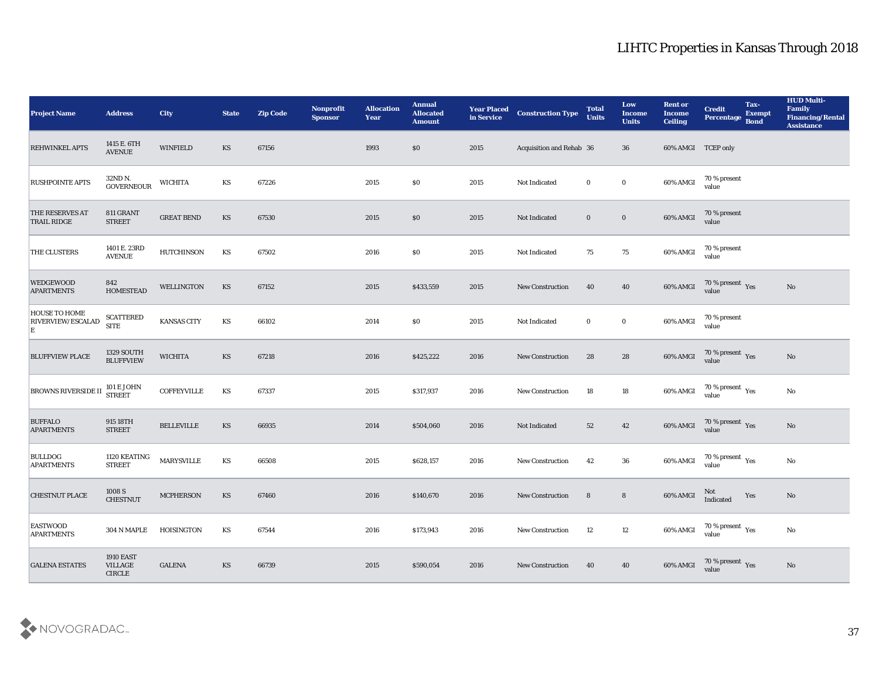| <b>Project Name</b>                     | <b>Address</b>                                                | <b>City</b>       | <b>State</b>           | <b>Zip Code</b> | Nonprofit<br><b>Sponsor</b> | <b>Allocation</b><br><b>Year</b> | <b>Annual</b><br><b>Allocated</b><br><b>Amount</b> | <b>Year Placed<br/>in Service</b> | <b>Construction Type</b> | <b>Total</b><br><b>Units</b> | Low<br><b>Income</b><br><b>Units</b> | <b>Rent or</b><br><b>Income</b><br><b>Ceiling</b> | <b>Credit</b><br><b>Percentage</b>      | Tax-<br><b>Exempt</b><br><b>Bond</b> | <b>HUD Multi-</b><br>Family<br><b>Financing/Rental</b><br>Assistance |
|-----------------------------------------|---------------------------------------------------------------|-------------------|------------------------|-----------------|-----------------------------|----------------------------------|----------------------------------------------------|-----------------------------------|--------------------------|------------------------------|--------------------------------------|---------------------------------------------------|-----------------------------------------|--------------------------------------|----------------------------------------------------------------------|
| <b>REHWINKEL APTS</b>                   | 1415 E. 6TH<br><b>AVENUE</b>                                  | <b>WINFIELD</b>   | KS                     | 67156           |                             | 1993                             | \$0                                                | 2015                              | Acquisition and Rehab 36 |                              | 36                                   | 60% AMGI TCEP only                                |                                         |                                      |                                                                      |
| <b>RUSHPOINTE APTS</b>                  | 32ND N.<br>GOVERNEOUR                                         | <b>WICHITA</b>    | KS                     | 67226           |                             | 2015                             | $\$0$                                              | 2015                              | Not Indicated            | $\bf{0}$                     | $\bf{0}$                             | 60% AMGI                                          | 70 % present<br>value                   |                                      |                                                                      |
| THE RESERVES AT<br><b>TRAIL RIDGE</b>   | 811 GRANT<br><b>STREET</b>                                    | <b>GREAT BEND</b> | KS                     | 67530           |                             | 2015                             | $\$0$                                              | 2015                              | Not Indicated            | $\bf{0}$                     | $\bf{0}$                             | 60% AMGI                                          | $70$ % present value                    |                                      |                                                                      |
| THE CLUSTERS                            | 1401 E. 23RD<br><b>AVENUE</b>                                 | <b>HUTCHINSON</b> | KS                     | 67502           |                             | 2016                             | $\$0$                                              | 2015                              | Not Indicated            | 75                           | 75                                   | 60% AMGI                                          | 70 % present<br>value                   |                                      |                                                                      |
| <b>WEDGEWOOD</b><br><b>APARTMENTS</b>   | 842<br><b>HOMESTEAD</b>                                       | WELLINGTON        | KS                     | 67152           |                             | 2015                             | \$433,559                                          | 2015                              | <b>New Construction</b>  | 40                           | 40                                   | 60% AMGI                                          | $70\,\%$ present $\,\mathrm{Yes}$ value |                                      | $\rm\thinspace No$                                                   |
| HOUSE TO HOME<br>RIVERVIEW/ESCALAD<br>E | <b>SCATTERED</b><br>$\operatorname{SITE}$                     | KANSAS CITY       | KS                     | 66102           |                             | 2014                             | $\$0$                                              | 2015                              | Not Indicated            | $\bf{0}$                     | $\bf{0}$                             | 60% AMGI                                          | 70 % present<br>value                   |                                      |                                                                      |
| <b>BLUFFVIEW PLACE</b>                  | <b>1329 SOUTH</b><br><b>BLUFFVIEW</b>                         | <b>WICHITA</b>    | KS                     | 67218           |                             | 2016                             | \$425,222                                          | 2016                              | New Construction         | 28                           | 28                                   | 60% AMGI                                          | $70\,\%$ present $\,$ Yes value         |                                      | No                                                                   |
| <b>BROWNS RIVERSIDE II</b>              | $101$ E JOHN STREET                                           | COFFEYVILLE       | KS                     | 67337           |                             | 2015                             | \$317,937                                          | 2016                              | New Construction         | 18                           | 18                                   | 60% AMGI                                          | $70\,\%$ present $\,\mathrm{Yes}$ value |                                      | No                                                                   |
| <b>BUFFALO</b><br><b>APARTMENTS</b>     | 915 18TH<br><b>STREET</b>                                     | <b>BELLEVILLE</b> | KS                     | 66935           |                             | 2014                             | \$504,060                                          | 2016                              | Not Indicated            | 52                           | 42                                   | $60\%$ AMGI                                       | $70\,\%$ present $\,$ Yes value         |                                      | No                                                                   |
| <b>BULLDOG</b><br><b>APARTMENTS</b>     | 1120 KEATING<br><b>STREET</b>                                 | <b>MARYSVILLE</b> | KS                     | 66508           |                             | 2015                             | \$628,157                                          | 2016                              | New Construction         | 42                           | 36                                   | 60% AMGI                                          | $70\,\%$ present $\,$ Yes value         |                                      | No                                                                   |
| <b>CHESTNUT PLACE</b>                   | 1008 S<br><b>CHESTNUT</b>                                     | <b>MCPHERSON</b>  | KS                     | 67460           |                             | 2016                             | \$140,670                                          | 2016                              | <b>New Construction</b>  | 8                            | $8\phantom{.}$                       | 60% AMGI                                          | Not<br>Indicated                        | Yes                                  | $\mathbf{N}\mathbf{o}$                                               |
| <b>EASTWOOD</b><br><b>APARTMENTS</b>    | 304 N MAPLE                                                   | HOISINGTON        | KS                     | 67544           |                             | 2016                             | \$173,943                                          | 2016                              | <b>New Construction</b>  | 12                           | 12                                   | 60% AMGI                                          | 70 % present $_{\rm Yes}$<br>value      |                                      | $\mathbf {No}$                                                       |
| <b>GALENA ESTATES</b>                   | <b>1910 EAST</b><br>VILLAGE<br>$\ensuremath{\mathsf{CIRCLE}}$ | <b>GALENA</b>     | $\mathbf{K}\mathbf{S}$ | 66739           |                             | 2015                             | \$590,054                                          | 2016                              | New Construction         | 40                           | 40                                   | 60% AMGI                                          | $70\,\%$ present $\,\mathrm{Yes}$ value |                                      | $\rm \bf No$                                                         |

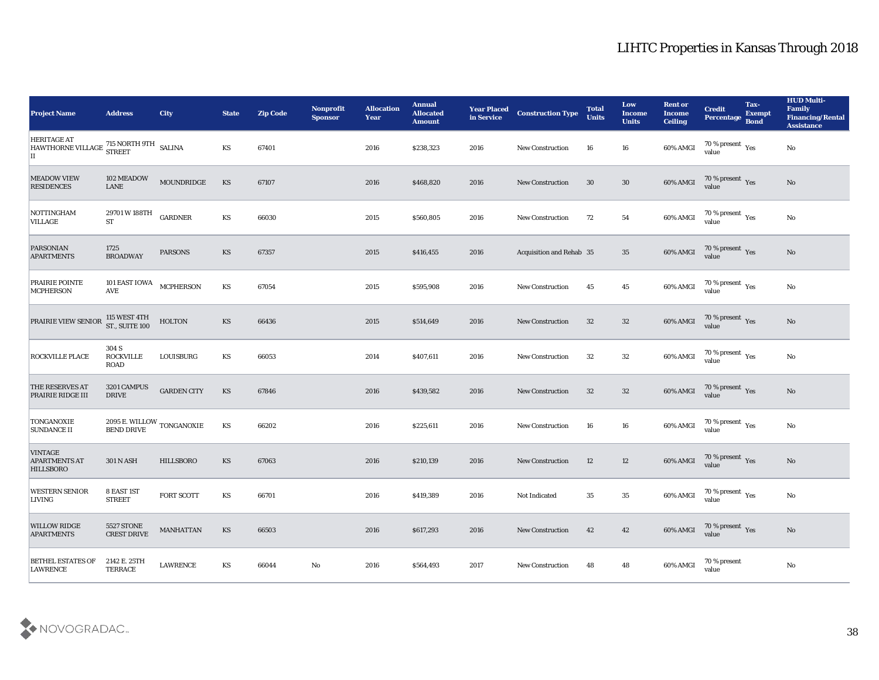| <b>Project Name</b>                                                                    | <b>Address</b>                              | <b>City</b>        | <b>State</b>           | <b>Zip Code</b> | <b>Nonprofit</b><br><b>Sponsor</b> | <b>Allocation</b><br>Year | <b>Annual</b><br><b>Allocated</b><br><b>Amount</b> | <b>Year Placed<br/>in Service</b> | <b>Construction Type</b> | <b>Total</b><br><b>Units</b> | Low<br><b>Income</b><br><b>Units</b> | <b>Rent or</b><br><b>Income</b><br><b>Ceiling</b> | <b>Credit</b><br><b>Percentage</b>        | Tax-<br><b>Exempt</b><br>Bond | <b>HUD Multi-</b><br>Family<br><b>Financing/Rental</b><br><b>Assistance</b> |
|----------------------------------------------------------------------------------------|---------------------------------------------|--------------------|------------------------|-----------------|------------------------------------|---------------------------|----------------------------------------------------|-----------------------------------|--------------------------|------------------------------|--------------------------------------|---------------------------------------------------|-------------------------------------------|-------------------------------|-----------------------------------------------------------------------------|
| <b>HERITAGE AT</b><br>HAWTHORNE VILLAGE 715 NORTH 9TH<br>HAWTHORNE VILLAGE STREET<br>П |                                             |                    | KS                     | 67401           |                                    | 2016                      | \$238,323                                          | 2016                              | <b>New Construction</b>  | 16                           | 16                                   | 60% AMGI                                          | 70 % present $_{\rm Yes}$<br>value        |                               | $\rm\thinspace No$                                                          |
| <b>MEADOW VIEW</b><br><b>RESIDENCES</b>                                                | 102 MEADOW<br>${\rm LANE}$                  | MOUNDRIDGE         | $\mathbf{K}\mathbf{S}$ | 67107           |                                    | 2016                      | \$468,820                                          | 2016                              | <b>New Construction</b>  | 30                           | 30                                   | 60% AMGI                                          | $\frac{70\%}{9}$ present Yes              |                               | No                                                                          |
| <b>NOTTINGHAM</b><br><b>VILLAGE</b>                                                    | 29701 W 188TH<br>$\operatorname{ST}$        | <b>GARDNER</b>     | KS                     | 66030           |                                    | 2015                      | \$560,805                                          | 2016                              | <b>New Construction</b>  | 72                           | 54                                   | 60% AMGI                                          | $70\,\%$ present $\,$ Yes value           |                               | No                                                                          |
| <b>PARSONIAN</b><br><b>APARTMENTS</b>                                                  | 1725<br><b>BROADWAY</b>                     | <b>PARSONS</b>     | KS                     | 67357           |                                    | 2015                      | \$416,455                                          | 2016                              | Acquisition and Rehab 35 |                              | 35                                   | 60% AMGI                                          | $70\,\%$ present $\,$ Yes value           |                               | No                                                                          |
| PRAIRIE POINTE<br><b>MCPHERSON</b>                                                     | 101 EAST IOWA<br><b>AVE</b>                 | <b>MCPHERSON</b>   | KS                     | 67054           |                                    | 2015                      | \$595,908                                          | 2016                              | <b>New Construction</b>  | 45                           | 45                                   | 60% AMGI                                          | $70\,\%$ present $\,$ Yes value           |                               | $\rm\thinspace No$                                                          |
| PRAIRIE VIEW SENIOR                                                                    | 115 WEST 4TH<br>ST., SUITE 100              | <b>HOLTON</b>      | <b>KS</b>              | 66436           |                                    | 2015                      | \$514,649                                          | 2016                              | <b>New Construction</b>  | 32                           | 32                                   | 60% AMGI                                          | $70\,\%$ present $\;\;\mathrm{Yes}$ value |                               | No                                                                          |
| <b>ROCKVILLE PLACE</b>                                                                 | 304 S<br><b>ROCKVILLE</b><br><b>ROAD</b>    | LOUISBURG          | KS                     | 66053           |                                    | 2014                      | \$407,611                                          | 2016                              | <b>New Construction</b>  | 32                           | 32                                   | 60% AMGI                                          | $70\,\%$ present $\,$ Yes value           |                               | No                                                                          |
| THE RESERVES AT<br>PRAIRIE RIDGE III                                                   | 3201 CAMPUS<br><b>DRIVE</b>                 | <b>GARDEN CITY</b> | KS                     | 67846           |                                    | 2016                      | \$439,582                                          | 2016                              | <b>New Construction</b>  | 32                           | 32                                   | 60% AMGI                                          | $70\,\%$ present $\,$ Yes value           |                               | No                                                                          |
| TONGANOXIE<br><b>SUNDANCE II</b>                                                       | $2095$ E. WILLOW $\,$ TONGANOXIE BEND DRIVE |                    | KS                     | 66202           |                                    | 2016                      | \$225,611                                          | 2016                              | <b>New Construction</b>  | 16                           | 16                                   | 60% AMGI                                          | $70\,\%$ present $\,$ Yes value           |                               | No                                                                          |
| <b>VINTAGE</b><br><b>APARTMENTS AT</b><br><b>HILLSBORO</b>                             | <b>301 N ASH</b>                            | <b>HILLSBORO</b>   | KS                     | 67063           |                                    | 2016                      | \$210,139                                          | 2016                              | <b>New Construction</b>  | 12                           | 12                                   | 60% AMGI                                          | $70\,\%$ present $\;\;\mathrm{Yes}$ value |                               | No                                                                          |
| <b>WESTERN SENIOR</b><br><b>LIVING</b>                                                 | 8 EAST 1ST<br><b>STREET</b>                 | <b>FORT SCOTT</b>  | KS                     | 66701           |                                    | 2016                      | \$419,389                                          | 2016                              | Not Indicated            | 35                           | 35                                   | 60% AMGI                                          | 70 % present $\gamma_{\rm es}$<br>value   |                               | No                                                                          |
| <b>WILLOW RIDGE</b><br><b>APARTMENTS</b>                                               | <b>5527 STONE</b><br><b>CREST DRIVE</b>     | MANHATTAN          | KS                     | 66503           |                                    | 2016                      | \$617,293                                          | 2016                              | New Construction         | 42                           | 42                                   | 60% AMGI                                          | 70 % present Yes<br>value                 |                               | No                                                                          |
| <b>BETHEL ESTATES OF</b><br><b>LAWRENCE</b>                                            | 2142 E. 25TH<br><b>TERRACE</b>              | <b>LAWRENCE</b>    | KS                     | 66044           | $\rm\thinspace No$                 | 2016                      | \$564,493                                          | 2017                              | New Construction         | 48                           | 48                                   | 60% AMGI                                          | 70 % present<br>value                     |                               | $\mathbf {No}$                                                              |

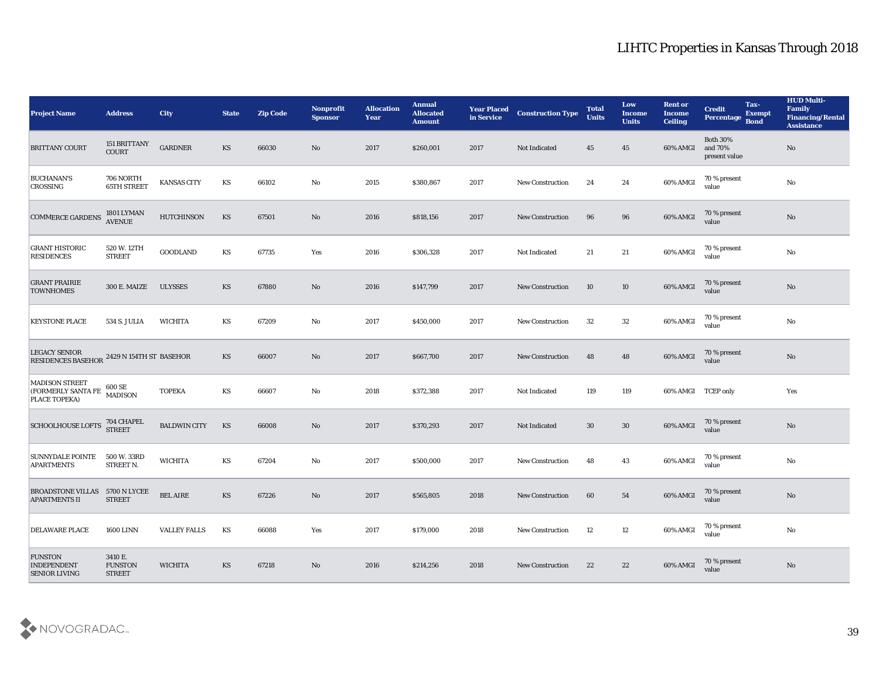| <b>Project Name</b>                                                         | <b>Address</b>                             | <b>City</b>         | <b>State</b>           | <b>Zip Code</b> | Nonprofit<br><b>Sponsor</b> | <b>Allocation</b><br><b>Year</b> | <b>Annual</b><br><b>Allocated</b><br><b>Amount</b> | <b>Year Placed</b><br>in Service | <b>Construction Type</b> | <b>Total</b><br><b>Units</b> | Low<br><b>Income</b><br><b>Units</b> | <b>Rent or</b><br><b>Income</b><br><b>Ceiling</b> | <b>Credit</b><br>Percentage                 | Tax-<br><b>Exempt</b><br><b>Bond</b> | <b>HUD Multi-</b><br>Family<br><b>Financing/Rental</b><br><b>Assistance</b> |
|-----------------------------------------------------------------------------|--------------------------------------------|---------------------|------------------------|-----------------|-----------------------------|----------------------------------|----------------------------------------------------|----------------------------------|--------------------------|------------------------------|--------------------------------------|---------------------------------------------------|---------------------------------------------|--------------------------------------|-----------------------------------------------------------------------------|
| <b>BRITTANY COURT</b>                                                       | 151 BRITTANY<br>COURT                      | <b>GARDNER</b>      | KS                     | 66030           | No                          | 2017                             | \$260,001                                          | 2017                             | Not Indicated            | 45                           | 45                                   | 60% AMGI                                          | <b>Both 30%</b><br>and 70%<br>present value |                                      | $\mathbf{N}\mathbf{o}$                                                      |
| <b>BUCHANAN'S</b><br>CROSSING                                               | 706 NORTH<br><b>65TH STREET</b>            | <b>KANSAS CITY</b>  | KS                     | 66102           | $\mathbf{No}$               | 2015                             | \$380,867                                          | 2017                             | <b>New Construction</b>  | 24                           | 24                                   | 60% AMGI                                          | 70 % present<br>value                       |                                      | $\mathbf {No}$                                                              |
| <b>COMMERCE GARDENS</b>                                                     | 1801 LYMAN<br>AVENUE                       | <b>HUTCHINSON</b>   | KS                     | 67501           | No                          | 2016                             | \$818,156                                          | 2017                             | <b>New Construction</b>  | 96                           | 96                                   | 60% AMGI                                          | 70 % present<br>value                       |                                      | No                                                                          |
| <b>GRANT HISTORIC</b><br>RESIDENCES                                         | 520 W. 12TH<br><b>STREET</b>               | <b>GOODLAND</b>     | KS                     | 67735           | Yes                         | 2016                             | \$306,328                                          | 2017                             | Not Indicated            | 21                           | 21                                   | 60% AMGI                                          | 70 % present<br>value                       |                                      | $\mathbf{N}\mathbf{o}$                                                      |
| <b>GRANT PRAIRIE</b><br><b>TOWNHOMES</b>                                    | <b>300 E. MAIZE</b>                        | <b>ULYSSES</b>      | KS                     | 67880           | No                          | 2016                             | \$147,799                                          | 2017                             | <b>New Construction</b>  | 10                           | 10                                   | 60% AMGI                                          | 70 % present<br>value                       |                                      | $\rm \bf No$                                                                |
| <b>KEYSTONE PLACE</b>                                                       | 534 S. JULIA                               | WICHITA             | KS                     | 67209           | No                          | 2017                             | \$450,000                                          | 2017                             | <b>New Construction</b>  | 32                           | 32                                   | 60% AMGI                                          | 70 % present<br>value                       |                                      | $\mathbf{N}\mathbf{o}$                                                      |
| <b>LEGACY SENIOR</b><br>RESIDENCES BASEHOR $\,{}^{2429}$ N 154TH ST BASEHOR |                                            |                     | KS                     | 66007           | No                          | 2017                             | \$667,700                                          | 2017                             | <b>New Construction</b>  | 48                           | 48                                   | 60% AMGI                                          | 70 % present<br>value                       |                                      | $\mathbf{N}\mathbf{o}$                                                      |
| <b>MADISON STREET</b><br>(FORMERLY SANTA FE<br>PLACE TOPEKA)                | $600\,\mathrm{SE}$<br><b>MADISON</b>       | <b>TOPEKA</b>       | KS                     | 66607           | No                          | 2018                             | \$372,388                                          | 2017                             | Not Indicated            | 119                          | 119                                  | 60% AMGI TCEP only                                |                                             |                                      | Yes                                                                         |
| <b>SCHOOLHOUSE LOFTS</b>                                                    | 704 CHAPEL<br><b>STREET</b>                | <b>BALDWIN CITY</b> | KS                     | 66008           | No                          | 2017                             | \$370,293                                          | 2017                             | Not Indicated            | 30                           | 30                                   | 60% AMGI                                          | 70 % present<br>value                       |                                      | $\mathbf{N}\mathbf{o}$                                                      |
| <b>SUNNYDALE POINTE</b><br><b>APARTMENTS</b>                                | 500 W. 33RD<br>STREET N.                   | <b>WICHITA</b>      | $\mathbf{K}\mathbf{S}$ | 67204           | No                          | 2017                             | \$500,000                                          | 2017                             | <b>New Construction</b>  | 48                           | 43                                   | 60% AMGI                                          | 70 % present<br>value                       |                                      | $\mathbf {No}$                                                              |
| <b>BROADSTONE VILLAS</b><br><b>APARTMENTS II</b>                            | 5700 N LYCEE<br><b>STREET</b>              | <b>BEL AIRE</b>     | <b>KS</b>              | 67226           | No                          | 2017                             | \$565,805                                          | 2018                             | <b>New Construction</b>  | 60                           | 54                                   | 60% AMGI                                          | 70 % present<br>value                       |                                      | No                                                                          |
| <b>DELAWARE PLACE</b>                                                       | <b>1600 LINN</b>                           | <b>VALLEY FALLS</b> | $\mathbf{K}\mathbf{S}$ | 66088           | Yes                         | 2017                             | \$179,000                                          | 2018                             | New Construction         | 12                           | 12                                   | 60% AMGI                                          | 70 % present<br>value                       |                                      | $\mathbf {No}$                                                              |
| <b>FUNSTON</b><br><b>INDEPENDENT</b><br><b>SENIOR LIVING</b>                | 3410 E.<br><b>FUNSTON</b><br><b>STREET</b> | <b>WICHITA</b>      | $\mathbf{K}\mathbf{S}$ | 67218           | $\rm\thinspace No$          | 2016                             | \$214,256                                          | 2018                             | <b>New Construction</b>  | 22                           | 22                                   | 60% AMGI                                          | 70 % present<br>value                       |                                      | $\rm \bf No$                                                                |

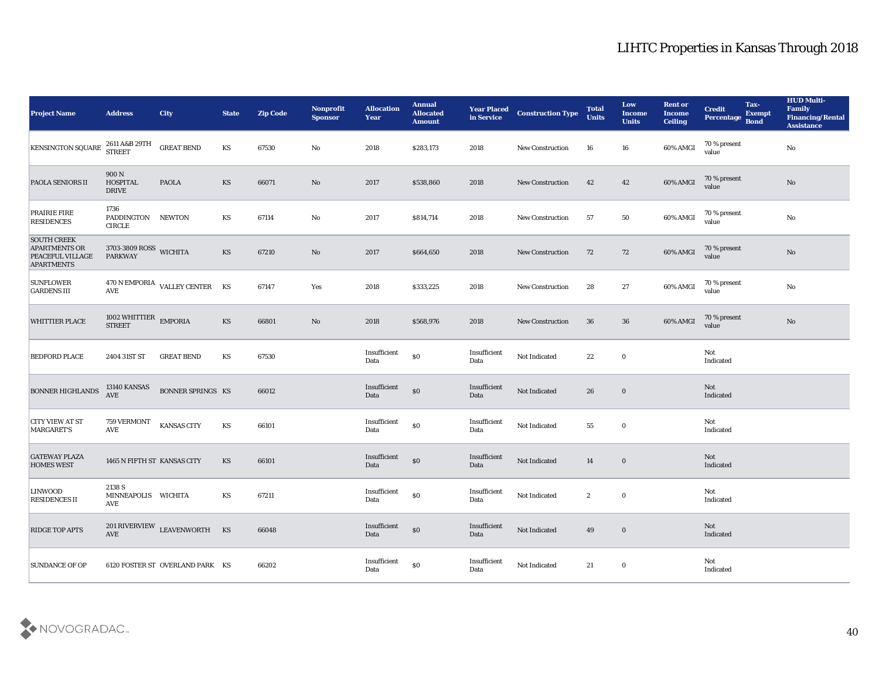| <b>Project Name</b>                                                                 | <b>Address</b>                             | <b>City</b>                     | <b>State</b> | <b>Zip Code</b> | Nonprofit<br><b>Sponsor</b> | <b>Allocation</b><br><b>Year</b>            | <b>Annual</b><br><b>Allocated</b><br><b>Amount</b> | <b>Year Placed<br/>in Service</b> | <b>Construction Type</b> | <b>Total</b><br><b>Units</b> | Low<br><b>Income</b><br><b>Units</b> | <b>Rent or</b><br><b>Income</b><br><b>Ceiling</b> | <b>Credit</b><br><b>Percentage</b> | Tax-<br><b>Exempt</b><br><b>Bond</b> | <b>HUD Multi-</b><br>Family<br><b>Financing/Rental</b><br><b>Assistance</b> |
|-------------------------------------------------------------------------------------|--------------------------------------------|---------------------------------|--------------|-----------------|-----------------------------|---------------------------------------------|----------------------------------------------------|-----------------------------------|--------------------------|------------------------------|--------------------------------------|---------------------------------------------------|------------------------------------|--------------------------------------|-----------------------------------------------------------------------------|
| <b>KENSINGTON SQUARE</b>                                                            | 2611 A&B 29TH<br><b>STREET</b>             | <b>GREAT BEND</b>               | KS           | 67530           | $\mathbf {No}$              | 2018                                        | \$283,173                                          | 2018                              | New Construction         | 16                           | 16                                   | 60% AMGI                                          | 70 % present<br>value              |                                      | $\mathbf {No}$                                                              |
| <b>PAOLA SENIORS II</b>                                                             | 900N<br><b>HOSPITAL</b><br><b>DRIVE</b>    | <b>PAOLA</b>                    | KS           | 66071           | $\mathbf{N}\mathbf{o}$      | 2017                                        | \$538,860                                          | 2018                              | <b>New Construction</b>  | 42                           | 42                                   | 60% AMGI                                          | 70 % present<br>value              |                                      | No                                                                          |
| <b>PRAIRIE FIRE</b><br><b>RESIDENCES</b>                                            | 1736<br>PADDINGTON NEWTON<br><b>CIRCLE</b> |                                 | KS           | 67114           | $\mathbf{No}$               | 2017                                        | \$814,714                                          | 2018                              | <b>New Construction</b>  | 57                           | 50                                   | 60% AMGI                                          | 70 % present<br>value              |                                      | $\mathbf {No}$                                                              |
| <b>SOUTH CREEK</b><br><b>APARTMENTS OR</b><br>PEACEFUL VILLAGE<br><b>APARTMENTS</b> | 3703-3809 ROSS WICHITA<br><b>PARKWAY</b>   |                                 | KS           | 67210           | $\mathbf{N}\mathbf{o}$      | 2017                                        | \$664,650                                          | 2018                              | <b>New Construction</b>  | 72                           | 72                                   | 60% AMGI                                          | 70 % present<br>value              |                                      | No                                                                          |
| <b>SUNFLOWER</b><br><b>GARDENS III</b>                                              | $\operatorname{AVE}$                       | 470 N EMPORIA VALLEY CENTER KS  |              | 67147           | Yes                         | 2018                                        | \$333,225                                          | 2018                              | <b>New Construction</b>  | 28                           | 27                                   | 60% AMGI                                          | 70 % present<br>value              |                                      | $\mathbf {No}$                                                              |
| <b>WHITTIER PLACE</b>                                                               | 1002 WHITTIER EMPORIA<br><b>STREET</b>     |                                 | KS           | 66801           | No                          | 2018                                        | \$568,976                                          | 2018                              | <b>New Construction</b>  | 36                           | 36                                   | 60% AMGI                                          | 70 % present<br>value              |                                      | $\rm\thinspace No$                                                          |
| <b>BEDFORD PLACE</b>                                                                | 2404 31ST ST                               | <b>GREAT BEND</b>               | KS           | 67530           |                             | Insufficient<br>Data                        | $\$0$                                              | Insufficient<br>Data              | Not Indicated            | 22                           | $\bf{0}$                             |                                                   | Not<br>Indicated                   |                                      |                                                                             |
| <b>BONNER HIGHLANDS</b>                                                             | 13140 KANSAS<br><b>AVE</b>                 | <b>BONNER SPRINGS KS</b>        |              | 66012           |                             | Insufficient<br>Data                        | $\$0$                                              | Insufficient<br>Data              | Not Indicated            | 26                           | $\bf{0}$                             |                                                   | Not<br>Indicated                   |                                      |                                                                             |
| <b>CITY VIEW AT ST</b><br>MARGARET'S                                                | 759 VERMONT<br><b>AVE</b>                  | KANSAS CITY                     | KS           | 66101           |                             | Insufficient<br>Data                        | $\$0$                                              | Insufficient<br>Data              | Not Indicated            | 55                           | $\bf{0}$                             |                                                   | Not<br>Indicated                   |                                      |                                                                             |
| <b>GATEWAY PLAZA</b><br><b>HOMES WEST</b>                                           | 1465 N FIFTH ST KANSAS CITY                |                                 | KS           | 66101           |                             | Insufficient<br>Data                        | $\$0$                                              | Insufficient<br>Data              | Not Indicated            | 14                           | $\bf{0}$                             |                                                   | Not<br>Indicated                   |                                      |                                                                             |
| <b>LINWOOD</b><br><b>RESIDENCES II</b>                                              | 2138 S<br>MINNEAPOLIS WICHITA<br>AVE       |                                 | KS           | 67211           |                             | Insufficient<br>Data                        | $\$0$                                              | Insufficient<br>Data              | Not Indicated            | $\boldsymbol{2}$             | $\bf{0}$                             |                                                   | Not<br>Indicated                   |                                      |                                                                             |
| <b>RIDGE TOP APTS</b>                                                               | AVE                                        | 201 RIVERVIEW LEAVENWORTH KS    |              | 66048           |                             | $\label{lem:optimal} In sufficient$<br>Data | $\boldsymbol{\mathsf{S}}\boldsymbol{\mathsf{O}}$   | Insufficient<br>Data              | Not Indicated            | 49                           | $\bf{0}$                             |                                                   | Not<br>Indicated                   |                                      |                                                                             |
| <b>SUNDANCE OF OP</b>                                                               |                                            | 6120 FOSTER ST OVERLAND PARK KS |              | 66202           |                             | $\label{lem:optimal} In sufficient$<br>Data | $\$0$                                              | Insufficient<br>Data              | Not Indicated            | 21                           | $\bf{0}$                             |                                                   | Not<br>Indicated                   |                                      |                                                                             |

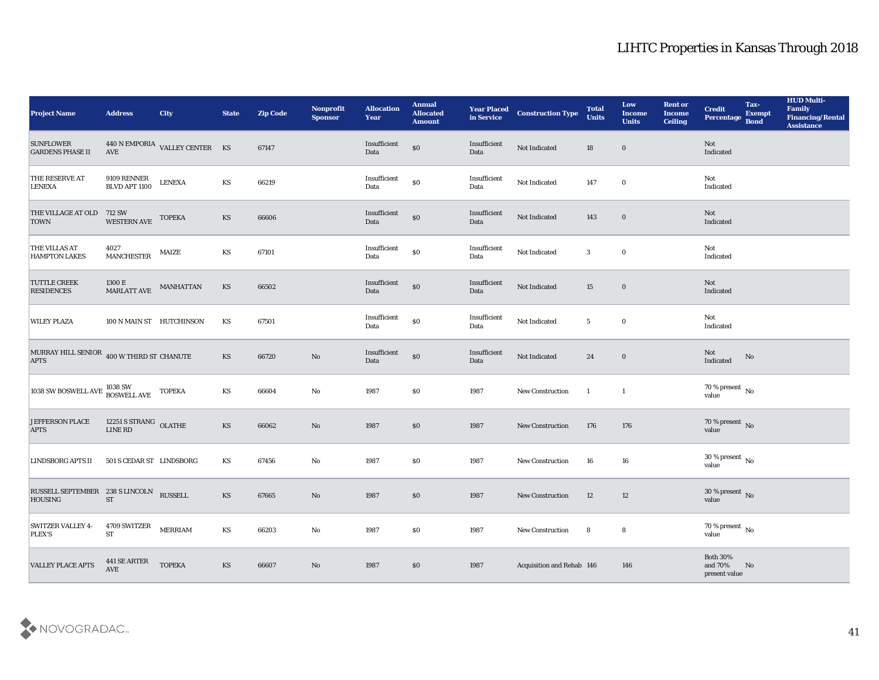| <b>Project Name</b>                                           | <b>Address</b>                           | <b>City</b>                                            | <b>State</b>           | <b>Zip Code</b> | Nonprofit<br><b>Sponsor</b> | <b>Allocation</b><br>Year | <b>Annual</b><br><b>Allocated</b><br><b>Amount</b> | <b>Year Placed<br/>in Service</b> | <b>Construction Type</b>  | <b>Total</b><br><b>Units</b> | Low<br><b>Income</b><br><b>Units</b> | <b>Rent or</b><br><b>Income</b><br><b>Ceiling</b> | <b>Credit</b><br>Percentage Bond           | Tax-<br><b>Exempt</b> | <b>HUD Multi-</b><br>Family<br><b>Financing/Rental</b><br><b>Assistance</b> |
|---------------------------------------------------------------|------------------------------------------|--------------------------------------------------------|------------------------|-----------------|-----------------------------|---------------------------|----------------------------------------------------|-----------------------------------|---------------------------|------------------------------|--------------------------------------|---------------------------------------------------|--------------------------------------------|-----------------------|-----------------------------------------------------------------------------|
| <b>SUNFLOWER</b><br><b>GARDENS PHASE II</b>                   |                                          | $440$ N EMPORIA $\:$ VALLEY CENTER $\quad$ KS $\,$ AVE |                        | 67147           |                             | Insufficient<br>Data      | $\$0$                                              | Insufficient<br>Data              | Not Indicated             | 18                           | $\bf{0}$                             |                                                   | Not<br>Indicated                           |                       |                                                                             |
| <b>THE RESERVE AT</b><br><b>LENEXA</b>                        | 9109 RENNER<br>BLVD APT 1100             | <b>LENEXA</b>                                          | KS                     | 66219           |                             | Insufficient<br>Data      | $\$0$                                              | Insufficient<br>Data              | Not Indicated             | 147                          | $\bf{0}$                             |                                                   | Not<br>Indicated                           |                       |                                                                             |
|                                                               |                                          | <b>TOPEKA</b>                                          | KS                     | 66606           |                             | Insufficient<br>Data      | $\$0$                                              | Insufficient<br>Data              | Not Indicated             | 143                          | $\bf{0}$                             |                                                   | Not<br>Indicated                           |                       |                                                                             |
| <b>THE VILLAS AT</b><br><b>HAMPTON LAKES</b>                  | 4027<br><b>MANCHESTER</b>                | MAIZE                                                  | KS                     | 67101           |                             | Insufficient<br>Data      | $\$0$                                              | Insufficient<br>Data              | Not Indicated             | 3                            | $\bf{0}$                             |                                                   | Not<br>Indicated                           |                       |                                                                             |
| <b>TUTTLE CREEK</b><br><b>RESIDENCES</b>                      | 1300 E<br>MARLATT AVE                    | MANHATTAN                                              | KS                     | 66502           |                             | Insufficient<br>Data      | $\$0$                                              | Insufficient<br>Data              | Not Indicated             | 15                           | $\bf{0}$                             |                                                   | Not<br>Indicated                           |                       |                                                                             |
| <b>WILEY PLAZA</b>                                            | 100 N MAIN ST HUTCHINSON                 |                                                        | KS                     | 67501           |                             | Insufficient<br>Data      | $\$0$                                              | Insufficient<br>Data              | Not Indicated             | $5\phantom{.0}$              | $\bf{0}$                             |                                                   | Not<br>Indicated                           |                       |                                                                             |
| MURRAY HILL SENIOR $\,$ 400 W THIRD ST CHANUTE<br><b>APTS</b> |                                          |                                                        | $\mathbf{K}\mathbf{S}$ | 66720           | $\mathbf{N}\mathbf{o}$      | Insufficient<br>Data      | $\$0$                                              | Insufficient<br>Data              | Not Indicated             | 24                           | $\bf{0}$                             |                                                   | Not<br>Indicated                           | No                    |                                                                             |
| 1038 SW BOSWELL AVE 1038 SW<br>BOSWELL AVE                    |                                          | <b>TOPEKA</b>                                          | KS                     | 66604           | No                          | 1987                      | \$0                                                | 1987                              | <b>New Construction</b>   | $\blacksquare$               | $\mathbf{1}$                         |                                                   | $70\,\% \,present \\ value$                |                       |                                                                             |
| <b>JEFFERSON PLACE</b><br><b>APTS</b>                         | 12251 S STRANG OLATHE<br>${\rm LINE}$ RD |                                                        | KS                     | 66062           | $\rm\thinspace No$          | 1987                      | \$0                                                | 1987                              | New Construction          | 176                          | 176                                  |                                                   | $70\,\%$ present $\,$ No value             |                       |                                                                             |
| LINDSBORG APTS II                                             | 501 S CEDAR ST LINDSBORG                 |                                                        | KS                     | 67456           | No                          | 1987                      | \$0                                                | 1987                              | <b>New Construction</b>   | 16                           | 16                                   |                                                   | $30\,\%$ present $\,$ No value             |                       |                                                                             |
| RUSSELL SEPTEMBER 238 S LINCOLN RUSSELL<br><b>HOUSING</b>     | <b>ST</b>                                |                                                        | KS                     | 67665           | No                          | 1987                      | \$0                                                | 1987                              | <b>New Construction</b>   | 12                           | 12                                   |                                                   | $30\,\%$ present $\,$ No value             |                       |                                                                             |
| <b>SWITZER VALLEY 4-</b><br>PLEX'S                            | 4709 SWITZER<br><b>ST</b>                | <b>MERRIAM</b>                                         | KS                     | 66203           | $\rm\thinspace No$          | 1987                      | $\boldsymbol{\mathsf{S}}\boldsymbol{\mathsf{0}}$   | 1987                              | <b>New Construction</b>   | 8                            | $8\phantom{.0}$                      |                                                   | 70 % present No<br>value                   |                       |                                                                             |
| <b>VALLEY PLACE APTS</b>                                      | 441 SE ARTER<br>AVE                      | <b>TOPEKA</b>                                          | KS                     | 66607           | $\rm No$                    | 1987                      | $\$0$                                              | 1987                              | Acquisition and Rehab 146 |                              | 146                                  |                                                   | Both $30\%$<br>and $70\%$<br>present value | No                    |                                                                             |

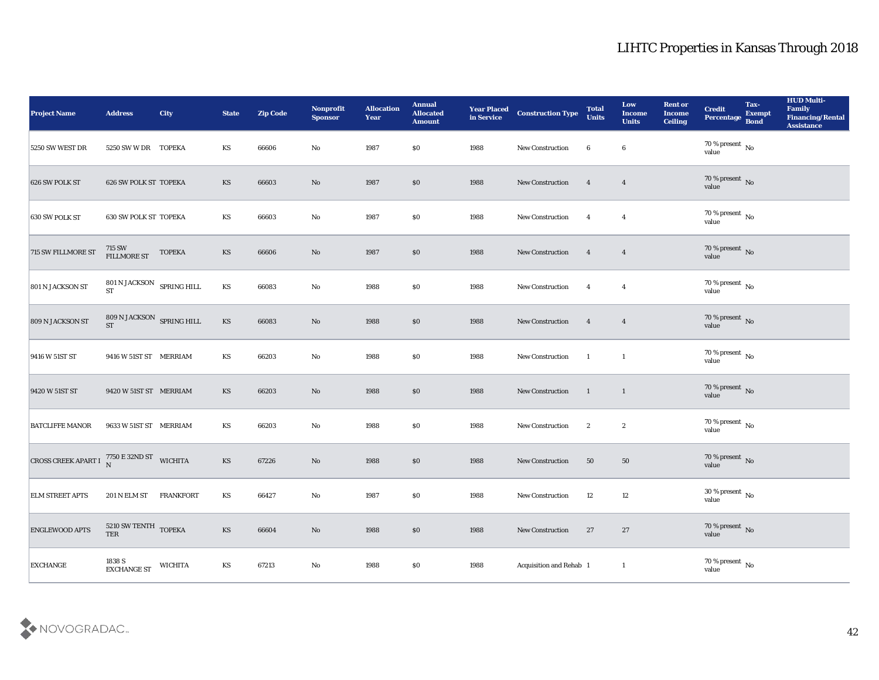| <b>Project Name</b>                                                 | <b>Address</b>                                  | City             | <b>State</b>           | <b>Zip Code</b> | Nonprofit<br><b>Sponsor</b> | <b>Allocation</b><br><b>Year</b> | <b>Annual</b><br><b>Allocated</b><br><b>Amount</b> | <b>Year Placed<br/>in Service</b> | <b>Construction Type</b> | <b>Total</b><br><b>Units</b> | Low<br><b>Income</b><br><b>Units</b> | <b>Rent or</b><br><b>Income</b><br><b>Ceiling</b> | <b>Credit</b><br>Percentage    | Tax-<br>Exempt<br>Bond | <b>HUD Multi-</b><br>Family<br><b>Financing/Rental</b><br><b>Assistance</b> |
|---------------------------------------------------------------------|-------------------------------------------------|------------------|------------------------|-----------------|-----------------------------|----------------------------------|----------------------------------------------------|-----------------------------------|--------------------------|------------------------------|--------------------------------------|---------------------------------------------------|--------------------------------|------------------------|-----------------------------------------------------------------------------|
| 5250 SW WEST DR                                                     | 5250 SW W DR TOPEKA                             |                  | KS                     | 66606           | No                          | 1987                             | \$0\$                                              | 1988                              | New Construction         | 6                            | 6                                    |                                                   | $70\,\%$ present $\,$ No value |                        |                                                                             |
| 626 SW POLK ST                                                      | 626 SW POLK ST TOPEKA                           |                  | KS                     | 66603           | No                          | 1987                             | $\$0$                                              | 1988                              | New Construction         | $\overline{4}$               | $\overline{\mathbf{4}}$              |                                                   | $70\,\%$ present $\,$ No value |                        |                                                                             |
| 630 SW POLK ST                                                      | <b>630 SW POLK ST TOPEKA</b>                    |                  | KS                     | 66603           | $\rm\thinspace No$          | 1987                             | \$0                                                | 1988                              | New Construction         | $\overline{4}$               | $\overline{4}$                       |                                                   | $70\,\%$ present $\,$ No value |                        |                                                                             |
| 715 SW FILLMORE ST                                                  | 715 SW<br>FILLMORE ST                           | <b>TOPEKA</b>    | KS                     | 66606           | No                          | 1987                             | \$0\$                                              | 1988                              | New Construction         | $\overline{\mathbf{4}}$      | $\overline{4}$                       |                                                   | $70\,\%$ present $\,$ No value |                        |                                                                             |
| 801 N JACKSON ST                                                    | $801$ N JACKSON $$\rm{SPRING\,HILL}$$ $\rm{ST}$ |                  | KS                     | 66083           | $\rm\thinspace No$          | 1988                             | \$0\$                                              | 1988                              | <b>New Construction</b>  | $\overline{\mathbf{4}}$      | $\overline{4}$                       |                                                   | $70\,\%$ present $\,$ No value |                        |                                                                             |
| 809 N JACKSON ST                                                    | $809$ N JACKSON $\;$ SPRING HILL $ST$           |                  | KS                     | 66083           | $\rm\thinspace No$          | 1988                             | $\$0$                                              | 1988                              | New Construction         | $\overline{\mathbf{4}}$      | $\overline{\mathbf{4}}$              |                                                   | $70\,\%$ present $\,$ No value |                        |                                                                             |
| 9416 W 51ST ST                                                      | 9416 W 51ST ST MERRIAM                          |                  | KS                     | 66203           | $\mathbf{No}$               | 1988                             | \$0\$                                              | 1988                              | New Construction         | $\overline{1}$               | $\mathbf{1}$                         |                                                   | $70\,\%$ present $\,$ No value |                        |                                                                             |
| 9420 W 51ST ST                                                      | 9420 W 51ST ST MERRIAM                          |                  | KS                     | 66203           | No                          | 1988                             | \$0\$                                              | 1988                              | New Construction         | $\blacksquare$               | $\mathbf{1}$                         |                                                   | $70\,\%$ present $\,$ No value |                        |                                                                             |
| <b>BATCLIFFE MANOR</b>                                              | 9633 W 51ST ST MERRIAM                          |                  | KS                     | 66203           | $\rm\thinspace No$          | 1988                             | \$0\$                                              | 1988                              | New Construction         | $\boldsymbol{2}$             | $\boldsymbol{2}$                     |                                                   | $70\,\%$ present $\,$ No value |                        |                                                                             |
| CROSS CREEK APART I $_N^{7750 \text{ E } 32 \text{ND } ST}$ WICHITA |                                                 |                  | $\mathbf{K}\mathbf{S}$ | 67226           | $\mathbf{N}\mathbf{o}$      | 1988                             | \$0\$                                              | 1988                              | New Construction         | 50                           | 50                                   |                                                   | $70\,\%$ present $\,$ No value |                        |                                                                             |
| <b>ELM STREET APTS</b>                                              | 201 N ELM ST                                    | <b>FRANKFORT</b> | KS                     | 66427           | No                          | 1987                             | \$0\$                                              | 1988                              | New Construction         | 12                           | 12                                   |                                                   | $30\,\%$ present $\,$ No value |                        |                                                                             |
| <b>ENGLEWOOD APTS</b>                                               | 5210 SW TENTH TOPEKA<br>TER                     |                  | $\mathbf{K}\mathbf{S}$ | 66604           | $\mathbf {No}$              | 1988                             | $\$0$                                              | 1988                              | New Construction         | 27                           | 27                                   |                                                   | $70\,\%$ present $\,$ No value |                        |                                                                             |
| <b>EXCHANGE</b>                                                     | $1838$ S $\,$ EXCHANGE ST                       | <b>WICHITA</b>   | $\mathbf{K}\mathbf{S}$ | 67213           | $\mathbf {No}$              | 1988                             | $\$0$                                              | 1988                              | Acquisition and Rehab 1  |                              | $\mathbf{1}$                         |                                                   | $70\,\%$ present $\,$ No value |                        |                                                                             |

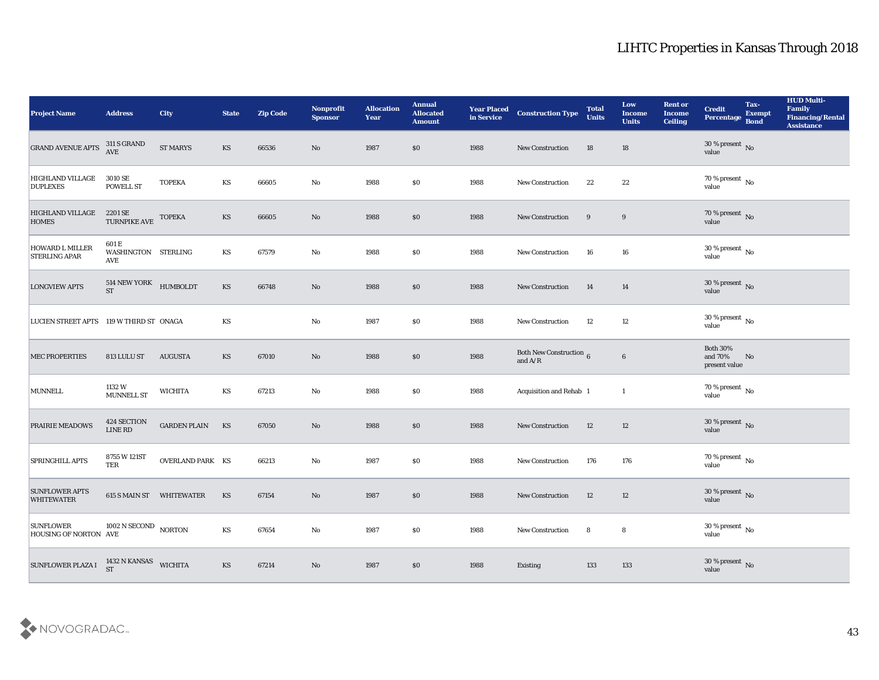| <b>Project Name</b>                            | <b>Address</b>                                   | <b>City</b>              | <b>State</b>           | <b>Zip Code</b> | Nonprofit<br><b>Sponsor</b> | <b>Allocation</b><br>Year | <b>Annual</b><br><b>Allocated</b><br><b>Amount</b> | <b>Year Placed<br/>in Service</b> | <b>Construction Type</b>                   | <b>Total</b><br><b>Units</b> | Low<br><b>Income</b><br><b>Units</b> | <b>Rent or</b><br><b>Income</b><br><b>Ceiling</b> | <b>Credit</b><br>Percentage Bond            | Tax-<br><b>Exempt</b> | <b>HUD Multi-</b><br>Family<br><b>Financing/Rental</b><br><b>Assistance</b> |
|------------------------------------------------|--------------------------------------------------|--------------------------|------------------------|-----------------|-----------------------------|---------------------------|----------------------------------------------------|-----------------------------------|--------------------------------------------|------------------------------|--------------------------------------|---------------------------------------------------|---------------------------------------------|-----------------------|-----------------------------------------------------------------------------|
| <b>GRAND AVENUE APTS</b>                       | $311$ S GRAND AVE                                | <b>ST MARYS</b>          | <b>KS</b>              | 66536           | No                          | 1987                      | \$0                                                | 1988                              | New Construction                           | 18                           | 18                                   |                                                   | $30\,\%$ present $\,$ No value              |                       |                                                                             |
| HIGHLAND VILLAGE<br><b>DUPLEXES</b>            | 3010 SE<br>POWELL ST                             | <b>TOPEKA</b>            | KS                     | 66605           | No                          | 1988                      | \$0\$                                              | 1988                              | New Construction                           | 22                           | 22                                   |                                                   | $70\,\%$ present $\,$ No value              |                       |                                                                             |
| <b>HIGHLAND VILLAGE</b><br><b>HOMES</b>        | $2201\,{\rm SE}$ TOPEKA TURNPIKE AVE $\,$ TOPEKA |                          | <b>KS</b>              | 66605           | No                          | 1988                      | \$0\$                                              | 1988                              | New Construction                           | 9                            | 9                                    |                                                   | $70\,\%$ present $\,$ No value              |                       |                                                                             |
| <b>HOWARD L MILLER</b><br><b>STERLING APAR</b> | 601 E<br>WASHINGTON STERLING<br><b>AVE</b>       |                          | KS                     | 67579           | $\mathbf{N}\mathbf{o}$      | 1988                      | \$0\$                                              | 1988                              | New Construction                           | 16                           | 16                                   |                                                   | $30\,\%$ present $\,$ No value              |                       |                                                                             |
| <b>LONGVIEW APTS</b>                           | $514$ NEW YORK $$\,{\rm HUMBOLDT}$$ ST           |                          | KS                     | 66748           | $\rm\thinspace No$          | 1988                      | \$0\$                                              | 1988                              | <b>New Construction</b>                    | 14                           | 14                                   |                                                   | $30\,\%$ present $\,$ No value              |                       |                                                                             |
| LUCIEN STREET APTS 119 W THIRD ST ONAGA        |                                                  |                          | KS                     |                 | $\rm\thinspace No$          | 1987                      | \$0\$                                              | 1988                              | New Construction                           | 12                           | 12                                   |                                                   | $30\,\%$ present $\,$ No value              |                       |                                                                             |
| <b>MEC PROPERTIES</b>                          | 813 LULU ST                                      | <b>AUGUSTA</b>           | KS                     | 67010           | $\mathbf{N}\mathbf{o}$      | 1988                      | \$0\$                                              | 1988                              | Both New Construction $6$<br>and $\rm A/R$ |                              | $\bf 6$                              |                                                   | <b>Both 30%</b><br>and 70%<br>present value | No                    |                                                                             |
| <b>MUNNELL</b>                                 | 1132 W<br>MUNNELL ST                             | <b>WICHITA</b>           | KS                     | 67213           | No                          | 1988                      | $\$0$                                              | 1988                              | Acquisition and Rehab 1                    |                              | <sup>1</sup>                         |                                                   | $70\,\%$ present $\,$ No value              |                       |                                                                             |
| <b>PRAIRIE MEADOWS</b>                         | 424 SECTION<br>LINE RD                           | <b>GARDEN PLAIN</b>      | KS                     | 67050           | $\rm\thinspace No$          | 1988                      | \$0                                                | 1988                              | New Construction                           | 12                           | 12                                   |                                                   | $30\,\%$ present $\,$ No value              |                       |                                                                             |
| <b>SPRINGHILL APTS</b>                         | 8755 W 121ST<br>TER                              | <b>OVERLAND PARK KS</b>  |                        | 66213           | $\mathbf{No}$               | 1987                      | \$0\$                                              | 1988                              | New Construction                           | 176                          | 176                                  |                                                   | $70\,\%$ present $\,$ No value              |                       |                                                                             |
| <b>SUNFLOWER APTS</b><br><b>WHITEWATER</b>     |                                                  | 615 S MAIN ST WHITEWATER | KS                     | 67154           | No                          | 1987                      | \$0\$                                              | 1988                              | <b>New Construction</b>                    | 12                           | 12                                   |                                                   | $30\,\%$ present $\,$ No value              |                       |                                                                             |
| <b>SUNFLOWER</b><br>HOUSING OF NORTON AVE      | 1002 N SECOND NORTON                             |                          | $\mathbf{K}\mathbf{S}$ | 67654           | ${\bf No}$                  | 1987                      | $\$0$                                              | 1988                              | New Construction                           | 8                            | 8                                    |                                                   | $30\,\%$ present $\,$ No value              |                       |                                                                             |
| SUNFLOWER PLAZA I                              | 1432 N KANSAS<br><b>ST</b>                       | <b>WICHITA</b>           | $\mathbf{K}\mathbf{S}$ | 67214           | $\mathbf {No}$              | 1987                      | $\$0$                                              | 1988                              | Existing                                   | 133                          | 133                                  |                                                   | $30\,\%$ present $\,$ No value              |                       |                                                                             |

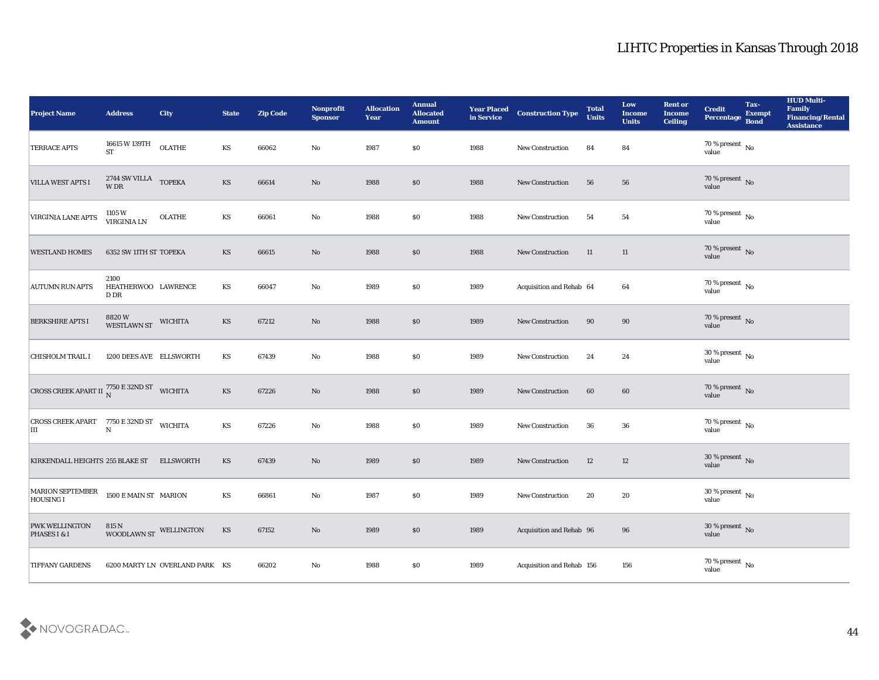| <b>Project Name</b>                                                                                                                   | <b>Address</b>                      | <b>City</b>                    | <b>State</b>           | <b>Zip Code</b> | Nonprofit<br><b>Sponsor</b> | <b>Allocation</b><br>Year | <b>Annual</b><br><b>Allocated</b><br><b>Amount</b> | <b>Year Placed<br/>in Service</b> | <b>Construction Type</b>  | <b>Total</b><br><b>Units</b> | Low<br><b>Income</b><br><b>Units</b> | <b>Rent or</b><br><b>Income</b><br><b>Ceiling</b> | <b>Credit</b><br>Percentage    | Tax-<br><b>Exempt</b><br><b>Bond</b> | <b>HUD Multi-</b><br>Family<br><b>Financing/Rental</b><br><b>Assistance</b> |
|---------------------------------------------------------------------------------------------------------------------------------------|-------------------------------------|--------------------------------|------------------------|-----------------|-----------------------------|---------------------------|----------------------------------------------------|-----------------------------------|---------------------------|------------------------------|--------------------------------------|---------------------------------------------------|--------------------------------|--------------------------------------|-----------------------------------------------------------------------------|
| <b>TERRACE APTS</b>                                                                                                                   | 16615 W 139TH<br><b>ST</b>          | <b>OLATHE</b>                  | KS                     | 66062           | $\mathbf{N}\mathbf{o}$      | 1987                      | \$0\$                                              | 1988                              | New Construction          | 84                           | 84                                   |                                                   | $70\,\%$ present $\,$ No value |                                      |                                                                             |
| VILLA WEST APTS I                                                                                                                     | $2744$ SW VILLA $\;$ TOPEKA W DR    |                                | <b>KS</b>              | 66614           | No                          | 1988                      | \$0                                                | 1988                              | New Construction          | 56                           | 56                                   |                                                   | $70\,\%$ present $\,$ No value |                                      |                                                                             |
| <b>VIRGINIA LANE APTS</b>                                                                                                             | 1105W<br>VIRGINIA LN                | <b>OLATHE</b>                  | KS                     | 66061           | No                          | 1988                      | \$0\$                                              | 1988                              | New Construction          | 54                           | 54                                   |                                                   | $70\,\%$ present $\,$ No value |                                      |                                                                             |
| <b>WESTLAND HOMES</b>                                                                                                                 | 6352 SW 11TH ST TOPEKA              |                                | KS                     | 66615           | No                          | 1988                      | \$0                                                | 1988                              | New Construction          | 11                           | 11                                   |                                                   | $70\,\%$ present $\,$ No value |                                      |                                                                             |
| <b>AUTUMN RUN APTS</b>                                                                                                                | 2100<br>HEATHERWOO LAWRENCE<br>D DR |                                | KS                     | 66047           | $\mathbf{N}\mathbf{o}$      | 1989                      | \$0\$                                              | 1989                              | Acquisition and Rehab 64  |                              | 64                                   |                                                   | $70\,\%$ present $\,$ No value |                                      |                                                                             |
| <b>BERKSHIRE APTS I</b>                                                                                                               | 8820 W<br>WESTLAWN ST               | <b>WICHITA</b>                 | KS                     | 67212           | No                          | 1988                      | \$0                                                | 1989                              | <b>New Construction</b>   | 90                           | 90                                   |                                                   | $70\,\%$ present $\,$ No value |                                      |                                                                             |
| <b>CHISHOLM TRAIL I</b>                                                                                                               | 1200 DEES AVE ELLSWORTH             |                                | KS                     | 67439           | No                          | 1988                      | \$0\$                                              | 1989                              | <b>New Construction</b>   | 24                           | 24                                   |                                                   | $30\,\%$ present $\,$ No value |                                      |                                                                             |
| CROSS CREEK APART II $^{7750}_{N}$ E 32ND ST WICHITA                                                                                  |                                     |                                | <b>KS</b>              | 67226           | No                          | 1988                      | $\$0$                                              | 1989                              | New Construction          | 60                           | 60                                   |                                                   | $70\,\%$ present $_{\rm No}$   |                                      |                                                                             |
| $\begin{array}{lll} \textbf{(ROSS CREEK APART} & \textbf{7750 E 32ND ST} & \textbf{WICHITA} \\ \textbf{III} & \textbf{N} \end{array}$ |                                     |                                | KS                     | 67226           | $\mathbf{N}\mathbf{o}$      | 1988                      | \$0                                                | 1989                              | New Construction          | 36                           | 36                                   |                                                   | $70\,\%$ present $\,$ No value |                                      |                                                                             |
| KIRKENDALL HEIGHTS 255 BLAKE ST                                                                                                       |                                     | <b>ELLSWORTH</b>               | <b>KS</b>              | 67439           | $\mathbf{N}\mathbf{o}$      | 1989                      | \$0\$                                              | 1989                              | <b>New Construction</b>   | 12                           | 12                                   |                                                   | $30\,\%$ present $\,$ No value |                                      |                                                                             |
| <b>MARION SEPTEMBER</b><br><b>HOUSING I</b>                                                                                           | 1500 E MAIN ST MARION               |                                | <b>KS</b>              | 66861           | No                          | 1987                      | \$0\$                                              | 1989                              | <b>New Construction</b>   | 20                           | 20                                   |                                                   | $30\,\%$ present $\,$ No value |                                      |                                                                             |
| <b>PWK WELLINGTON</b><br>PHASES I & I                                                                                                 | 815 N<br>WOODLAWN ST WELLINGTON     |                                | $\mathbf{K}\mathbf{S}$ | 67152           | $\rm\thinspace No$          | 1989                      | $\$0$                                              | 1989                              | Acquisition and Rehab 96  |                              | ${\bf 96}$                           |                                                   | $30\,\%$ present $\,$ No value |                                      |                                                                             |
| <b>TIFFANY GARDENS</b>                                                                                                                |                                     | 6200 MARTY LN OVERLAND PARK KS |                        | 66202           | $\mathbf {No}$              | 1988                      | $\$0$                                              | 1989                              | Acquisition and Rehab 156 |                              | $156\,$                              |                                                   | $70\,\%$ present $\,$ No value |                                      |                                                                             |

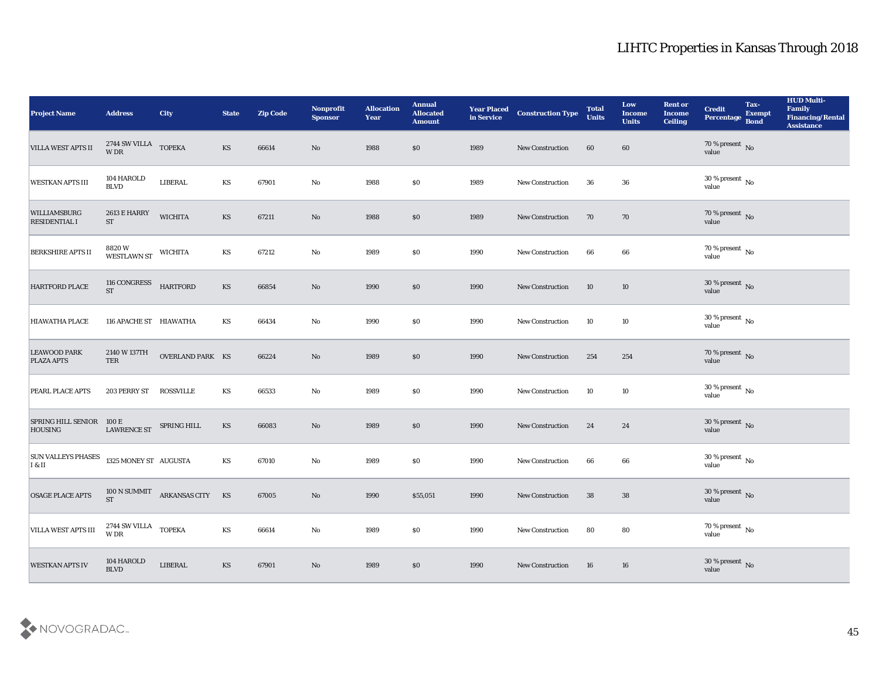| <b>Project Name</b>                        | <b>Address</b>                              | <b>City</b>                   | <b>State</b>           | <b>Zip Code</b> | Nonprofit<br><b>Sponsor</b> | <b>Allocation</b><br><b>Year</b> | <b>Annual</b><br><b>Allocated</b><br><b>Amount</b> | <b>Year Placed<br/>in Service</b> | <b>Construction Type</b> | <b>Total</b><br><b>Units</b> | Low<br><b>Income</b><br><b>Units</b> | <b>Rent or</b><br><b>Income</b><br><b>Ceiling</b> | <b>Credit</b><br>Percentage                 | Tax-<br>Exempt<br>Bond | <b>HUD Multi-</b><br>Family<br><b>Financing/Rental</b><br><b>Assistance</b> |
|--------------------------------------------|---------------------------------------------|-------------------------------|------------------------|-----------------|-----------------------------|----------------------------------|----------------------------------------------------|-----------------------------------|--------------------------|------------------------------|--------------------------------------|---------------------------------------------------|---------------------------------------------|------------------------|-----------------------------------------------------------------------------|
| <b>VILLA WEST APTS II</b>                  | $2744$ SW VILLA $\;$ TOPEKA W DR            |                               | KS                     | 66614           | No                          | 1988                             | \$0                                                | 1989                              | <b>New Construction</b>  | 60                           | 60                                   |                                                   | $70$ % present $_{\rm{No}}$ $_{\rm{value}}$ |                        |                                                                             |
| <b>WESTKAN APTS III</b>                    | $104\operatorname{HAROLD}$<br><b>BLVD</b>   | LIBERAL                       | KS                     | 67901           | $\mathbf{No}$               | 1988                             | \$0                                                | 1989                              | New Construction         | 36                           | 36                                   |                                                   | $30\,\%$ present $\,$ No value              |                        |                                                                             |
| WILLIAMSBURG<br><b>RESIDENTIAL I</b>       | 2613 E HARRY<br><b>ST</b>                   | <b>WICHITA</b>                | KS                     | 67211           | No                          | 1988                             | \$0                                                | 1989                              | <b>New Construction</b>  | 70                           | 70                                   |                                                   | $70\,\%$ present $\,$ No value              |                        |                                                                             |
| <b>BERKSHIRE APTS II</b>                   | 8820 W<br>WESTLAWN ST                       | <b>WICHITA</b>                | KS                     | 67212           | $\mathbf{No}$               | 1989                             | \$0                                                | 1990                              | New Construction         | 66                           | 66                                   |                                                   | $70\,\%$ present $\,$ No value              |                        |                                                                             |
| HARTFORD PLACE                             | 116 CONGRESS<br><b>ST</b>                   | <b>HARTFORD</b>               | KS                     | 66854           | $\mathbf{N}\mathbf{o}$      | 1990                             | \$0                                                | 1990                              | New Construction         | 10                           | 10                                   |                                                   | $30\,\%$ present $\,$ No value              |                        |                                                                             |
| HIAWATHA PLACE                             | 116 APACHE ST HIAWATHA                      |                               | KS                     | 66434           | $\mathbf{No}$               | 1990                             | \$0                                                | 1990                              | <b>New Construction</b>  | 10                           | 10                                   |                                                   | $30\,\%$ present $\,$ No value              |                        |                                                                             |
| <b>LEAWOOD PARK</b><br><b>PLAZA APTS</b>   | 2140 W 137TH<br>TER                         | <b>OVERLAND PARK KS</b>       |                        | 66224           | No                          | 1989                             | \$0                                                | 1990                              | <b>New Construction</b>  | 254                          | 254                                  |                                                   | $70\,\%$ present $\,$ No value              |                        |                                                                             |
| PEARL PLACE APTS                           | 203 PERRY ST                                | <b>ROSSVILLE</b>              | KS                     | 66533           | No                          | 1989                             | \$0                                                | 1990                              | <b>New Construction</b>  | 10                           | 10                                   |                                                   | $30\,\%$ present $\,$ No value              |                        |                                                                             |
| SPRING HILL SENIOR 100 E<br><b>HOUSING</b> | <b>LAWRENCE ST</b>                          | SPRING HILL                   | KS                     | 66083           | No                          | 1989                             | \$0                                                | 1990                              | New Construction         | 24                           | 24                                   |                                                   | $30\,\%$ present $\,$ No value              |                        |                                                                             |
| <b>SUN VALLEYS PHASES</b><br>I & II        | 1325 MONEY ST AUGUSTA                       |                               | <b>KS</b>              | 67010           | $\mathbf{No}$               | 1989                             | \$0                                                | 1990                              | New Construction         | 66                           | 66                                   |                                                   | $30\,\%$ present $\,$ No value              |                        |                                                                             |
| OSAGE PLACE APTS                           | $ST$                                        | 100 N SUMMIT ARKANSAS CITY KS |                        | 67005           | No                          | 1990                             | \$55,051                                           | 1990                              | <b>New Construction</b>  | 38                           | 38                                   |                                                   | $30\,\%$ present $\,$ No value              |                        |                                                                             |
| <b>VILLA WEST APTS III</b>                 | 2744 SW VILLA<br>$\ensuremath{\text{W}}$ DR | <b>TOPEKA</b>                 | $\mathbf{K}\mathbf{S}$ | 66614           | $\mathbf {No}$              | 1989                             | $\$0$                                              | 1990                              | New Construction         | 80                           | ${\bf 80}$                           |                                                   | $70\,\%$ present $\,$ No value              |                        |                                                                             |
| <b>WESTKAN APTS IV</b>                     | 104 HAROLD<br>$\operatorname{BLVD}$         | <b>LIBERAL</b>                | $\mathbf{K}\mathbf{S}$ | 67901           | $\rm\thinspace No$          | 1989                             | \$0                                                | 1990                              | New Construction         | 16                           | ${\bf 16}$                           |                                                   | $30\,\%$ present $\,$ No value              |                        |                                                                             |

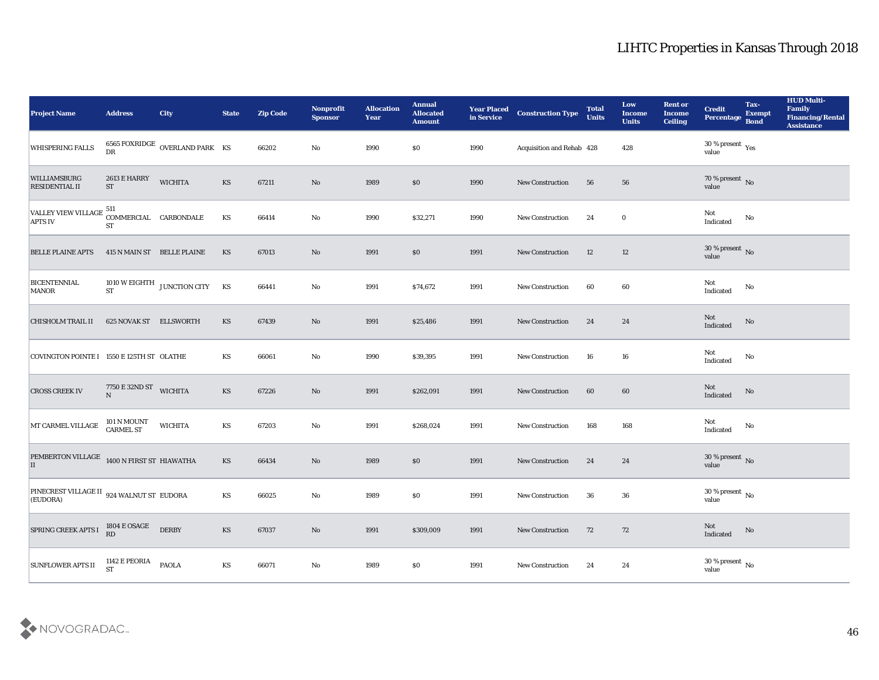| <b>Project Name</b>                                       | <b>Address</b>                               | <b>City</b>                      | <b>State</b>           | <b>Zip Code</b> | Nonprofit<br><b>Sponsor</b> | <b>Allocation</b><br>Year | <b>Annual</b><br><b>Allocated</b><br><b>Amount</b> | Year Placed<br>in Service | <b>Construction Type</b>  | <b>Total</b><br><b>Units</b> | Low<br><b>Income</b><br><b>Units</b> | <b>Rent or</b><br><b>Income</b><br><b>Ceiling</b> | <b>Credit</b><br>Percentage            | Tax-<br><b>Exempt</b><br><b>Bond</b> | <b>HUD Multi-</b><br>Family<br><b>Financing/Rental</b><br><b>Assistance</b> |
|-----------------------------------------------------------|----------------------------------------------|----------------------------------|------------------------|-----------------|-----------------------------|---------------------------|----------------------------------------------------|---------------------------|---------------------------|------------------------------|--------------------------------------|---------------------------------------------------|----------------------------------------|--------------------------------------|-----------------------------------------------------------------------------|
| <b>WHISPERING FALLS</b>                                   | ${\rm DR}$                                   | 6565 FOXRIDGE OVERLAND PARK $KS$ |                        | 66202           | No                          | 1990                      | \$0                                                | 1990                      | Acquisition and Rehab 428 |                              | 428                                  |                                                   | $30\,\%$ present $\,$ Yes value        |                                      |                                                                             |
| WILLIAMSBURG<br>RESIDENTIAL II                            | 2613 E HARRY<br><b>ST</b>                    | <b>WICHITA</b>                   | KS                     | 67211           | $\mathbf{N}\mathbf{o}$      | 1989                      | \$0                                                | 1990                      | New Construction          | 56                           | 56                                   |                                                   | $70\,\%$ present $\,$ No value         |                                      |                                                                             |
| VALLEY VIEW VILLAGE 511<br><b>APTS IV</b>                 | COMMERCIAL CARBONDALE<br>$\operatorname{ST}$ |                                  | KS                     | 66414           | $\mathbf{No}$               | 1990                      | \$32,271                                           | 1990                      | New Construction          | 24                           | $\bf{0}$                             |                                                   | Not<br>Indicated                       | No                                   |                                                                             |
| <b>BELLE PLAINE APTS</b>                                  |                                              | 415 N MAIN ST BELLE PLAINE       | KS                     | 67013           | $\mathbf{N}\mathbf{o}$      | 1991                      | \$0                                                | 1991                      | New Construction          | 12                           | 12                                   |                                                   | $30\,\%$ present $\,$ No value         |                                      |                                                                             |
| <b>BICENTENNIAL</b><br><b>MANOR</b>                       | <b>ST</b>                                    | 1010 W EIGHTH JUNCTION CITY      | KS                     | 66441           | No                          | 1991                      | \$74,672                                           | 1991                      | <b>New Construction</b>   | 60                           | 60                                   |                                                   | Not<br>Indicated                       | No                                   |                                                                             |
| <b>CHISHOLM TRAIL II</b>                                  | 625 NOVAK ST ELLSWORTH                       |                                  | KS                     | 67439           | No                          | 1991                      | \$25,486                                           | 1991                      | <b>New Construction</b>   | 24                           | 24                                   |                                                   | Not<br>Indicated                       | No                                   |                                                                             |
| COVINGTON POINTE I 1550 E 125TH ST OLATHE                 |                                              |                                  | KS                     | 66061           | $\mathbf{No}$               | 1990                      | \$39,395                                           | 1991                      | <b>New Construction</b>   | 16                           | 16                                   |                                                   | Not<br>Indicated                       | No                                   |                                                                             |
| <b>CROSS CREEK IV</b>                                     | 7750 E 32ND ST                               | <b>WICHITA</b>                   | KS                     | 67226           | $\mathbf{N}\mathbf{o}$      | 1991                      | \$262,091                                          | 1991                      | <b>New Construction</b>   | 60                           | 60                                   |                                                   | Not<br>Indicated                       | No                                   |                                                                             |
| MT CARMEL VILLAGE                                         | 101 N MOUNT<br><b>CARMEL ST</b>              | <b>WICHITA</b>                   | KS                     | 67203           | $\rm\thinspace No$          | 1991                      | \$268,024                                          | 1991                      | <b>New Construction</b>   | 168                          | 168                                  |                                                   | Not<br>Indicated                       | No                                   |                                                                             |
| PEMBERTON VILLAGE 1400 N FIRST ST HIAWATHA<br>II          |                                              |                                  | KS                     | 66434           | $\mathbf{N}\mathbf{o}$      | 1989                      | \$0                                                | 1991                      | New Construction          | 24                           | 24                                   |                                                   | $30\,\%$ present $\,$ No value         |                                      |                                                                             |
| PINECREST VILLAGE II 924 WALNUT ST EUDORA<br>$ $ (EUDORA) |                                              |                                  | KS                     | 66025           | No                          | 1989                      | $\$0$                                              | 1991                      | <b>New Construction</b>   | 36                           | 36                                   |                                                   | $30\,\%$ present $\,$ No $\,$<br>value |                                      |                                                                             |
| <b>SPRING CREEK APTS I</b>                                | $1804\to \mathrm{OSAGE}$<br>RD               | <b>DERBY</b>                     | $\mathbf{K}\mathbf{S}$ | 67037           | $\mathbf {No}$              | 1991                      | \$309,009                                          | 1991                      | New Construction          | 72                           | 72                                   |                                                   | Not<br>Indicated                       | $\rm \bf No$                         |                                                                             |
| <b>SUNFLOWER APTS II</b>                                  | $1142\to$ PEORIA<br><b>ST</b>                | <b>PAOLA</b>                     | $\mathbf{K}\mathbf{S}$ | 66071           | $\mathbf {No}$              | 1989                      | $\$0$                                              | 1991                      | New Construction          | 24                           | $\bf 24$                             |                                                   | $30\,\%$ present $\,$ No value         |                                      |                                                                             |

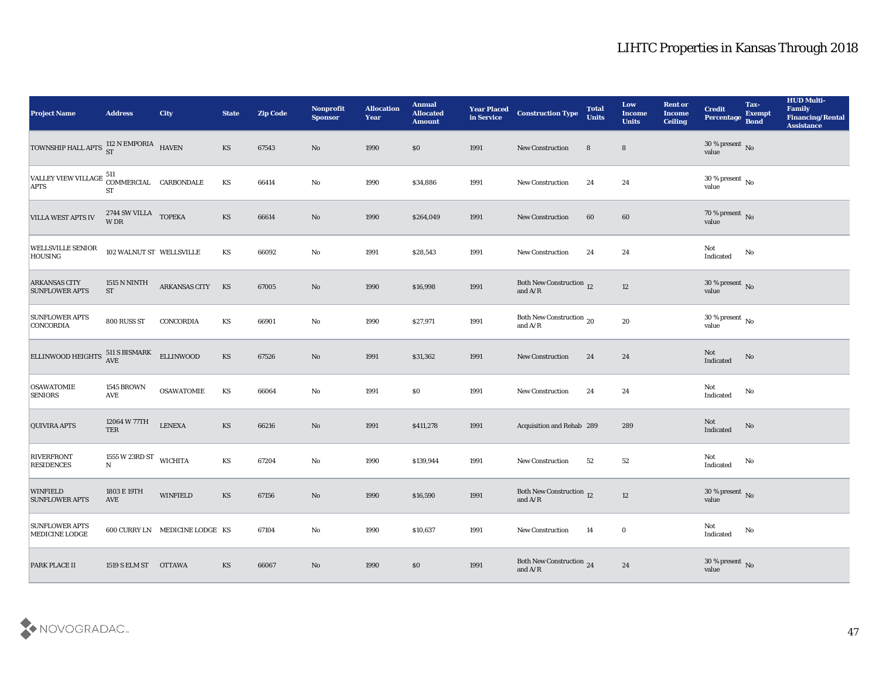| <b>Project Name</b>                                                                   | <b>Address</b>                      | <b>City</b>                    | <b>State</b>           | <b>Zip Code</b> | Nonprofit<br><b>Sponsor</b> | <b>Allocation</b><br>Year | <b>Annual</b><br><b>Allocated</b><br><b>Amount</b> | <b>Year Placed<br/>in Service</b> | <b>Construction Type</b>                  | <b>Total</b><br><b>Units</b> | Low<br><b>Income</b><br><b>Units</b> | <b>Rent or</b><br><b>Income</b><br><b>Ceiling</b> | <b>Credit</b><br>Percentage       | Tax-<br><b>Exempt</b><br><b>Bond</b> | <b>HUD Multi-</b><br>Family<br><b>Financing/Rental</b><br><b>Assistance</b> |
|---------------------------------------------------------------------------------------|-------------------------------------|--------------------------------|------------------------|-----------------|-----------------------------|---------------------------|----------------------------------------------------|-----------------------------------|-------------------------------------------|------------------------------|--------------------------------------|---------------------------------------------------|-----------------------------------|--------------------------------------|-----------------------------------------------------------------------------|
| TOWNSHIP HALL APTS $^{112}$ N EMPORIA HAVEN                                           |                                     |                                | KS                     | 67543           | No                          | 1990                      | \$0                                                | 1991                              | New Construction                          | 8                            | 8                                    |                                                   | $30\,\%$ present $\,$ No value    |                                      |                                                                             |
| VALLEY VIEW VILLAGE $\begin{matrix} 511 \\ \text{COMMERCIAL} \end{matrix}$ CARBONDALE | <b>ST</b>                           |                                | $\mathbf{K}\mathbf{S}$ | 66414           | No                          | 1990                      | \$34,886                                           | 1991                              | New Construction                          | 24                           | 24                                   |                                                   | $30\,\%$ present $\,$ No value    |                                      |                                                                             |
| <b>VILLA WEST APTS IV</b>                                                             | 2744 SW VILLA TOPEKA<br>W DR        |                                | KS                     | 66614           | $\mathbf{N}\mathbf{o}$      | 1990                      | \$264,049                                          | 1991                              | New Construction                          | 60                           | 60                                   |                                                   | $70\,\%$ present $\,$ No value    |                                      |                                                                             |
| <b>WELLSVILLE SENIOR</b><br>HOUSING                                                   | 102 WALNUT ST WELLSVILLE            |                                | KS                     | 66092           | $\mathbf{No}$               | 1991                      | \$28,543                                           | 1991                              | New Construction                          | 24                           | 24                                   |                                                   | Not<br>$\operatorname{Indicated}$ | No                                   |                                                                             |
| <b>ARKANSAS CITY</b><br><b>SUNFLOWER APTS</b>                                         | <b>1515 N NINTH</b><br><b>ST</b>    | ARKANSAS CITY                  | KS                     | 67005           | $\rm\thinspace No$          | 1990                      | \$16,998                                           | 1991                              | Both New Construction $$\,12$$ and A/R    |                              | $12\,$                               |                                                   | $30\,\%$ present $\,$ No value    |                                      |                                                                             |
| <b>SUNFLOWER APTS</b><br><b>CONCORDIA</b>                                             | 800 RUSS ST                         | CONCORDIA                      | KS                     | 66901           | $\rm\thinspace No$          | 1990                      | \$27,971                                           | 1991                              | Both New Construction $$\,20$$ and A/R    |                              | 20                                   |                                                   | $30\,\%$ present $\,$ No value    |                                      |                                                                             |
| ELLINWOOD HEIGHTS $^{511}_{\hbox{AVE}}$ SBISMARK                                      |                                     | <b>ELLINWOOD</b>               | KS                     | 67526           | $\mathbf {No}$              | 1991                      | \$31,362                                           | 1991                              | New Construction                          | 24                           | 24                                   |                                                   | Not<br>Indicated                  | $\mathbf{N}\mathbf{o}$               |                                                                             |
| <b>OSAWATOMIE</b><br><b>SENIORS</b>                                                   | <b>1545 BROWN</b><br><b>AVE</b>     | <b>OSAWATOMIE</b>              | KS                     | 66064           | No                          | 1991                      | \$0                                                | 1991                              | <b>New Construction</b>                   | 24                           | 24                                   |                                                   | Not<br>Indicated                  | No                                   |                                                                             |
| <b>QUIVIRA APTS</b>                                                                   | 12064 W 77TH<br><b>TER</b>          | <b>LENEXA</b>                  | KS                     | 66216           | $\rm\thinspace No$          | 1991                      | \$411,278                                          | 1991                              | Acquisition and Rehab 289                 |                              | 289                                  |                                                   | Not<br>Indicated                  | No                                   |                                                                             |
| <b>RIVERFRONT</b><br><b>RESIDENCES</b>                                                | 1555 W 23RD ST<br>${\bf N}$         | <b>WICHITA</b>                 | $\mathbf{K}\mathbf{S}$ | 67204           | $\rm\thinspace No$          | 1990                      | \$139,944                                          | 1991                              | New Construction                          | 52                           | 52                                   |                                                   | Not<br>Indicated                  | No                                   |                                                                             |
| <b>WINFIELD</b><br><b>SUNFLOWER APTS</b>                                              | 1803 E 19TH<br>$\operatorname{AVE}$ | <b>WINFIELD</b>                | KS                     | 67156           | No                          | 1990                      | \$16,590                                           | 1991                              | Both New Construction 12<br>and $\rm A/R$ |                              | 12                                   |                                                   | $30\,\%$ present $\,$ No value    |                                      |                                                                             |
| <b>SUNFLOWER APTS</b><br>MEDICINE LODGE                                               |                                     | 600 CURRY LN MEDICINE LODGE KS |                        | 67104           | $\mathbf {No}$              | 1990                      | \$10,637                                           | 1991                              | New Construction                          | 14                           | $\bf{0}$                             |                                                   | Not<br>Indicated                  | No                                   |                                                                             |
| <b>PARK PLACE II</b>                                                                  | 1519 S ELM ST OTTAWA                |                                | KS                     | 66067           | $\mathbf {No}$              | 1990                      | $\$0$                                              | 1991                              | Both New Construction 24<br>and $\rm A/R$ |                              | 24                                   |                                                   | $30\,\%$ present $\,$ No value    |                                      |                                                                             |

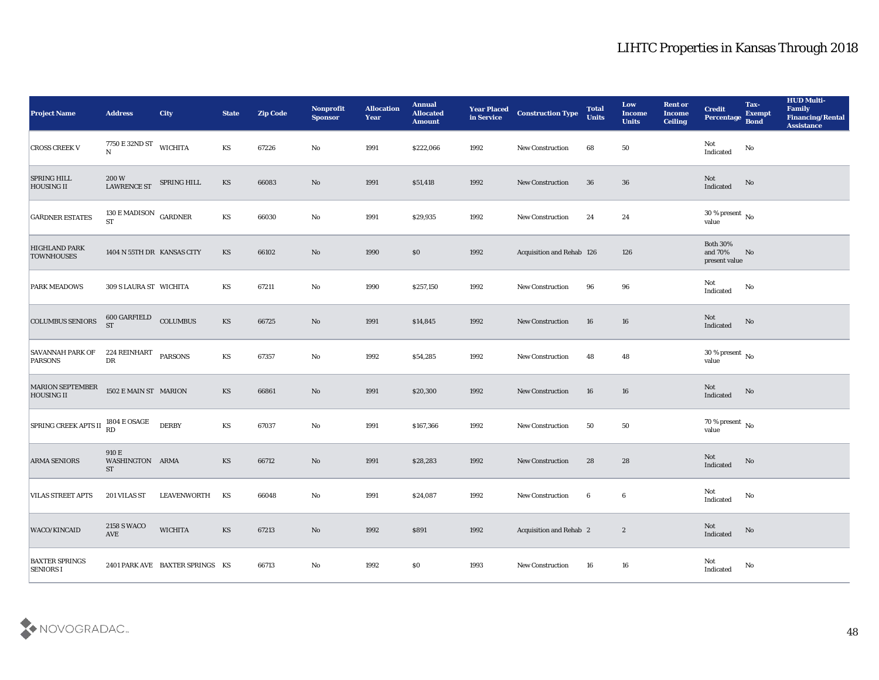| <b>Project Name</b>                       | <b>Address</b>                             | <b>City</b>                     | <b>State</b> | <b>Zip Code</b> | Nonprofit<br><b>Sponsor</b> | <b>Allocation</b><br>Year | <b>Annual</b><br><b>Allocated</b><br><b>Amount</b> | <b>Year Placed</b><br>in Service | <b>Construction Type</b>  | <b>Total</b><br><b>Units</b> | Low<br><b>Income</b><br><b>Units</b> | <b>Rent or</b><br><b>Income</b><br><b>Ceiling</b> | <b>Credit</b><br>Percentage                 | Tax-<br><b>Exempt</b><br><b>Bond</b> | <b>HUD Multi-</b><br>Family<br><b>Financing/Rental</b><br><b>Assistance</b> |
|-------------------------------------------|--------------------------------------------|---------------------------------|--------------|-----------------|-----------------------------|---------------------------|----------------------------------------------------|----------------------------------|---------------------------|------------------------------|--------------------------------------|---------------------------------------------------|---------------------------------------------|--------------------------------------|-----------------------------------------------------------------------------|
| <b>CROSS CREEK V</b>                      | 7750 E 32ND ST<br>N                        | <b>WICHITA</b>                  | KS           | 67226           | No                          | 1991                      | \$222,066                                          | 1992                             | New Construction          | 68                           | 50                                   |                                                   | Not<br>Indicated                            | No                                   |                                                                             |
| <b>SPRING HILL</b><br><b>HOUSING II</b>   | 200 W<br>LAWRENCE ST                       | SPRING HILL                     | KS           | 66083           | No                          | 1991                      | \$51,418                                           | 1992                             | <b>New Construction</b>   | 36                           | 36                                   |                                                   | ${\rm Not}$ Indicated                       | No                                   |                                                                             |
| <b>GARDNER ESTATES</b>                    | 130 E MADISON GARDNER<br><b>ST</b>         |                                 | KS           | 66030           | No                          | 1991                      | \$29,935                                           | 1992                             | <b>New Construction</b>   | 24                           | 24                                   |                                                   | 30 % present $\,$ No $\,$<br>value          |                                      |                                                                             |
| <b>HIGHLAND PARK</b><br><b>TOWNHOUSES</b> | 1404 N 55TH DR KANSAS CITY                 |                                 | <b>KS</b>    | 66102           | No                          | 1990                      | \$0                                                | 1992                             | Acquisition and Rehab 126 |                              | 126                                  |                                                   | <b>Both 30%</b><br>and 70%<br>present value | No                                   |                                                                             |
| <b>PARK MEADOWS</b>                       | 309 S LAURA ST WICHITA                     |                                 | KS           | 67211           | No                          | 1990                      | \$257,150                                          | 1992                             | <b>New Construction</b>   | 96                           | 96                                   |                                                   | Not<br>Indicated                            | No                                   |                                                                             |
| <b>COLUMBUS SENIORS</b>                   | 600 GARFIELD<br>ST                         | COLUMBUS                        | <b>KS</b>    | 66725           | No                          | 1991                      | \$14,845                                           | 1992                             | <b>New Construction</b>   | 16                           | 16                                   |                                                   | Not<br>Indicated                            | No                                   |                                                                             |
| <b>SAVANNAH PARK OF</b><br>PARSONS        | 224 REINHART PARSONS<br>${\rm D}{\rm R}$   |                                 | KS           | 67357           | No                          | 1992                      | \$54,285                                           | 1992                             | New Construction          | 48                           | 48                                   |                                                   | $30\,\%$ present $\,$ No value              |                                      |                                                                             |
| MARION SEPTEMBER<br><b>HOUSING II</b>     | 1502 E MAIN ST MARION                      |                                 | <b>KS</b>    | 66861           | No                          | 1991                      | \$20,300                                           | 1992                             | <b>New Construction</b>   | 16                           | 16                                   |                                                   | Not<br>Indicated                            | No                                   |                                                                             |
| SPRING CREEK APTS II                      | <b>1804 E OSAGE</b><br>RD                  | <b>DERBY</b>                    | KS           | 67037           | $\rm\thinspace No$          | 1991                      | \$167,366                                          | 1992                             | <b>New Construction</b>   | 50                           | 50                                   |                                                   | $70\,\%$ present $\,$ No value              |                                      |                                                                             |
| <b>ARMA SENIORS</b>                       | 910 E<br>WASHINGTON ARMA<br><b>ST</b>      |                                 | KS           | 66712           | No                          | 1991                      | \$28,283                                           | 1992                             | <b>New Construction</b>   | 28                           | 28                                   |                                                   | Not<br>Indicated                            | No                                   |                                                                             |
| <b>VILAS STREET APTS</b>                  | 201 VILAS ST                               | LEAVENWORTH                     | KS           | 66048           | No                          | 1991                      | \$24,087                                           | 1992                             | <b>New Construction</b>   | 6                            | 6                                    |                                                   | Not<br>Indicated                            | No                                   |                                                                             |
| WACO/KINCAID                              | <b>2158 S WACO</b><br>$\operatorname{AVE}$ | <b>WICHITA</b>                  | KS           | 67213           | $\rm\thinspace No$          | 1992                      | \$891                                              | 1992                             | Acquisition and Rehab 2   |                              | $\mathbf{2}$                         |                                                   | Not<br>Indicated                            | $\rm \bf No$                         |                                                                             |
| <b>BAXTER SPRINGS</b><br><b>SENIORS I</b> |                                            | 2401 PARK AVE BAXTER SPRINGS KS |              | 66713           | $\rm\thinspace No$          | 1992                      | $\$0$                                              | 1993                             | New Construction          | 16                           | ${\bf 16}$                           |                                                   | ${\rm Not}$ Indicated                       | No                                   |                                                                             |

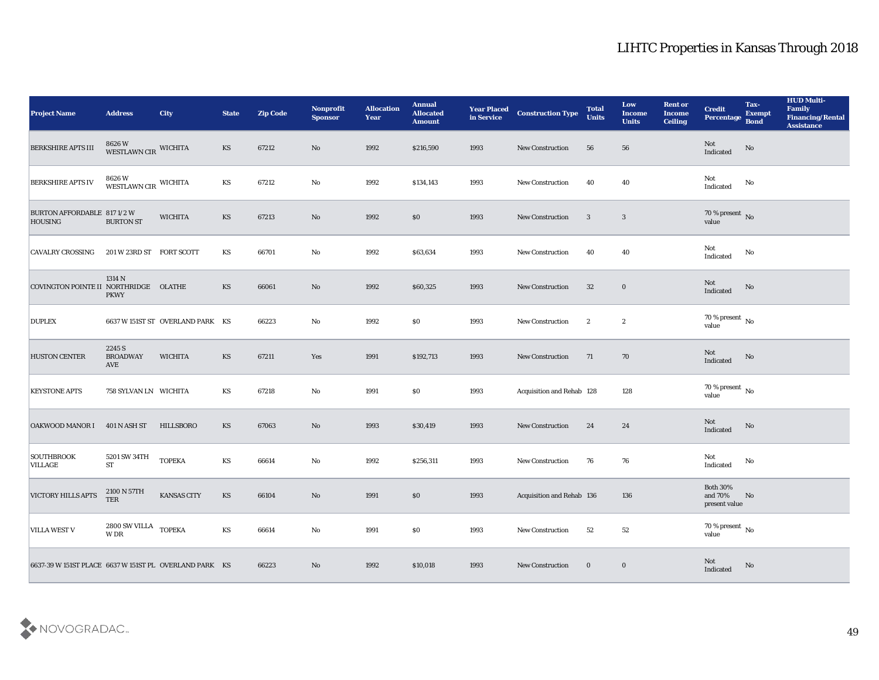| <b>Project Name</b>                                    | <b>Address</b>                            | <b>City</b>                      | <b>State</b>           | <b>Zip Code</b> | Nonprofit<br><b>Sponsor</b> | <b>Allocation</b><br>Year | <b>Annual</b><br><b>Allocated</b><br><b>Amount</b> | <b>Year Placed<br/>in Service</b> | <b>Construction Type</b>  | <b>Total</b><br><b>Units</b> | Low<br><b>Income</b><br><b>Units</b> | <b>Rent or</b><br><b>Income</b><br><b>Ceiling</b> | <b>Credit</b><br>Percentage                 | Tax-<br><b>Exempt</b><br><b>Bond</b> | <b>HUD Multi-</b><br>Family<br><b>Financing/Rental</b><br><b>Assistance</b> |
|--------------------------------------------------------|-------------------------------------------|----------------------------------|------------------------|-----------------|-----------------------------|---------------------------|----------------------------------------------------|-----------------------------------|---------------------------|------------------------------|--------------------------------------|---------------------------------------------------|---------------------------------------------|--------------------------------------|-----------------------------------------------------------------------------|
| <b>BERKSHIRE APTS III</b>                              | 8626 W<br>WESTLAWN CIR WICHITA            |                                  | KS                     | 67212           | No                          | 1992                      | \$216,590                                          | 1993                              | New Construction          | 56                           | 56                                   |                                                   | Not<br>Indicated                            | No                                   |                                                                             |
| <b>BERKSHIRE APTS IV</b>                               | 8626 W<br>WESTLAWN CIR WICHITA            |                                  | KS                     | 67212           | No                          | 1992                      | \$134,143                                          | 1993                              | New Construction          | 40                           | 40                                   |                                                   | Not<br>Indicated                            | No                                   |                                                                             |
| BURTON AFFORDABLE 817 1/2 W<br><b>HOUSING</b>          | <b>BURTON ST</b>                          | <b>WICHITA</b>                   | <b>KS</b>              | 67213           | No                          | 1992                      | \$0\$                                              | 1993                              | New Construction          | $\mathbf{3}$                 | $\overline{\mathbf{3}}$              |                                                   | $70\,\%$ present $\,$ No value              |                                      |                                                                             |
| <b>CAVALRY CROSSING</b>                                | 201 W 23RD ST FORT SCOTT                  |                                  | KS                     | 66701           | No                          | 1992                      | \$63,634                                           | 1993                              | New Construction          | 40                           | 40                                   |                                                   | Not<br>Indicated                            | No                                   |                                                                             |
| COVINGTON POINTE II NORTHRIDGE                         | 1314 N<br><b>PKWY</b>                     | <b>OLATHE</b>                    | <b>KS</b>              | 66061           | No                          | 1992                      | \$60,325                                           | 1993                              | <b>New Construction</b>   | 32                           | $\bf{0}$                             |                                                   | Not<br>Indicated                            | $\mathbf{N}\mathbf{o}$               |                                                                             |
| <b>DUPLEX</b>                                          |                                           | 6637 W 151ST ST OVERLAND PARK KS |                        | 66223           | No                          | 1992                      | $\$0$                                              | 1993                              | New Construction          | $\boldsymbol{2}$             | $\mathbf{2}$                         |                                                   | $70\,\%$ present $\,$ No value              |                                      |                                                                             |
| <b>HUSTON CENTER</b>                                   | 2245 S<br><b>BROADWAY</b><br>AVE          | <b>WICHITA</b>                   | <b>KS</b>              | 67211           | Yes                         | 1991                      | \$192,713                                          | 1993                              | New Construction          | 71                           | 70                                   |                                                   | Not<br>Indicated                            | $\rm \bf No$                         |                                                                             |
| <b>KEYSTONE APTS</b>                                   | 758 SYLVAN LN WICHITA                     |                                  | KS                     | 67218           | No                          | 1991                      | \$0                                                | 1993                              | Acquisition and Rehab 128 |                              | 128                                  |                                                   | $70\,\%$ present $\,$ No value              |                                      |                                                                             |
| <b>OAKWOOD MANOR I</b>                                 | 401 N ASH ST                              | <b>HILLSBORO</b>                 | <b>KS</b>              | 67063           | No                          | 1993                      | \$30,419                                           | 1993                              | New Construction          | 24                           | 24                                   |                                                   | Not<br>$\operatorname{Indicated}$           | $\mathbf{N}\mathbf{o}$               |                                                                             |
| <b>SOUTHBROOK</b><br><b>VILLAGE</b>                    | 5201 SW 34TH<br><b>ST</b>                 | <b>TOPEKA</b>                    | $\mathbf{K}\mathbf{S}$ | 66614           | No                          | 1992                      | \$256,311                                          | 1993                              | <b>New Construction</b>   | 76                           | 76                                   |                                                   | Not<br>Indicated                            | No                                   |                                                                             |
| <b>VICTORY HILLS APTS</b>                              | 2100 N 57TH<br><b>TER</b>                 | <b>KANSAS CITY</b>               | <b>KS</b>              | 66104           | No                          | 1991                      | \$0                                                | 1993                              | Acquisition and Rehab 136 |                              | 136                                  |                                                   | <b>Both 30%</b><br>and 70%<br>present value | No                                   |                                                                             |
| <b>VILLA WEST V</b>                                    | $2800$ SW VILLA $\,$ TOPEKA<br><b>WDR</b> |                                  | $\mathbf{K}\mathbf{S}$ | 66614           | $\mathbf {No}$              | 1991                      | \$0                                                | 1993                              | <b>New Construction</b>   | 52                           | 52                                   |                                                   | 70 % present $\,$ No $\,$<br>value          |                                      |                                                                             |
| 6637-39 W 151ST PLACE 6637 W 151ST PL OVERLAND PARK KS |                                           |                                  |                        | 66223           | $\rm\thinspace No$          | 1992                      | \$10,018                                           | 1993                              | New Construction          | $\bf{0}$                     | $\bf{0}$                             |                                                   | Not<br>Indicated                            | No                                   |                                                                             |